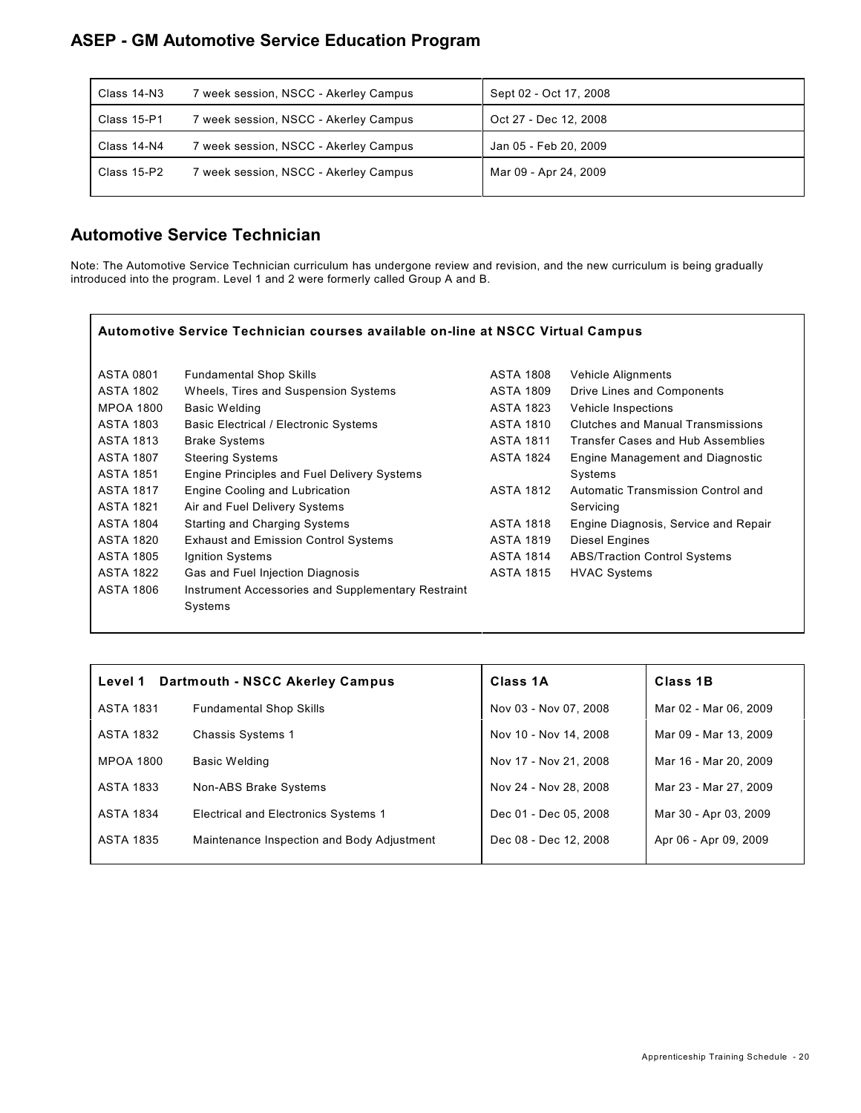#### **ASEP - GM Automotive Service Education Program**

| Class 14-N3 | 7 week session, NSCC - Akerley Campus | Sept 02 - Oct 17, 2008 |
|-------------|---------------------------------------|------------------------|
| Class 15-P1 | 7 week session, NSCC - Akerley Campus | Oct 27 - Dec 12, 2008  |
| Class 14-N4 | 7 week session, NSCC - Akerley Campus | Jan 05 - Feb 20, 2009  |
| Class 15-P2 | 7 week session, NSCC - Akerley Campus | Mar 09 - Apr 24, 2009  |
|             |                                       |                        |

#### **Automotive Service Technician**

Note: The Automotive Service Technician curriculum has undergone review and revision, and the new curriculum is being gradually introduced into the program. Level 1 and 2 were formerly called Group A and B.

| Automotive Service Technician courses available on-line at NSCC Virtual Campus |                                                    |                  |                                      |
|--------------------------------------------------------------------------------|----------------------------------------------------|------------------|--------------------------------------|
| <b>ASTA 0801</b>                                                               | <b>Fundamental Shop Skills</b>                     | ASTA 1808        | Vehicle Alignments                   |
| <b>ASTA 1802</b>                                                               | Wheels, Tires and Suspension Systems               | <b>ASTA 1809</b> | Drive Lines and Components           |
| <b>MPOA 1800</b>                                                               | <b>Basic Welding</b>                               | <b>ASTA 1823</b> | Vehicle Inspections                  |
| <b>ASTA 1803</b>                                                               | <b>Basic Electrical / Electronic Systems</b>       | ASTA 1810        | Clutches and Manual Transmissions    |
| <b>ASTA 1813</b>                                                               | <b>Brake Systems</b>                               | ASTA 1811        | Transfer Cases and Hub Assemblies    |
| <b>ASTA 1807</b>                                                               | <b>Steering Systems</b>                            | <b>ASTA 1824</b> | Engine Management and Diagnostic     |
| <b>ASTA 1851</b>                                                               | <b>Engine Principles and Fuel Delivery Systems</b> |                  | Systems                              |
| <b>ASTA 1817</b>                                                               | <b>Engine Cooling and Lubrication</b>              | <b>ASTA 1812</b> | Automatic Transmission Control and   |
| <b>ASTA 1821</b>                                                               | Air and Fuel Delivery Systems                      |                  | Servicing                            |
| <b>ASTA 1804</b>                                                               | <b>Starting and Charging Systems</b>               | <b>ASTA 1818</b> | Engine Diagnosis, Service and Repair |
| <b>ASTA 1820</b>                                                               | <b>Exhaust and Emission Control Systems</b>        | <b>ASTA 1819</b> | Diesel Engines                       |
| <b>ASTA 1805</b>                                                               | Ignition Systems                                   | <b>ASTA 1814</b> | <b>ABS/Traction Control Systems</b>  |
| <b>ASTA 1822</b>                                                               | Gas and Fuel Injection Diagnosis                   | <b>ASTA 1815</b> | <b>HVAC Systems</b>                  |
| <b>ASTA 1806</b>                                                               | Instrument Accessories and Supplementary Restraint |                  |                                      |
|                                                                                | Systems                                            |                  |                                      |

| Level 1          | Dartmouth - NSCC Akerley Campus             | Class 1A              | <b>Class 1B</b>       |
|------------------|---------------------------------------------|-----------------------|-----------------------|
| <b>ASTA 1831</b> | <b>Fundamental Shop Skills</b>              | Nov 03 - Nov 07, 2008 | Mar 02 - Mar 06, 2009 |
| <b>ASTA 1832</b> | Chassis Systems 1                           | Nov 10 - Nov 14, 2008 | Mar 09 - Mar 13, 2009 |
| MPOA 1800        | Basic Welding                               | Nov 17 - Nov 21, 2008 | Mar 16 - Mar 20, 2009 |
| <b>ASTA 1833</b> | Non-ABS Brake Systems                       | Nov 24 - Nov 28, 2008 | Mar 23 - Mar 27, 2009 |
| <b>ASTA 1834</b> | <b>Electrical and Electronics Systems 1</b> | Dec 01 - Dec 05, 2008 | Mar 30 - Apr 03, 2009 |
| <b>ASTA 1835</b> | Maintenance Inspection and Body Adjustment  | Dec 08 - Dec 12, 2008 | Apr 06 - Apr 09, 2009 |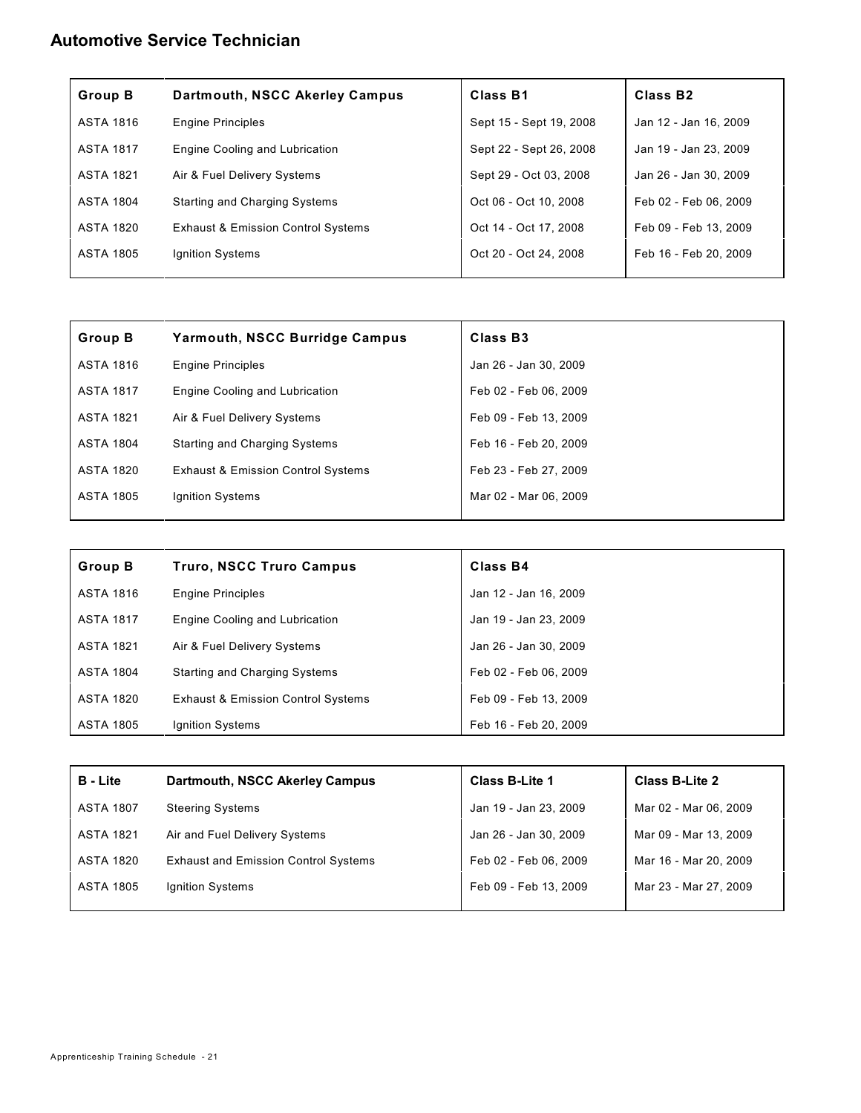### **Automotive Service Technician**

| <b>Group B</b>   | Dartmouth, NSCC Akerley Campus                | Class B1                | Class B <sub>2</sub>  |
|------------------|-----------------------------------------------|-------------------------|-----------------------|
| <b>ASTA 1816</b> | <b>Engine Principles</b>                      | Sept 15 - Sept 19, 2008 | Jan 12 - Jan 16, 2009 |
| <b>ASTA 1817</b> | Engine Cooling and Lubrication                | Sept 22 - Sept 26, 2008 | Jan 19 - Jan 23, 2009 |
| <b>ASTA 1821</b> | Air & Fuel Delivery Systems                   | Sept 29 - Oct 03, 2008  | Jan 26 - Jan 30, 2009 |
| <b>ASTA 1804</b> | <b>Starting and Charging Systems</b>          | Oct 06 - Oct 10, 2008   | Feb 02 - Feb 06, 2009 |
| ASTA 1820        | <b>Exhaust &amp; Emission Control Systems</b> | Oct 14 - Oct 17, 2008   | Feb 09 - Feb 13, 2009 |
| <b>ASTA 1805</b> | Ignition Systems                              | Oct 20 - Oct 24, 2008   | Feb 16 - Feb 20, 2009 |

| <b>Group B</b>   | <b>Yarmouth, NSCC Burridge Campus</b>         | Class B <sub>3</sub>  |
|------------------|-----------------------------------------------|-----------------------|
| <b>ASTA 1816</b> | <b>Engine Principles</b>                      | Jan 26 - Jan 30, 2009 |
| <b>ASTA 1817</b> | Engine Cooling and Lubrication                | Feb 02 - Feb 06, 2009 |
| <b>ASTA 1821</b> | Air & Fuel Delivery Systems                   | Feb 09 - Feb 13, 2009 |
| <b>ASTA 1804</b> | <b>Starting and Charging Systems</b>          | Feb 16 - Feb 20, 2009 |
| <b>ASTA 1820</b> | <b>Exhaust &amp; Emission Control Systems</b> | Feb 23 - Feb 27, 2009 |
| <b>ASTA 1805</b> | Ignition Systems                              | Mar 02 - Mar 06, 2009 |

| <b>Group B</b>   | <b>Truro, NSCC Truro Campus</b>               | Class B4              |
|------------------|-----------------------------------------------|-----------------------|
| <b>ASTA 1816</b> | <b>Engine Principles</b>                      | Jan 12 - Jan 16, 2009 |
| <b>ASTA 1817</b> | Engine Cooling and Lubrication                | Jan 19 - Jan 23, 2009 |
| ASTA 1821        | Air & Fuel Delivery Systems                   | Jan 26 - Jan 30, 2009 |
| <b>ASTA 1804</b> | <b>Starting and Charging Systems</b>          | Feb 02 - Feb 06, 2009 |
| ASTA 1820        | <b>Exhaust &amp; Emission Control Systems</b> | Feb 09 - Feb 13, 2009 |
| ASTA 1805        | Ignition Systems                              | Feb 16 - Feb 20, 2009 |

| <b>B</b> - Lite  | <b>Dartmouth, NSCC Akerley Campus</b>       | <b>Class B-Lite 1</b> | <b>Class B-Lite 2</b> |
|------------------|---------------------------------------------|-----------------------|-----------------------|
| <b>ASTA 1807</b> | <b>Steering Systems</b>                     | Jan 19 - Jan 23, 2009 | Mar 02 - Mar 06, 2009 |
| <b>ASTA 1821</b> | Air and Fuel Delivery Systems               | Jan 26 - Jan 30, 2009 | Mar 09 - Mar 13, 2009 |
| ASTA 1820        | <b>Exhaust and Emission Control Systems</b> | Feb 02 - Feb 06, 2009 | Mar 16 - Mar 20, 2009 |
| ASTA 1805        | Ignition Systems                            | Feb 09 - Feb 13, 2009 | Mar 23 - Mar 27, 2009 |
|                  |                                             |                       |                       |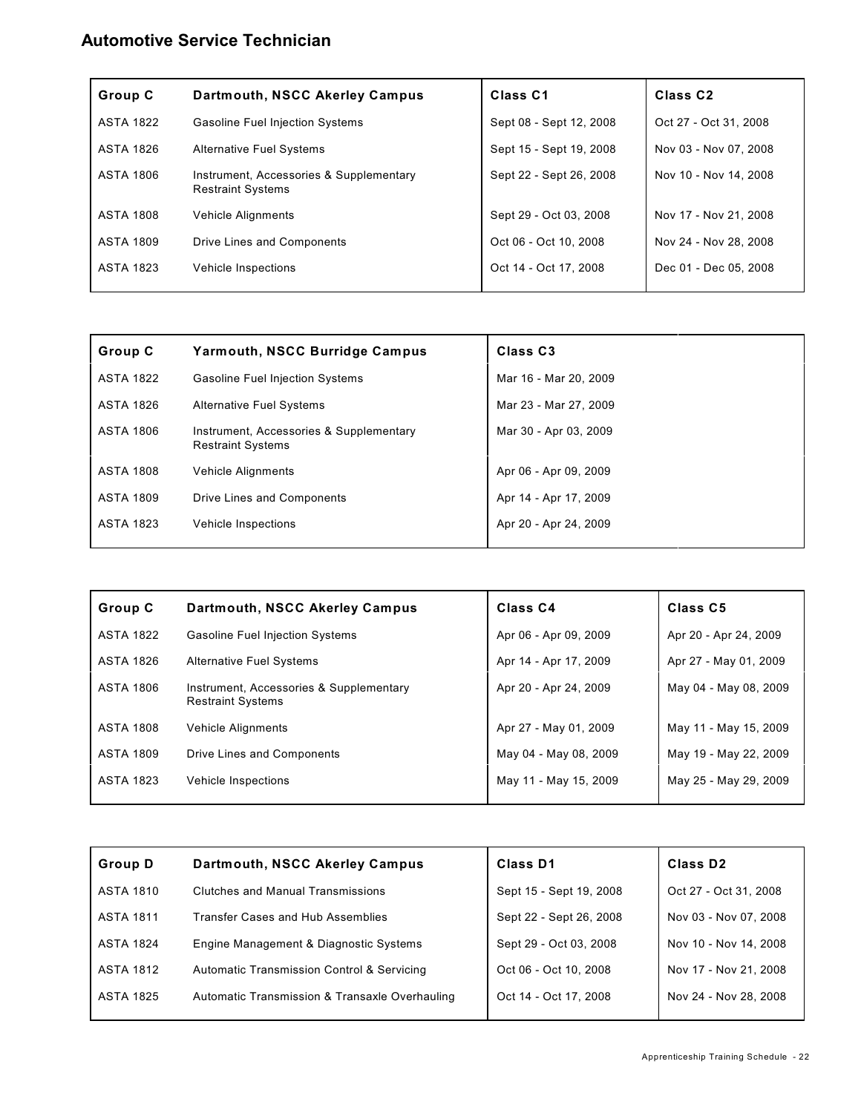### **Automotive Service Technician**

| Group C          | Dartmouth, NSCC Akerley Campus                                      | Class <sub>C1</sub>     | Class C <sub>2</sub>  |
|------------------|---------------------------------------------------------------------|-------------------------|-----------------------|
| <b>ASTA 1822</b> | <b>Gasoline Fuel Injection Systems</b>                              | Sept 08 - Sept 12, 2008 | Oct 27 - Oct 31, 2008 |
| <b>ASTA 1826</b> | <b>Alternative Fuel Systems</b>                                     | Sept 15 - Sept 19, 2008 | Nov 03 - Nov 07, 2008 |
| ASTA 1806        | Instrument, Accessories & Supplementary<br><b>Restraint Systems</b> | Sept 22 - Sept 26, 2008 | Nov 10 - Nov 14, 2008 |
| <b>ASTA 1808</b> | <b>Vehicle Alignments</b>                                           | Sept 29 - Oct 03, 2008  | Nov 17 - Nov 21, 2008 |
| <b>ASTA 1809</b> | Drive Lines and Components                                          | Oct 06 - Oct 10, 2008   | Nov 24 - Nov 28, 2008 |
| <b>ASTA 1823</b> | Vehicle Inspections                                                 | Oct 14 - Oct 17, 2008   | Dec 01 - Dec 05, 2008 |
|                  |                                                                     |                         |                       |

| Group C          | <b>Yarmouth, NSCC Burridge Campus</b>                               | Class <sub>C3</sub>   |
|------------------|---------------------------------------------------------------------|-----------------------|
| <b>ASTA 1822</b> | <b>Gasoline Fuel Injection Systems</b>                              | Mar 16 - Mar 20, 2009 |
| ASTA 1826        | <b>Alternative Fuel Systems</b>                                     | Mar 23 - Mar 27, 2009 |
| <b>ASTA 1806</b> | Instrument, Accessories & Supplementary<br><b>Restraint Systems</b> | Mar 30 - Apr 03, 2009 |
| <b>ASTA 1808</b> | <b>Vehicle Alignments</b>                                           | Apr 06 - Apr 09, 2009 |
| <b>ASTA 1809</b> | Drive Lines and Components                                          | Apr 14 - Apr 17, 2009 |
| <b>ASTA 1823</b> | Vehicle Inspections                                                 | Apr 20 - Apr 24, 2009 |

| Group C          | Dartmouth, NSCC Akerley Campus                                      | Class <sub>C4</sub>   | Class C5              |
|------------------|---------------------------------------------------------------------|-----------------------|-----------------------|
| <b>ASTA 1822</b> | <b>Gasoline Fuel Injection Systems</b>                              | Apr 06 - Apr 09, 2009 | Apr 20 - Apr 24, 2009 |
| ASTA 1826        | <b>Alternative Fuel Systems</b>                                     | Apr 14 - Apr 17, 2009 | Apr 27 - May 01, 2009 |
| ASTA 1806        | Instrument, Accessories & Supplementary<br><b>Restraint Systems</b> | Apr 20 - Apr 24, 2009 | May 04 - May 08, 2009 |
| <b>ASTA 1808</b> | <b>Vehicle Alignments</b>                                           | Apr 27 - May 01, 2009 | May 11 - May 15, 2009 |
| <b>ASTA 1809</b> | Drive Lines and Components                                          | May 04 - May 08, 2009 | May 19 - May 22, 2009 |
| ASTA 1823        | Vehicle Inspections                                                 | May 11 - May 15, 2009 | May 25 - May 29, 2009 |

| Group D          | Dartmouth, NSCC Akerley Campus                 | Class D1                | Class D <sub>2</sub>  |
|------------------|------------------------------------------------|-------------------------|-----------------------|
| ASTA 1810        | Clutches and Manual Transmissions              | Sept 15 - Sept 19, 2008 | Oct 27 - Oct 31, 2008 |
| ASTA 1811        | Transfer Cases and Hub Assemblies              | Sept 22 - Sept 26, 2008 | Nov 03 - Nov 07, 2008 |
| <b>ASTA 1824</b> | Engine Management & Diagnostic Systems         | Sept 29 - Oct 03, 2008  | Nov 10 - Nov 14, 2008 |
| ASTA 1812        | Automatic Transmission Control & Servicing     | Oct 06 - Oct 10, 2008   | Nov 17 - Nov 21, 2008 |
| ASTA 1825        | Automatic Transmission & Transaxle Overhauling | Oct 14 - Oct 17, 2008   | Nov 24 - Nov 28, 2008 |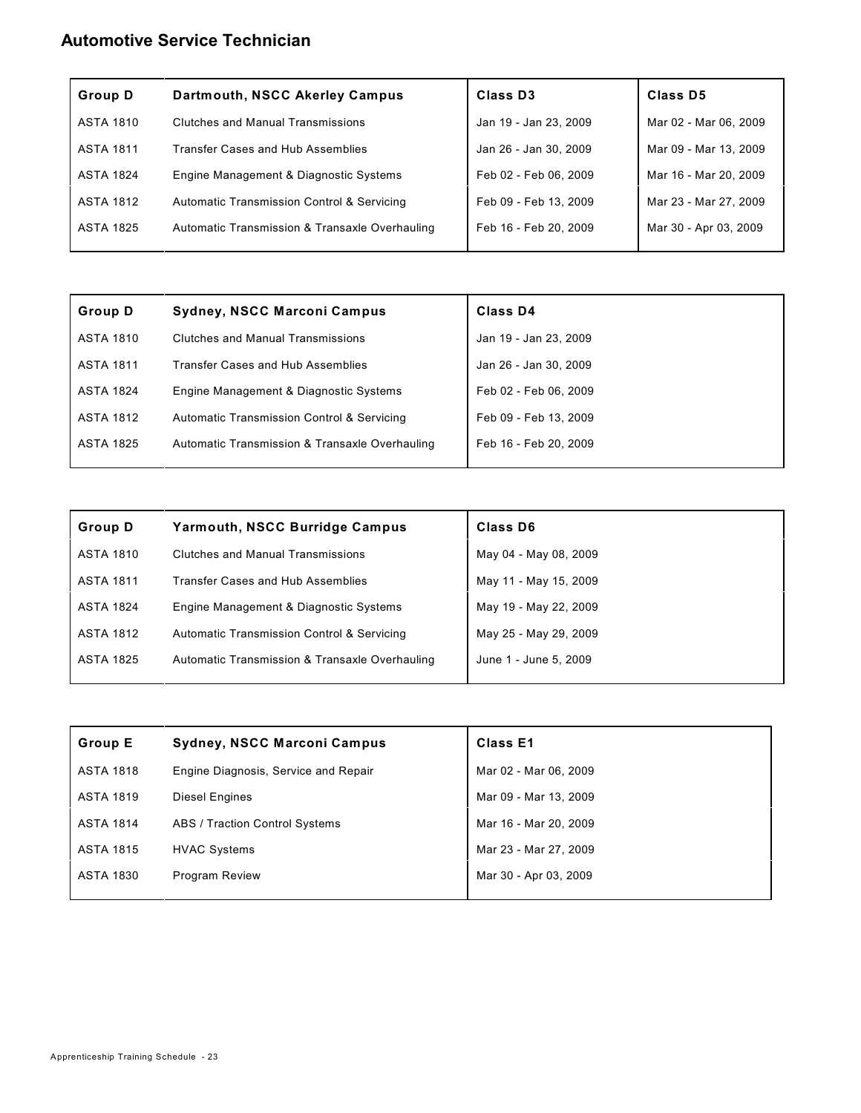### **Automotive Service Technician**

| <b>Group D</b>   | Dartmouth, NSCC Akerley Campus                 | Class D <sub>3</sub>  | Class D5              |
|------------------|------------------------------------------------|-----------------------|-----------------------|
| <b>ASTA 1810</b> | Clutches and Manual Transmissions              | Jan 19 - Jan 23, 2009 | Mar 02 - Mar 06, 2009 |
| ASTA 1811        | Transfer Cases and Hub Assemblies              | Jan 26 - Jan 30, 2009 | Mar 09 - Mar 13, 2009 |
| <b>ASTA 1824</b> | Engine Management & Diagnostic Systems         | Feb 02 - Feb 06, 2009 | Mar 16 - Mar 20, 2009 |
| <b>ASTA 1812</b> | Automatic Transmission Control & Servicing     | Feb 09 - Feb 13, 2009 | Mar 23 - Mar 27, 2009 |
| ASTA 1825        | Automatic Transmission & Transaxle Overhauling | Feb 16 - Feb 20, 2009 | Mar 30 - Apr 03, 2009 |
|                  |                                                |                       |                       |

| Group D          | <b>Sydney, NSCC Marconi Campus</b>             | Class D4              |
|------------------|------------------------------------------------|-----------------------|
| <b>ASTA 1810</b> | Clutches and Manual Transmissions              | Jan 19 - Jan 23, 2009 |
| <b>ASTA 1811</b> | <b>Transfer Cases and Hub Assemblies</b>       | Jan 26 - Jan 30, 2009 |
| <b>ASTA 1824</b> | Engine Management & Diagnostic Systems         | Feb 02 - Feb 06, 2009 |
| <b>ASTA 1812</b> | Automatic Transmission Control & Servicing     | Feb 09 - Feb 13, 2009 |
| <b>ASTA 1825</b> | Automatic Transmission & Transaxle Overhauling | Feb 16 - Feb 20, 2009 |
|                  |                                                |                       |

| <b>Group D</b>   | <b>Yarmouth, NSCC Burridge Campus</b>          | Class D6              |
|------------------|------------------------------------------------|-----------------------|
| ASTA 1810        | Clutches and Manual Transmissions              | May 04 - May 08, 2009 |
| <b>ASTA 1811</b> | Transfer Cases and Hub Assemblies              | May 11 - May 15, 2009 |
| <b>ASTA 1824</b> | Engine Management & Diagnostic Systems         | May 19 - May 22, 2009 |
| <b>ASTA 1812</b> | Automatic Transmission Control & Servicing     | May 25 - May 29, 2009 |
| <b>ASTA 1825</b> | Automatic Transmission & Transaxle Overhauling | June 1 - June 5, 2009 |
|                  |                                                |                       |

| <b>Group E</b>   | <b>Sydney, NSCC Marconi Campus</b>   | <b>Class E1</b>       |
|------------------|--------------------------------------|-----------------------|
| <b>ASTA 1818</b> | Engine Diagnosis, Service and Repair | Mar 02 - Mar 06, 2009 |
| <b>ASTA 1819</b> | Diesel Engines                       | Mar 09 - Mar 13, 2009 |
| <b>ASTA 1814</b> | ABS / Traction Control Systems       | Mar 16 - Mar 20, 2009 |
| <b>ASTA 1815</b> | <b>HVAC Systems</b>                  | Mar 23 - Mar 27, 2009 |
| ASTA 1830        | <b>Program Review</b>                | Mar 30 - Apr 03, 2009 |
|                  |                                      |                       |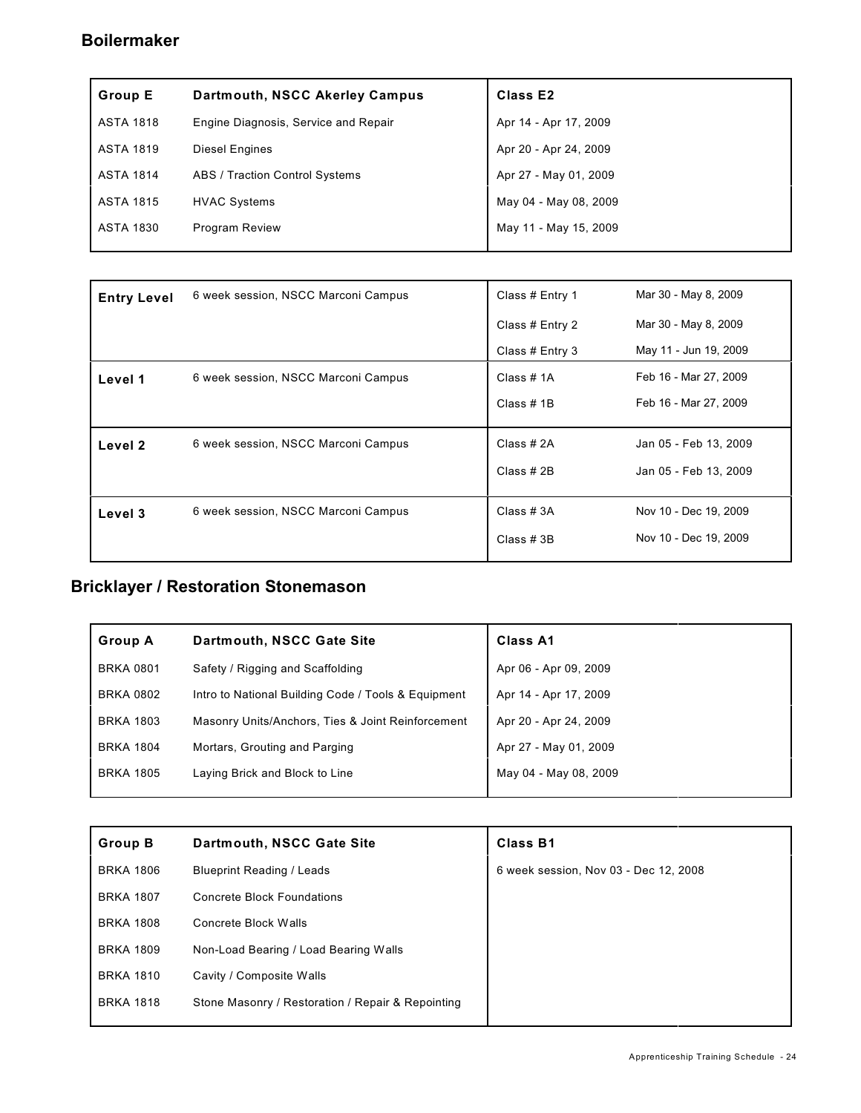### **Boilermaker**

| <b>Group E</b>   | Dartmouth, NSCC Akerley Campus       | Class E <sub>2</sub>  |
|------------------|--------------------------------------|-----------------------|
| ASTA 1818        | Engine Diagnosis, Service and Repair | Apr 14 - Apr 17, 2009 |
| <b>ASTA 1819</b> | <b>Diesel Engines</b>                | Apr 20 - Apr 24, 2009 |
| ASTA 1814        | ABS / Traction Control Systems       | Apr 27 - May 01, 2009 |
| ASTA 1815        | <b>HVAC Systems</b>                  | May 04 - May 08, 2009 |
| ASTA 1830        | <b>Program Review</b>                | May 11 - May 15, 2009 |

| <b>Entry Level</b> | 6 week session, NSCC Marconi Campus | Mar 30 - May 8, 2009<br>Class # Entry 1 |                       |
|--------------------|-------------------------------------|-----------------------------------------|-----------------------|
|                    |                                     | Class # Entry 2                         | Mar 30 - May 8, 2009  |
|                    |                                     | Class # Entry 3                         | May 11 - Jun 19, 2009 |
| Level 1            | 6 week session, NSCC Marconi Campus | Class # 1A                              | Feb 16 - Mar 27, 2009 |
|                    |                                     | Class $# 1B$                            | Feb 16 - Mar 27, 2009 |
| Level 2            | 6 week session, NSCC Marconi Campus | Class #2A                               | Jan 05 - Feb 13, 2009 |
|                    |                                     | Class # 2B                              | Jan 05 - Feb 13, 2009 |
| Level 3            | 6 week session, NSCC Marconi Campus | Class #3A                               | Nov 10 - Dec 19, 2009 |
|                    |                                     | Class #3B                               | Nov 10 - Dec 19, 2009 |
|                    |                                     |                                         |                       |

# **Bricklayer / Restoration Stonemason**

| <b>Group A</b>   | Dartmouth, NSCC Gate Site                           | <b>Class A1</b>       |
|------------------|-----------------------------------------------------|-----------------------|
| <b>BRKA 0801</b> | Safety / Rigging and Scaffolding                    | Apr 06 - Apr 09, 2009 |
| <b>BRKA 0802</b> | Intro to National Building Code / Tools & Equipment | Apr 14 - Apr 17, 2009 |
| <b>BRKA 1803</b> | Masonry Units/Anchors, Ties & Joint Reinforcement   | Apr 20 - Apr 24, 2009 |
| <b>BRKA 1804</b> | Mortars, Grouting and Parging                       | Apr 27 - May 01, 2009 |
| <b>BRKA 1805</b> | Laying Brick and Block to Line                      | May 04 - May 08, 2009 |
|                  |                                                     |                       |

| <b>Group B</b>   | Dartmouth, NSCC Gate Site                         | <b>Class B1</b>                       |
|------------------|---------------------------------------------------|---------------------------------------|
| <b>BRKA 1806</b> | <b>Blueprint Reading / Leads</b>                  | 6 week session, Nov 03 - Dec 12, 2008 |
| <b>BRKA 1807</b> | Concrete Block Foundations                        |                                       |
| <b>BRKA 1808</b> | Concrete Block Walls                              |                                       |
| <b>BRKA 1809</b> | Non-Load Bearing / Load Bearing Walls             |                                       |
| <b>BRKA 1810</b> | Cavity / Composite Walls                          |                                       |
| <b>BRKA 1818</b> | Stone Masonry / Restoration / Repair & Repointing |                                       |
|                  |                                                   |                                       |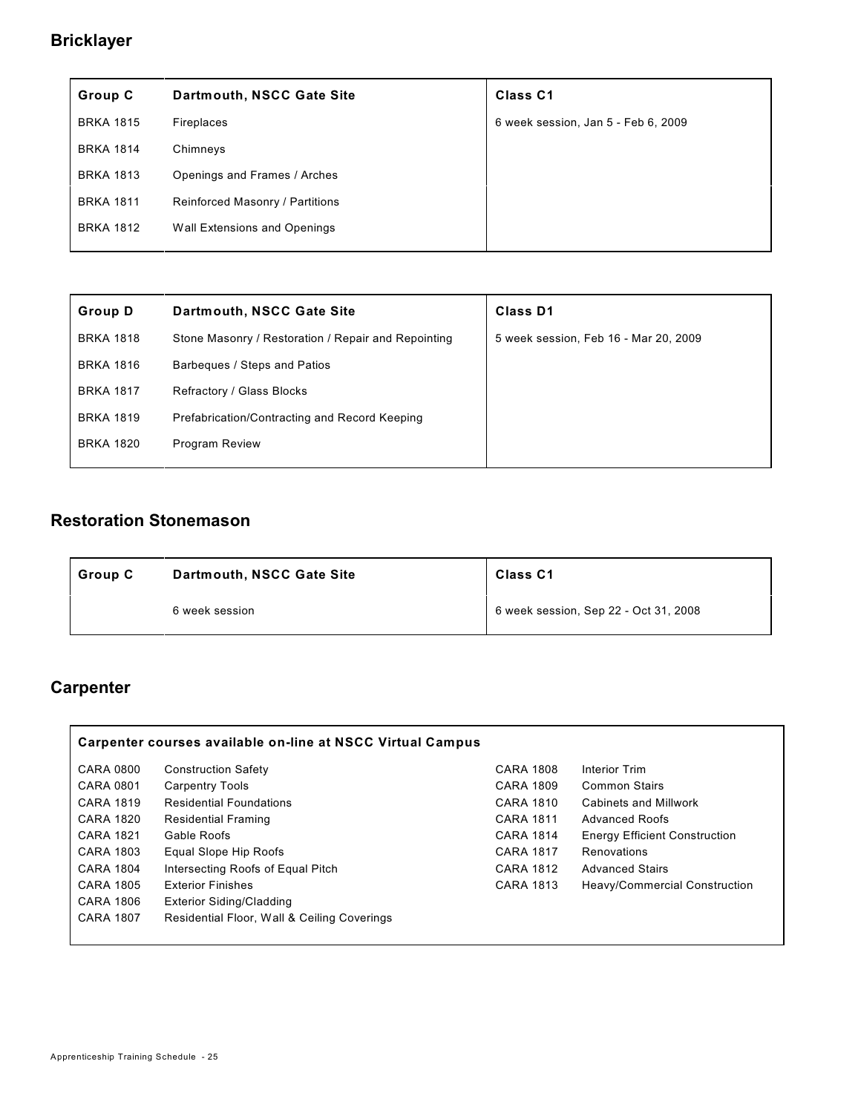## **Bricklayer**

| Group C          | Dartmouth, NSCC Gate Site       | <b>Class C1</b>                     |
|------------------|---------------------------------|-------------------------------------|
| <b>BRKA 1815</b> | Fireplaces                      | 6 week session, Jan 5 - Feb 6, 2009 |
| <b>BRKA 1814</b> | Chimneys                        |                                     |
| <b>BRKA 1813</b> | Openings and Frames / Arches    |                                     |
| <b>BRKA 1811</b> | Reinforced Masonry / Partitions |                                     |
| <b>BRKA 1812</b> | Wall Extensions and Openings    |                                     |
|                  |                                 |                                     |

| <b>Group D</b>   | Dartmouth, NSCC Gate Site                           | <b>Class D1</b>                       |
|------------------|-----------------------------------------------------|---------------------------------------|
| <b>BRKA 1818</b> | Stone Masonry / Restoration / Repair and Repointing | 5 week session, Feb 16 - Mar 20, 2009 |
| <b>BRKA 1816</b> | Barbeques / Steps and Patios                        |                                       |
| <b>BRKA 1817</b> | Refractory / Glass Blocks                           |                                       |
| <b>BRKA 1819</b> | Prefabrication/Contracting and Record Keeping       |                                       |
| <b>BRKA 1820</b> | <b>Program Review</b>                               |                                       |
|                  |                                                     |                                       |

### **Restoration Stonemason**

| Dartmouth, NSCC Gate Site<br>  Group C |                | <b>Class C1</b>                       |  |
|----------------------------------------|----------------|---------------------------------------|--|
|                                        | 6 week session | 6 week session, Sep 22 - Oct 31, 2008 |  |

## **Carpenter**

|                  | Carpenter courses available on-line at NSCC Virtual Campus |                  |                                      |
|------------------|------------------------------------------------------------|------------------|--------------------------------------|
| CARA 0800        | <b>Construction Safety</b>                                 | <b>CARA 1808</b> | Interior Trim                        |
| CARA 0801        | <b>Carpentry Tools</b>                                     | <b>CARA 1809</b> | <b>Common Stairs</b>                 |
| <b>CARA 1819</b> | <b>Residential Foundations</b>                             | <b>CARA 1810</b> | Cabinets and Millwork                |
| CARA 1820        | <b>Residential Framing</b>                                 | <b>CARA 1811</b> | <b>Advanced Roofs</b>                |
| <b>CARA 1821</b> | Gable Roofs                                                | <b>CARA 1814</b> | <b>Energy Efficient Construction</b> |
| <b>CARA 1803</b> | Equal Slope Hip Roofs                                      | <b>CARA 1817</b> | Renovations                          |
| <b>CARA 1804</b> | Intersecting Roofs of Equal Pitch                          | <b>CARA 1812</b> | <b>Advanced Stairs</b>               |
| <b>CARA 1805</b> | <b>Exterior Finishes</b>                                   | CARA 1813        | Heavy/Commercial Construction        |
| <b>CARA 1806</b> | <b>Exterior Siding/Cladding</b>                            |                  |                                      |
| <b>CARA 1807</b> | Residential Floor, Wall & Ceiling Coverings                |                  |                                      |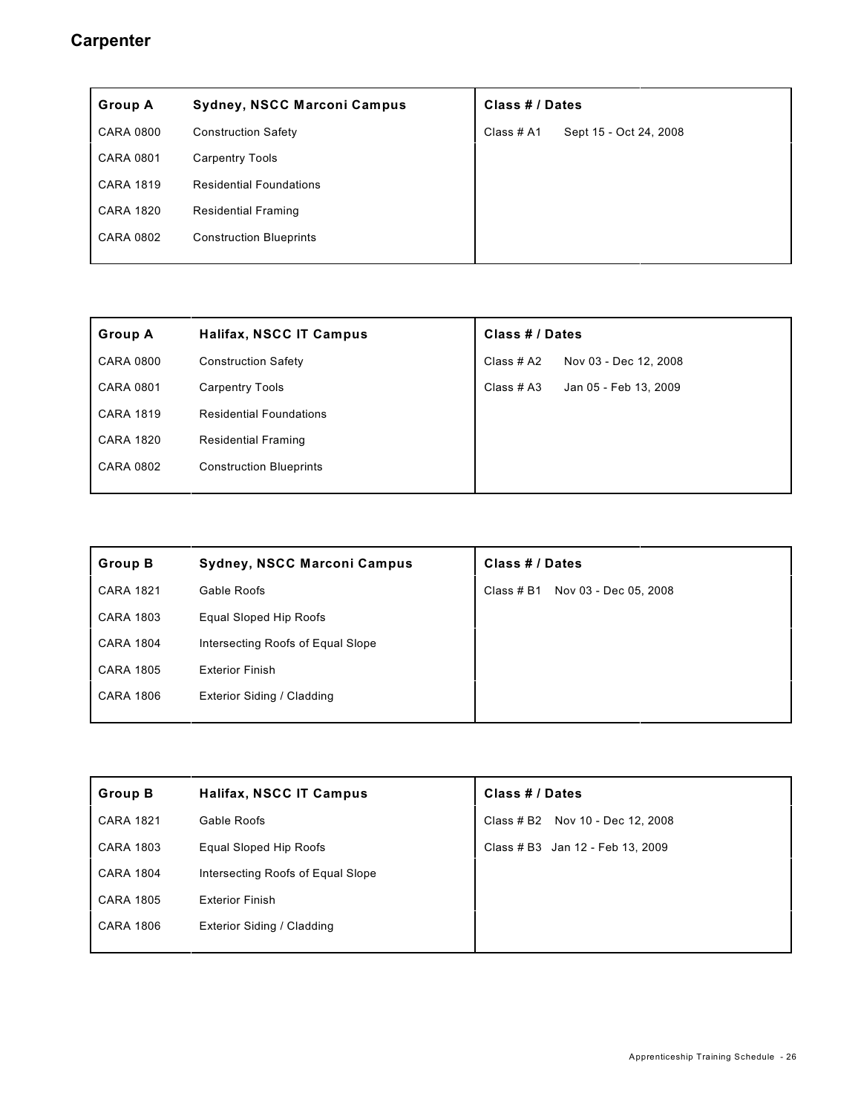#### **Carpenter**

| <b>Group A</b>   | <b>Sydney, NSCC Marconi Campus</b> | Class # / Dates |                        |
|------------------|------------------------------------|-----------------|------------------------|
| <b>CARA 0800</b> | <b>Construction Safety</b>         | Class # A1      | Sept 15 - Oct 24, 2008 |
| <b>CARA 0801</b> | <b>Carpentry Tools</b>             |                 |                        |
| <b>CARA 1819</b> | <b>Residential Foundations</b>     |                 |                        |
| <b>CARA 1820</b> | <b>Residential Framing</b>         |                 |                        |
| <b>CARA 0802</b> | <b>Construction Blueprints</b>     |                 |                        |
|                  |                                    |                 |                        |

| <b>Group A</b>   | <b>Halifax, NSCC IT Campus</b> | Class # / Dates |                       |
|------------------|--------------------------------|-----------------|-----------------------|
| <b>CARA 0800</b> | <b>Construction Safety</b>     | Class # A2      | Nov 03 - Dec 12, 2008 |
| <b>CARA 0801</b> | <b>Carpentry Tools</b>         | Class $#A3$     | Jan 05 - Feb 13, 2009 |
| <b>CARA 1819</b> | <b>Residential Foundations</b> |                 |                       |
| <b>CARA 1820</b> | <b>Residential Framing</b>     |                 |                       |
| <b>CARA 0802</b> | <b>Construction Blueprints</b> |                 |                       |
|                  |                                |                 |                       |

| <b>Group B</b>   | <b>Sydney, NSCC Marconi Campus</b> | Class # / Dates                     |  |
|------------------|------------------------------------|-------------------------------------|--|
| <b>CARA 1821</b> | Gable Roofs                        | Nov 03 - Dec 05, 2008<br>Class # B1 |  |
| <b>CARA 1803</b> | Equal Sloped Hip Roofs             |                                     |  |
| <b>CARA 1804</b> | Intersecting Roofs of Equal Slope  |                                     |  |
| <b>CARA 1805</b> | <b>Exterior Finish</b>             |                                     |  |
| <b>CARA 1806</b> | Exterior Siding / Cladding         |                                     |  |
|                  |                                    |                                     |  |

| <b>Group B</b>   | Halifax, NSCC IT Campus           | Class # / Dates                  |
|------------------|-----------------------------------|----------------------------------|
| <b>CARA 1821</b> | Gable Roofs                       | Class # B2 Nov 10 - Dec 12, 2008 |
| <b>CARA 1803</b> | Equal Sloped Hip Roofs            | Class # B3 Jan 12 - Feb 13, 2009 |
| <b>CARA 1804</b> | Intersecting Roofs of Equal Slope |                                  |
| <b>CARA 1805</b> | <b>Exterior Finish</b>            |                                  |
| <b>CARA 1806</b> | Exterior Siding / Cladding        |                                  |
|                  |                                   |                                  |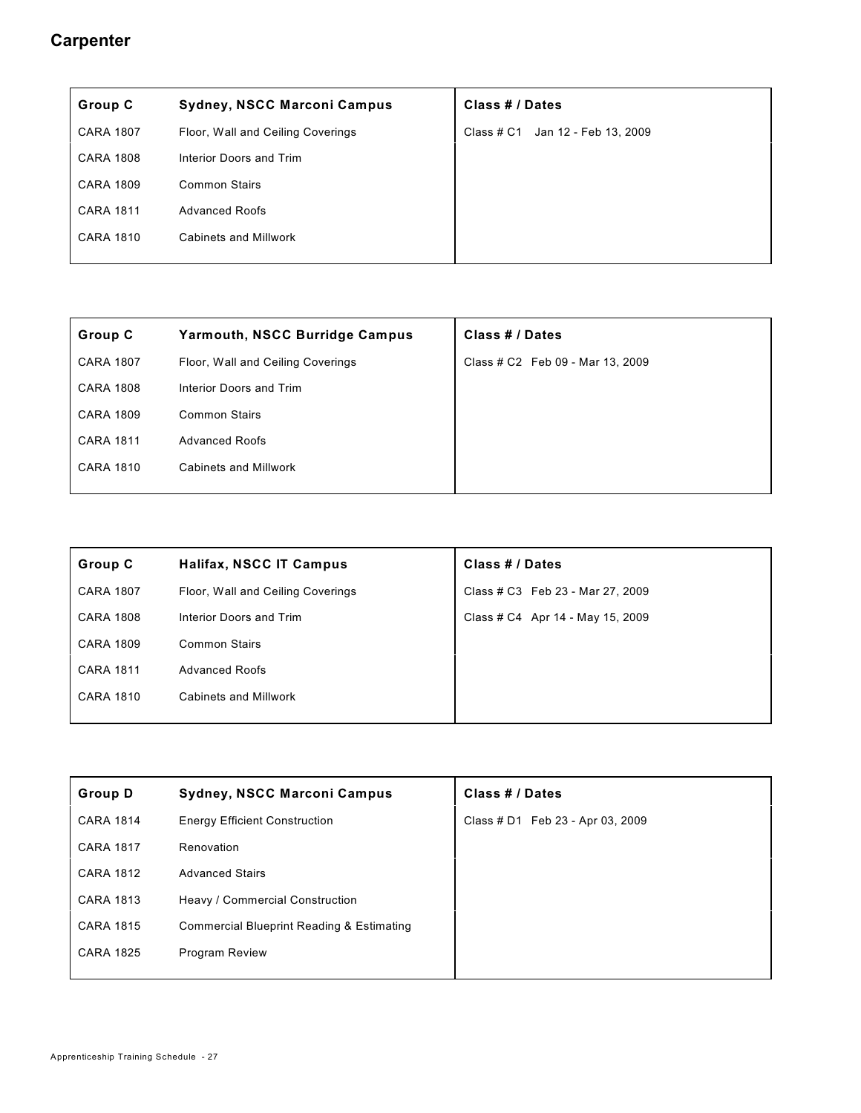#### **Carpenter**

| Group C          | <b>Sydney, NSCC Marconi Campus</b> | Class # / Dates                     |
|------------------|------------------------------------|-------------------------------------|
| <b>CARA 1807</b> | Floor, Wall and Ceiling Coverings  | Jan 12 - Feb 13, 2009<br>Class # C1 |
| <b>CARA 1808</b> | Interior Doors and Trim            |                                     |
| <b>CARA 1809</b> | <b>Common Stairs</b>               |                                     |
| <b>CARA 1811</b> | <b>Advanced Roofs</b>              |                                     |
| <b>CARA 1810</b> | <b>Cabinets and Millwork</b>       |                                     |
|                  |                                    |                                     |

| Group C          | <b>Yarmouth, NSCC Burridge Campus</b> | Class # / Dates                  |
|------------------|---------------------------------------|----------------------------------|
| <b>CARA 1807</b> | Floor, Wall and Ceiling Coverings     | Class # C2 Feb 09 - Mar 13, 2009 |
| <b>CARA 1808</b> | Interior Doors and Trim               |                                  |
| <b>CARA 1809</b> | <b>Common Stairs</b>                  |                                  |
| <b>CARA 1811</b> | <b>Advanced Roofs</b>                 |                                  |
| <b>CARA 1810</b> | <b>Cabinets and Millwork</b>          |                                  |
|                  |                                       |                                  |

| Group C          | <b>Halifax, NSCC IT Campus</b>    | Class # / Dates                  |
|------------------|-----------------------------------|----------------------------------|
| <b>CARA 1807</b> | Floor, Wall and Ceiling Coverings | Class # C3 Feb 23 - Mar 27, 2009 |
| <b>CARA 1808</b> | Interior Doors and Trim           | Class # C4 Apr 14 - May 15, 2009 |
| <b>CARA 1809</b> | <b>Common Stairs</b>              |                                  |
| <b>CARA 1811</b> | <b>Advanced Roofs</b>             |                                  |
| <b>CARA 1810</b> | Cabinets and Millwork             |                                  |
|                  |                                   |                                  |

| <b>Group D</b>   | <b>Sydney, NSCC Marconi Campus</b>        | Class # / Dates                  |
|------------------|-------------------------------------------|----------------------------------|
| <b>CARA 1814</b> | <b>Energy Efficient Construction</b>      | Class # D1 Feb 23 - Apr 03, 2009 |
| <b>CARA 1817</b> | Renovation                                |                                  |
| <b>CARA 1812</b> | <b>Advanced Stairs</b>                    |                                  |
| <b>CARA 1813</b> | Heavy / Commercial Construction           |                                  |
| <b>CARA 1815</b> | Commercial Blueprint Reading & Estimating |                                  |
| <b>CARA 1825</b> | <b>Program Review</b>                     |                                  |
|                  |                                           |                                  |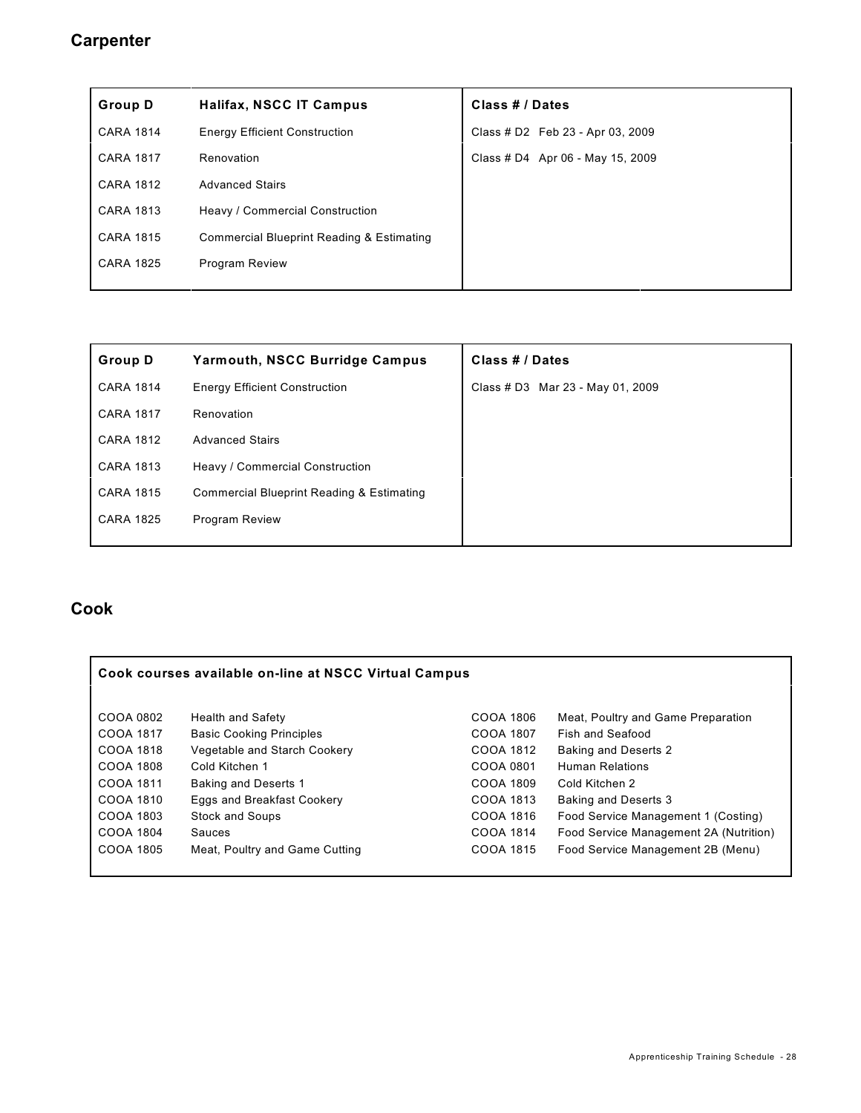#### **Carpenter**

| <b>Group D</b>   | Halifax, NSCC IT Campus                              | Class # / Dates                  |
|------------------|------------------------------------------------------|----------------------------------|
| <b>CARA 1814</b> | <b>Energy Efficient Construction</b>                 | Class # D2 Feb 23 - Apr 03, 2009 |
| <b>CARA 1817</b> | Renovation                                           | Class # D4 Apr 06 - May 15, 2009 |
| <b>CARA 1812</b> | <b>Advanced Stairs</b>                               |                                  |
| <b>CARA 1813</b> | Heavy / Commercial Construction                      |                                  |
| <b>CARA 1815</b> | <b>Commercial Blueprint Reading &amp; Estimating</b> |                                  |
| <b>CARA 1825</b> | <b>Program Review</b>                                |                                  |
|                  |                                                      |                                  |

| <b>Yarmouth, NSCC Burridge Campus</b>                | Class # / Dates                  |
|------------------------------------------------------|----------------------------------|
| <b>Energy Efficient Construction</b>                 | Class # D3 Mar 23 - May 01, 2009 |
| Renovation                                           |                                  |
| <b>Advanced Stairs</b>                               |                                  |
| Heavy / Commercial Construction                      |                                  |
| <b>Commercial Blueprint Reading &amp; Estimating</b> |                                  |
| <b>Program Review</b>                                |                                  |
|                                                      |                                  |

#### **Cook**

| Cook courses available on-line at NSCC Virtual Campus |                                 |           |                                        |
|-------------------------------------------------------|---------------------------------|-----------|----------------------------------------|
| COOA 0802                                             | <b>Health and Safety</b>        | COOA 1806 | Meat, Poultry and Game Preparation     |
| COOA 1817                                             | <b>Basic Cooking Principles</b> | COOA 1807 | Fish and Seafood                       |
| COOA 1818                                             | Vegetable and Starch Cookery    | COOA 1812 | <b>Baking and Deserts 2</b>            |
| COOA 1808                                             | Cold Kitchen 1                  | COOA 0801 | <b>Human Relations</b>                 |
| COOA 1811                                             | <b>Baking and Deserts 1</b>     | COOA 1809 | Cold Kitchen 2                         |
| COOA 1810                                             | Eggs and Breakfast Cookery      | COOA 1813 | <b>Baking and Deserts 3</b>            |
| COOA 1803                                             | <b>Stock and Soups</b>          | COOA 1816 | Food Service Management 1 (Costing)    |
| COOA 1804                                             | Sauces                          | COOA 1814 | Food Service Management 2A (Nutrition) |
| COOA 1805                                             | Meat, Poultry and Game Cutting  | COOA 1815 | Food Service Management 2B (Menu)      |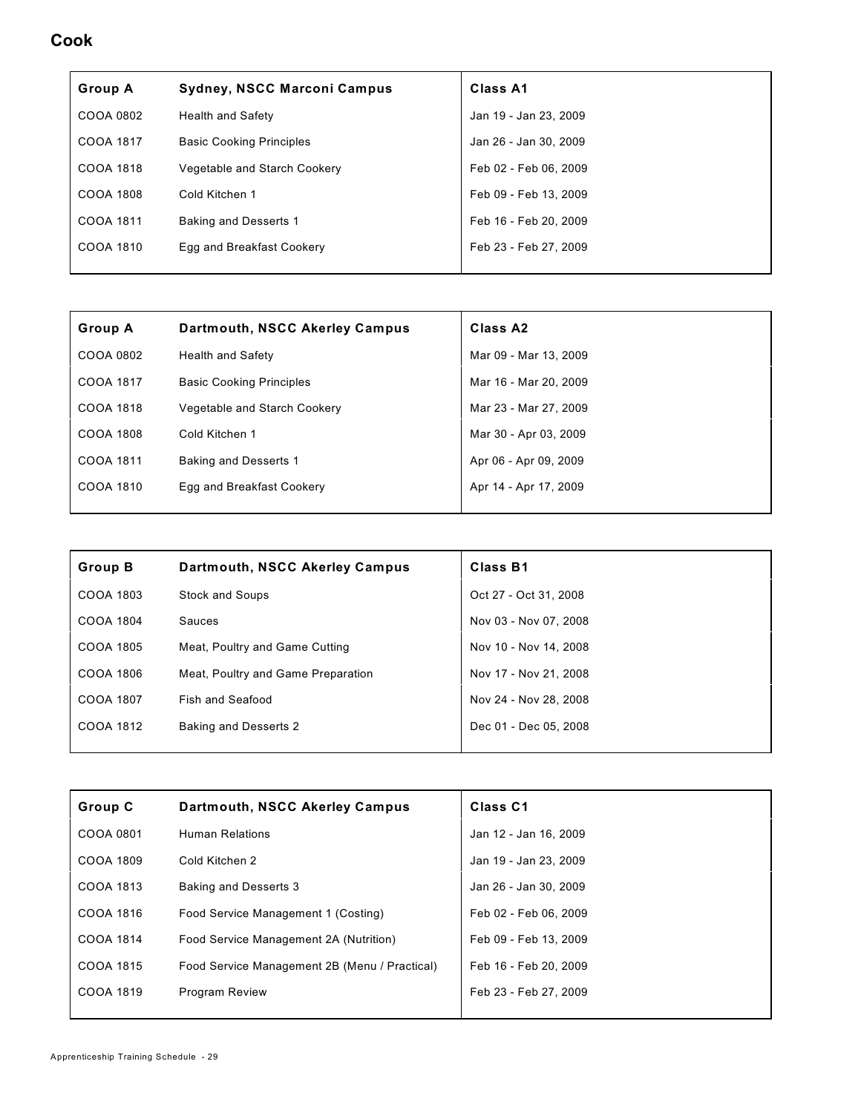#### **Cook**

| <b>Group A</b> | Sydney, NSCC Marconi Campus     | Class A1              |
|----------------|---------------------------------|-----------------------|
| COOA 0802      | <b>Health and Safety</b>        | Jan 19 - Jan 23, 2009 |
| COOA 1817      | <b>Basic Cooking Principles</b> | Jan 26 - Jan 30, 2009 |
| COOA 1818      | Vegetable and Starch Cookery    | Feb 02 - Feb 06, 2009 |
| COOA 1808      | Cold Kitchen 1                  | Feb 09 - Feb 13, 2009 |
| COOA 1811      | <b>Baking and Desserts 1</b>    | Feb 16 - Feb 20, 2009 |
| COOA 1810      | Egg and Breakfast Cookery       | Feb 23 - Feb 27, 2009 |
|                |                                 |                       |

| <b>Group A</b> | Dartmouth, NSCC Akerley Campus  | Class A <sub>2</sub>  |
|----------------|---------------------------------|-----------------------|
| COOA 0802      | <b>Health and Safety</b>        | Mar 09 - Mar 13, 2009 |
| COOA 1817      | <b>Basic Cooking Principles</b> | Mar 16 - Mar 20, 2009 |
| COOA 1818      | Vegetable and Starch Cookery    | Mar 23 - Mar 27, 2009 |
| COOA 1808      | Cold Kitchen 1                  | Mar 30 - Apr 03, 2009 |
| COOA 1811      | <b>Baking and Desserts 1</b>    | Apr 06 - Apr 09, 2009 |
| COOA 1810      | Egg and Breakfast Cookery       | Apr 14 - Apr 17, 2009 |
|                |                                 |                       |

| <b>Group B</b> | Dartmouth, NSCC Akerley Campus     | Class B1              |
|----------------|------------------------------------|-----------------------|
| COOA 1803      | <b>Stock and Soups</b>             | Oct 27 - Oct 31, 2008 |
| COOA 1804      | Sauces                             | Nov 03 - Nov 07, 2008 |
| COOA 1805      | Meat, Poultry and Game Cutting     | Nov 10 - Nov 14, 2008 |
| COOA 1806      | Meat, Poultry and Game Preparation | Nov 17 - Nov 21, 2008 |
| COOA 1807      | Fish and Seafood                   | Nov 24 - Nov 28, 2008 |
| COOA 1812      | <b>Baking and Desserts 2</b>       | Dec 01 - Dec 05, 2008 |
|                |                                    |                       |

| Group C   | Dartmouth, NSCC Akerley Campus                | Class <sub>C1</sub>   |
|-----------|-----------------------------------------------|-----------------------|
| COOA 0801 | <b>Human Relations</b>                        | Jan 12 - Jan 16, 2009 |
| COOA 1809 | Cold Kitchen 2                                | Jan 19 - Jan 23, 2009 |
| COOA 1813 | <b>Baking and Desserts 3</b>                  | Jan 26 - Jan 30, 2009 |
| COOA 1816 | Food Service Management 1 (Costing)           | Feb 02 - Feb 06, 2009 |
| COOA 1814 | Food Service Management 2A (Nutrition)        | Feb 09 - Feb 13, 2009 |
| COOA 1815 | Food Service Management 2B (Menu / Practical) | Feb 16 - Feb 20, 2009 |
| COOA 1819 | <b>Program Review</b>                         | Feb 23 - Feb 27, 2009 |
|           |                                               |                       |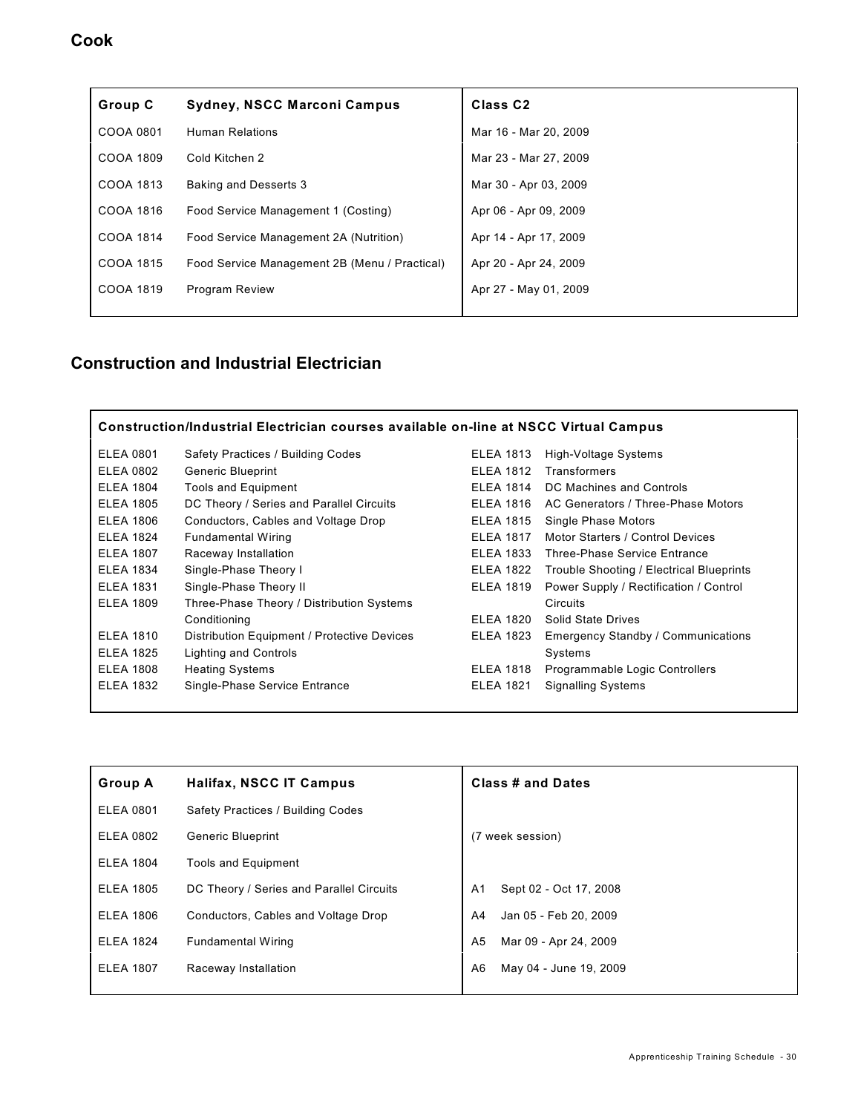#### **Cook**

| Group C   | <b>Sydney, NSCC Marconi Campus</b>            | Class <sub>C2</sub>   |
|-----------|-----------------------------------------------|-----------------------|
| COOA 0801 | <b>Human Relations</b>                        | Mar 16 - Mar 20, 2009 |
| COOA 1809 | Cold Kitchen 2                                | Mar 23 - Mar 27, 2009 |
| COOA 1813 | <b>Baking and Desserts 3</b>                  | Mar 30 - Apr 03, 2009 |
| COOA 1816 | Food Service Management 1 (Costing)           | Apr 06 - Apr 09, 2009 |
| COOA 1814 | Food Service Management 2A (Nutrition)        | Apr 14 - Apr 17, 2009 |
| COOA 1815 | Food Service Management 2B (Menu / Practical) | Apr 20 - Apr 24, 2009 |
| COOA 1819 | <b>Program Review</b>                         | Apr 27 - May 01, 2009 |
|           |                                               |                       |

| Construction/Industrial Electrician courses available on-line at NSCC Virtual Campus |                                             |                  |                                          |
|--------------------------------------------------------------------------------------|---------------------------------------------|------------------|------------------------------------------|
| <b>ELEA 0801</b>                                                                     | Safety Practices / Building Codes           | <b>ELEA 1813</b> | High-Voltage Systems                     |
| <b>ELEA 0802</b>                                                                     | <b>Generic Blueprint</b>                    | <b>ELEA 1812</b> | <b>Transformers</b>                      |
| <b>ELEA 1804</b>                                                                     | <b>Tools and Equipment</b>                  | <b>ELEA 1814</b> | DC Machines and Controls                 |
| <b>ELEA 1805</b>                                                                     | DC Theory / Series and Parallel Circuits    | <b>ELEA 1816</b> | AC Generators / Three-Phase Motors       |
| <b>ELEA 1806</b>                                                                     | Conductors, Cables and Voltage Drop         | <b>ELEA 1815</b> | Single Phase Motors                      |
| <b>ELEA 1824</b>                                                                     | <b>Fundamental Wiring</b>                   | <b>ELEA 1817</b> | Motor Starters / Control Devices         |
| <b>ELEA 1807</b>                                                                     | Raceway Installation                        | <b>ELEA 1833</b> | <b>Three-Phase Service Entrance</b>      |
| <b>ELEA 1834</b>                                                                     | Single-Phase Theory I                       | <b>ELEA 1822</b> | Trouble Shooting / Electrical Blueprints |
| <b>ELEA 1831</b>                                                                     | Single-Phase Theory II                      | <b>ELEA 1819</b> | Power Supply / Rectification / Control   |
| <b>ELEA 1809</b>                                                                     | Three-Phase Theory / Distribution Systems   |                  | <b>Circuits</b>                          |
|                                                                                      | Conditioning                                | <b>ELEA 1820</b> | Solid State Drives                       |
| <b>ELEA 1810</b>                                                                     | Distribution Equipment / Protective Devices | <b>ELEA 1823</b> | Emergency Standby / Communications       |
| <b>ELEA 1825</b>                                                                     | Lighting and Controls                       |                  | Systems                                  |
| <b>ELEA 1808</b>                                                                     | <b>Heating Systems</b>                      | <b>ELEA 1818</b> | Programmable Logic Controllers           |
| <b>ELEA 1832</b>                                                                     | Single-Phase Service Entrance               | <b>ELEA 1821</b> | <b>Signalling Systems</b>                |
|                                                                                      |                                             |                  |                                          |

| <b>Group A</b>   | <b>Halifax, NSCC IT Campus</b>           | Class # and Dates                        |
|------------------|------------------------------------------|------------------------------------------|
| <b>ELEA 0801</b> | Safety Practices / Building Codes        |                                          |
| <b>ELEA 0802</b> | <b>Generic Blueprint</b>                 | (7 week session)                         |
| <b>ELEA 1804</b> | <b>Tools and Equipment</b>               |                                          |
| <b>ELEA 1805</b> | DC Theory / Series and Parallel Circuits | Sept 02 - Oct 17, 2008<br>A <sub>1</sub> |
| <b>ELEA 1806</b> | Conductors, Cables and Voltage Drop      | Jan 05 - Feb 20, 2009<br>A4              |
| <b>ELEA 1824</b> | <b>Fundamental Wiring</b>                | Mar 09 - Apr 24, 2009<br>A5              |
| <b>ELEA 1807</b> | Raceway Installation                     | May 04 - June 19, 2009<br>A <sub>6</sub> |
|                  |                                          |                                          |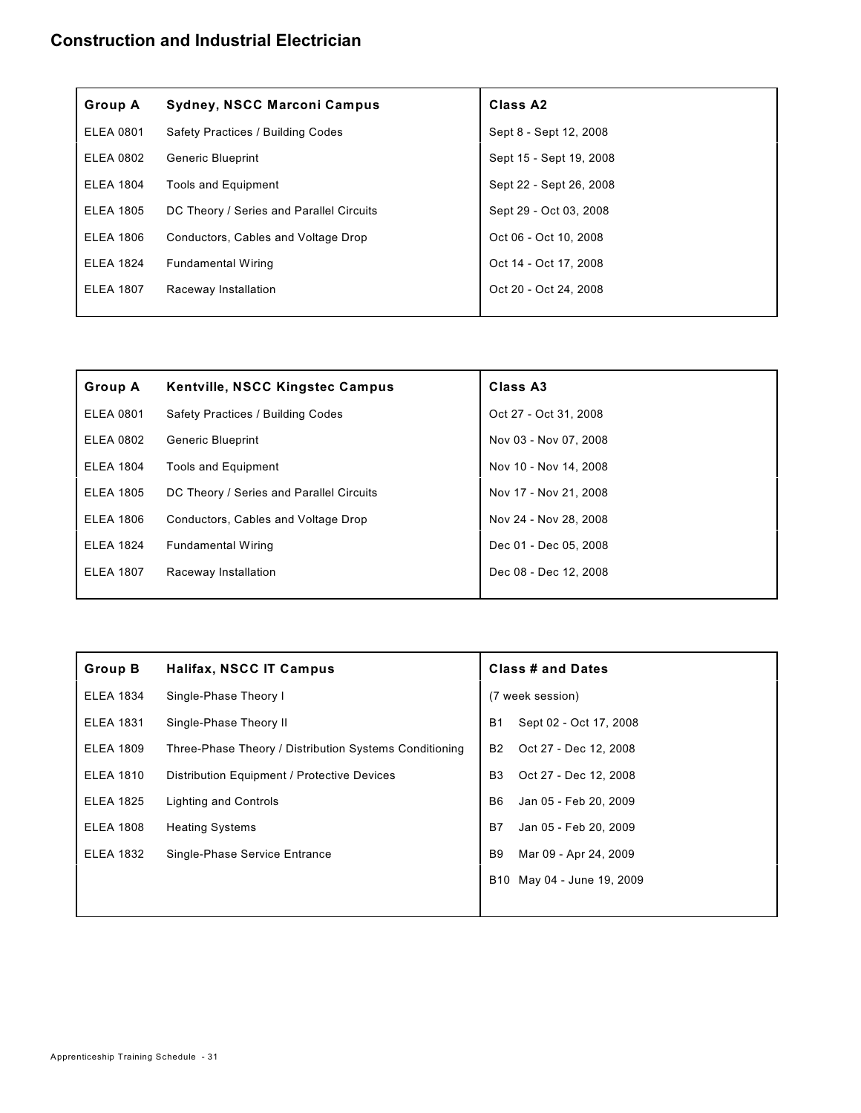| <b>Group A</b>   | <b>Sydney, NSCC Marconi Campus</b>       | Class A <sub>2</sub>    |
|------------------|------------------------------------------|-------------------------|
| <b>ELEA 0801</b> | Safety Practices / Building Codes        | Sept 8 - Sept 12, 2008  |
| <b>ELEA 0802</b> | <b>Generic Blueprint</b>                 | Sept 15 - Sept 19, 2008 |
| <b>ELEA 1804</b> | <b>Tools and Equipment</b>               | Sept 22 - Sept 26, 2008 |
| <b>ELEA 1805</b> | DC Theory / Series and Parallel Circuits | Sept 29 - Oct 03, 2008  |
| <b>ELEA 1806</b> | Conductors, Cables and Voltage Drop      | Oct 06 - Oct 10, 2008   |
| <b>ELEA 1824</b> | <b>Fundamental Wiring</b>                | Oct 14 - Oct 17, 2008   |
| <b>ELEA 1807</b> | Raceway Installation                     | Oct 20 - Oct 24, 2008   |
|                  |                                          |                         |

| <b>Group A</b>   | <b>Kentville, NSCC Kingstec Campus</b>   | Class A3              |
|------------------|------------------------------------------|-----------------------|
| <b>ELEA 0801</b> | Safety Practices / Building Codes        | Oct 27 - Oct 31, 2008 |
| <b>ELEA 0802</b> | <b>Generic Blueprint</b>                 | Nov 03 - Nov 07, 2008 |
| <b>ELEA 1804</b> | <b>Tools and Equipment</b>               | Nov 10 - Nov 14, 2008 |
| <b>ELEA 1805</b> | DC Theory / Series and Parallel Circuits | Nov 17 - Nov 21, 2008 |
| <b>ELEA 1806</b> | Conductors, Cables and Voltage Drop      | Nov 24 - Nov 28, 2008 |
| <b>ELEA 1824</b> | <b>Fundamental Wiring</b>                | Dec 01 - Dec 05, 2008 |
| <b>ELEA 1807</b> | Raceway Installation                     | Dec 08 - Dec 12, 2008 |
|                  |                                          |                       |

| <b>Group B</b>   | Halifax, NSCC IT Campus                                |                | <b>Class # and Dates</b> |  |
|------------------|--------------------------------------------------------|----------------|--------------------------|--|
| <b>ELEA 1834</b> | Single-Phase Theory I                                  |                | (7 week session)         |  |
| <b>ELEA 1831</b> | Single-Phase Theory II                                 | <b>B1</b>      | Sept 02 - Oct 17, 2008   |  |
| <b>ELEA 1809</b> | Three-Phase Theory / Distribution Systems Conditioning | <b>B2</b>      | Oct 27 - Dec 12, 2008    |  |
| <b>ELEA 1810</b> | Distribution Equipment / Protective Devices            | B <sub>3</sub> | Oct 27 - Dec 12, 2008    |  |
| <b>ELEA 1825</b> | Lighting and Controls                                  | B <sub>6</sub> | Jan 05 - Feb 20, 2009    |  |
| <b>ELEA 1808</b> | <b>Heating Systems</b>                                 | B7             | Jan 05 - Feb 20, 2009    |  |
| <b>ELEA 1832</b> | Single-Phase Service Entrance                          | <b>B9</b>      | Mar 09 - Apr 24, 2009    |  |
|                  |                                                        | B10            | May 04 - June 19, 2009   |  |
|                  |                                                        |                |                          |  |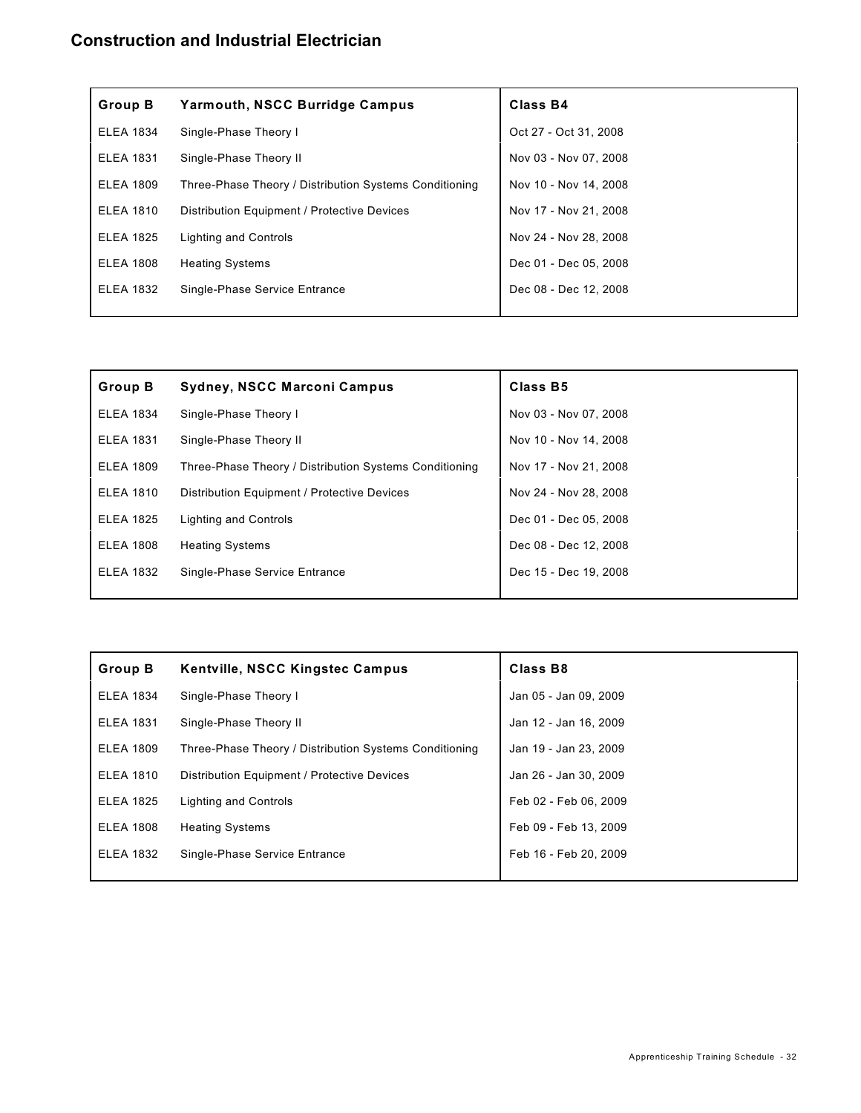| Group B          | <b>Yarmouth, NSCC Burridge Campus</b>                  | Class B4              |
|------------------|--------------------------------------------------------|-----------------------|
| <b>ELEA 1834</b> | Single-Phase Theory I                                  | Oct 27 - Oct 31, 2008 |
| <b>ELEA 1831</b> | Single-Phase Theory II                                 | Nov 03 - Nov 07, 2008 |
| <b>ELEA 1809</b> | Three-Phase Theory / Distribution Systems Conditioning | Nov 10 - Nov 14, 2008 |
| <b>ELEA 1810</b> | Distribution Equipment / Protective Devices            | Nov 17 - Nov 21, 2008 |
| <b>ELEA 1825</b> | Lighting and Controls                                  | Nov 24 - Nov 28, 2008 |
| <b>ELEA 1808</b> | <b>Heating Systems</b>                                 | Dec 01 - Dec 05, 2008 |
| <b>ELEA 1832</b> | Single-Phase Service Entrance                          | Dec 08 - Dec 12, 2008 |
|                  |                                                        |                       |

| Group B          | <b>Sydney, NSCC Marconi Campus</b>                     | Class B5              |
|------------------|--------------------------------------------------------|-----------------------|
| <b>ELEA 1834</b> | Single-Phase Theory I                                  | Nov 03 - Nov 07, 2008 |
| <b>ELEA 1831</b> | Single-Phase Theory II                                 | Nov 10 - Nov 14, 2008 |
| <b>ELEA 1809</b> | Three-Phase Theory / Distribution Systems Conditioning | Nov 17 - Nov 21, 2008 |
| <b>ELEA 1810</b> | Distribution Equipment / Protective Devices            | Nov 24 - Nov 28, 2008 |
| <b>ELEA 1825</b> | Lighting and Controls                                  | Dec 01 - Dec 05, 2008 |
| <b>ELEA 1808</b> | <b>Heating Systems</b>                                 | Dec 08 - Dec 12, 2008 |
| <b>ELEA 1832</b> | Single-Phase Service Entrance                          | Dec 15 - Dec 19, 2008 |
|                  |                                                        |                       |

| <b>Group B</b>   | Kentville, NSCC Kingstec Campus                        | Class B8              |
|------------------|--------------------------------------------------------|-----------------------|
| <b>ELEA 1834</b> | Single-Phase Theory I                                  | Jan 05 - Jan 09, 2009 |
| <b>ELEA 1831</b> | Single-Phase Theory II                                 | Jan 12 - Jan 16, 2009 |
| <b>ELEA 1809</b> | Three-Phase Theory / Distribution Systems Conditioning | Jan 19 - Jan 23, 2009 |
| <b>ELEA 1810</b> | Distribution Equipment / Protective Devices            | Jan 26 - Jan 30, 2009 |
| <b>ELEA 1825</b> | Lighting and Controls                                  | Feb 02 - Feb 06, 2009 |
| <b>ELEA 1808</b> | <b>Heating Systems</b>                                 | Feb 09 - Feb 13, 2009 |
| <b>ELEA 1832</b> | Single-Phase Service Entrance                          | Feb 16 - Feb 20, 2009 |
|                  |                                                        |                       |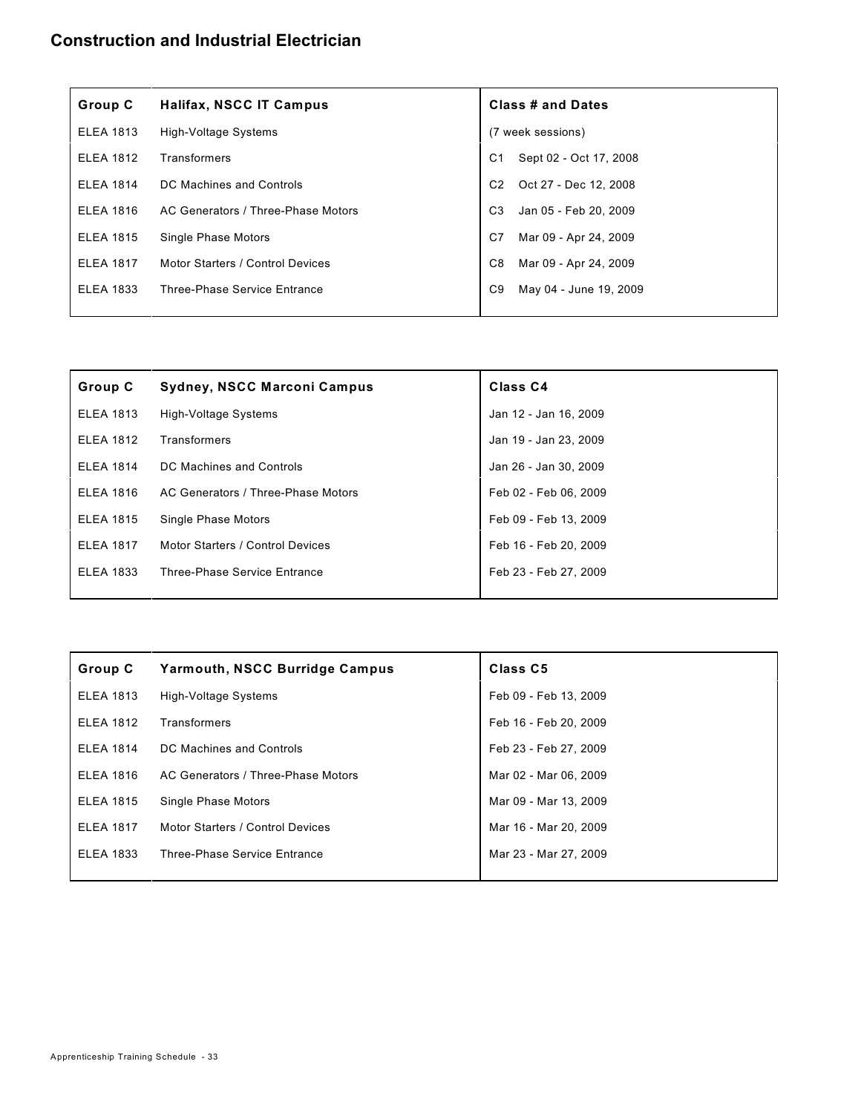| Group C          | <b>Halifax, NSCC IT Campus</b>     | <b>Class # and Dates</b>                 |
|------------------|------------------------------------|------------------------------------------|
| <b>ELEA 1813</b> | High-Voltage Systems               | (7 week sessions)                        |
| <b>ELEA 1812</b> | Transformers                       | Sept 02 - Oct 17, 2008<br>C1             |
| <b>ELEA 1814</b> | DC Machines and Controls           | Oct 27 - Dec 12, 2008<br>C <sub>2</sub>  |
| <b>ELEA 1816</b> | AC Generators / Three-Phase Motors | C <sub>3</sub><br>Jan 05 - Feb 20, 2009  |
| <b>ELEA 1815</b> | Single Phase Motors                | Mar 09 - Apr 24, 2009<br>C7              |
| <b>ELEA 1817</b> | Motor Starters / Control Devices   | C <sub>8</sub><br>Mar 09 - Apr 24, 2009  |
| <b>ELEA 1833</b> | Three-Phase Service Entrance       | C <sub>9</sub><br>May 04 - June 19, 2009 |
|                  |                                    |                                          |

| Group C          | Sydney, NSCC Marconi Campus        | Class <sub>C4</sub>   |
|------------------|------------------------------------|-----------------------|
| <b>ELEA 1813</b> | High-Voltage Systems               | Jan 12 - Jan 16, 2009 |
| <b>ELEA 1812</b> | Transformers                       | Jan 19 - Jan 23, 2009 |
| <b>ELEA 1814</b> | DC Machines and Controls           | Jan 26 - Jan 30, 2009 |
| <b>ELEA 1816</b> | AC Generators / Three-Phase Motors | Feb 02 - Feb 06, 2009 |
| <b>ELEA 1815</b> | Single Phase Motors                | Feb 09 - Feb 13, 2009 |
| <b>ELEA 1817</b> | Motor Starters / Control Devices   | Feb 16 - Feb 20, 2009 |
| <b>ELEA 1833</b> | Three-Phase Service Entrance       | Feb 23 - Feb 27, 2009 |
|                  |                                    |                       |

| Group C          | <b>Yarmouth, NSCC Burridge Campus</b> | Class C5              |
|------------------|---------------------------------------|-----------------------|
| <b>ELEA 1813</b> | High-Voltage Systems                  | Feb 09 - Feb 13, 2009 |
| <b>ELEA 1812</b> | Transformers                          | Feb 16 - Feb 20, 2009 |
| <b>ELEA 1814</b> | DC Machines and Controls              | Feb 23 - Feb 27, 2009 |
| <b>ELEA 1816</b> | AC Generators / Three-Phase Motors    | Mar 02 - Mar 06, 2009 |
| <b>ELEA 1815</b> | Single Phase Motors                   | Mar 09 - Mar 13, 2009 |
| <b>ELEA 1817</b> | Motor Starters / Control Devices      | Mar 16 - Mar 20, 2009 |
| <b>ELEA 1833</b> | <b>Three-Phase Service Entrance</b>   | Mar 23 - Mar 27, 2009 |
|                  |                                       |                       |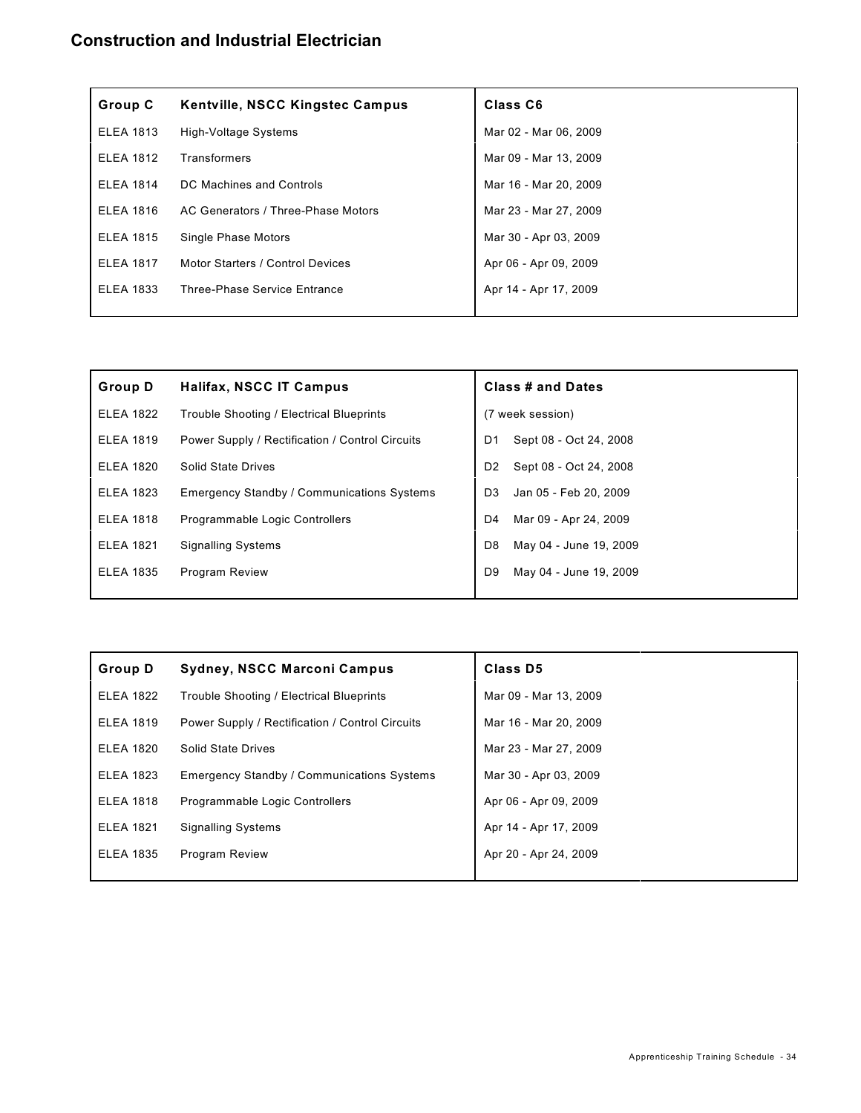| Group C          | <b>Kentville, NSCC Kingstec Campus</b> | Class C6              |
|------------------|----------------------------------------|-----------------------|
| <b>ELEA 1813</b> | High-Voltage Systems                   | Mar 02 - Mar 06, 2009 |
| <b>ELEA 1812</b> | Transformers                           | Mar 09 - Mar 13, 2009 |
| <b>ELEA 1814</b> | DC Machines and Controls               | Mar 16 - Mar 20, 2009 |
| <b>ELEA 1816</b> | AC Generators / Three-Phase Motors     | Mar 23 - Mar 27, 2009 |
| <b>ELEA 1815</b> | Single Phase Motors                    | Mar 30 - Apr 03, 2009 |
| <b>ELEA 1817</b> | Motor Starters / Control Devices       | Apr 06 - Apr 09, 2009 |
| <b>ELEA 1833</b> | <b>Three-Phase Service Entrance</b>    | Apr 14 - Apr 17, 2009 |
|                  |                                        |                       |

| <b>Group D</b>   | <b>Halifax, NSCC IT Campus</b>                    |                | <b>Class # and Dates</b> |
|------------------|---------------------------------------------------|----------------|--------------------------|
| <b>ELEA 1822</b> | Trouble Shooting / Electrical Blueprints          |                | (7 week session)         |
| <b>ELEA 1819</b> | Power Supply / Rectification / Control Circuits   | D <sub>1</sub> | Sept 08 - Oct 24, 2008   |
| <b>ELEA 1820</b> | <b>Solid State Drives</b>                         | D <sub>2</sub> | Sept 08 - Oct 24, 2008   |
| <b>ELEA 1823</b> | <b>Emergency Standby / Communications Systems</b> | D <sub>3</sub> | Jan 05 - Feb 20, 2009    |
| <b>ELEA 1818</b> | Programmable Logic Controllers                    | D4             | Mar 09 - Apr 24, 2009    |
| <b>ELEA 1821</b> | <b>Signalling Systems</b>                         | D <sub>8</sub> | May 04 - June 19, 2009   |
| <b>ELEA 1835</b> | <b>Program Review</b>                             | D <sub>9</sub> | May 04 - June 19, 2009   |
|                  |                                                   |                |                          |

| Group D          | <b>Sydney, NSCC Marconi Campus</b>                | Class D5              |
|------------------|---------------------------------------------------|-----------------------|
| <b>ELEA 1822</b> | Trouble Shooting / Electrical Blueprints          | Mar 09 - Mar 13, 2009 |
| <b>ELEA 1819</b> | Power Supply / Rectification / Control Circuits   | Mar 16 - Mar 20, 2009 |
| <b>ELEA 1820</b> | Solid State Drives                                | Mar 23 - Mar 27, 2009 |
| <b>ELEA 1823</b> | <b>Emergency Standby / Communications Systems</b> | Mar 30 - Apr 03, 2009 |
| <b>ELEA 1818</b> | Programmable Logic Controllers                    | Apr 06 - Apr 09, 2009 |
| <b>ELEA 1821</b> | <b>Signalling Systems</b>                         | Apr 14 - Apr 17, 2009 |
| <b>ELEA 1835</b> | <b>Program Review</b>                             | Apr 20 - Apr 24, 2009 |
|                  |                                                   |                       |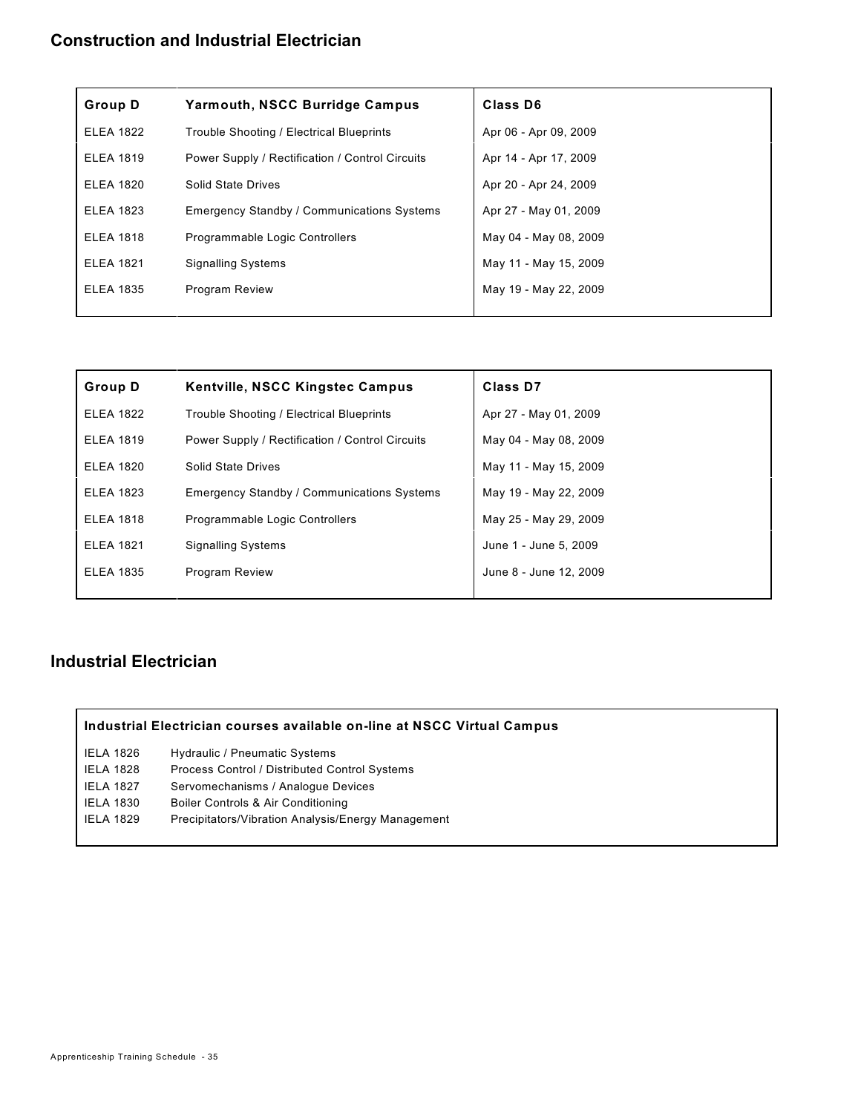| <b>Group D</b>   | <b>Yarmouth, NSCC Burridge Campus</b>             | Class D6              |
|------------------|---------------------------------------------------|-----------------------|
| <b>ELEA 1822</b> | Trouble Shooting / Electrical Blueprints          | Apr 06 - Apr 09, 2009 |
| <b>ELEA 1819</b> | Power Supply / Rectification / Control Circuits   | Apr 14 - Apr 17, 2009 |
| <b>ELEA 1820</b> | Solid State Drives                                | Apr 20 - Apr 24, 2009 |
| <b>ELEA 1823</b> | <b>Emergency Standby / Communications Systems</b> | Apr 27 - May 01, 2009 |
| <b>ELEA 1818</b> | Programmable Logic Controllers                    | May 04 - May 08, 2009 |
| <b>ELEA 1821</b> | <b>Signalling Systems</b>                         | May 11 - May 15, 2009 |
| <b>ELEA 1835</b> | <b>Program Review</b>                             | May 19 - May 22, 2009 |
|                  |                                                   |                       |

| <b>Group D</b>   | <b>Kentville, NSCC Kingstec Campus</b>            | <b>Class D7</b>        |
|------------------|---------------------------------------------------|------------------------|
| <b>ELEA 1822</b> | Trouble Shooting / Electrical Blueprints          | Apr 27 - May 01, 2009  |
| <b>ELEA 1819</b> | Power Supply / Rectification / Control Circuits   | May 04 - May 08, 2009  |
| <b>ELEA 1820</b> | <b>Solid State Drives</b>                         | May 11 - May 15, 2009  |
| <b>ELEA 1823</b> | <b>Emergency Standby / Communications Systems</b> | May 19 - May 22, 2009  |
| <b>ELEA 1818</b> | Programmable Logic Controllers                    | May 25 - May 29, 2009  |
| <b>ELEA 1821</b> | <b>Signalling Systems</b>                         | June 1 - June 5, 2009  |
| <b>ELEA 1835</b> | Program Review                                    | June 8 - June 12, 2009 |
|                  |                                                   |                        |

### **Industrial Electrician**

#### **Industrial Electrician courses available on-line at NSCC Virtual Campus**

- IELA 1826 Hydraulic / Pneumatic Systems
- IELA 1828 Process Control / Distributed Control Systems
- IELA 1827 Servomechanisms / Analogue Devices
- IELA 1830 Boiler Controls & Air Conditioning
- IELA 1829 Precipitators/Vibration Analysis/Energy Management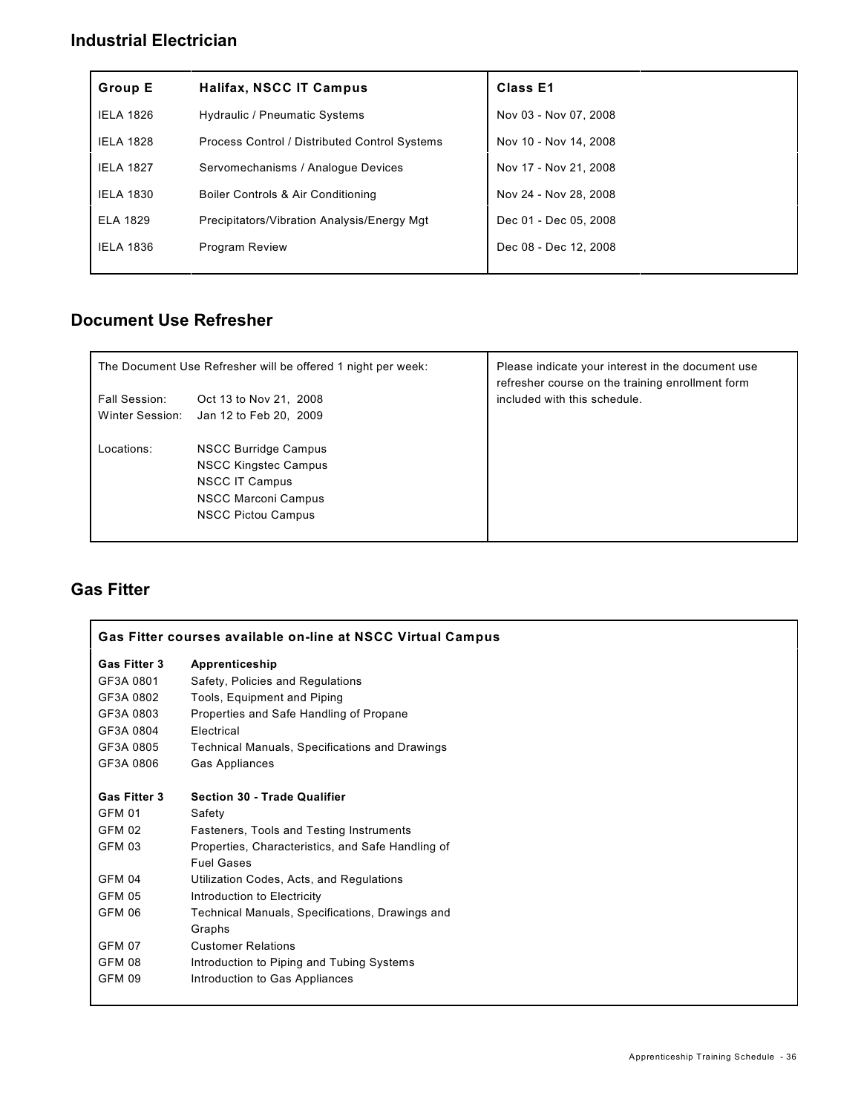#### **Industrial Electrician**

| <b>Group E</b>   | Halifax, NSCC IT Campus                       | Class E1              |
|------------------|-----------------------------------------------|-----------------------|
| <b>IELA 1826</b> | <b>Hydraulic / Pneumatic Systems</b>          | Nov 03 - Nov 07, 2008 |
| <b>IELA 1828</b> | Process Control / Distributed Control Systems | Nov 10 - Nov 14, 2008 |
| <b>IELA 1827</b> | Servomechanisms / Analogue Devices            | Nov 17 - Nov 21, 2008 |
| <b>IELA 1830</b> | Boiler Controls & Air Conditioning            | Nov 24 - Nov 28, 2008 |
| <b>ELA 1829</b>  | Precipitators/Vibration Analysis/Energy Mgt   | Dec 01 - Dec 05, 2008 |
| <b>IELA 1836</b> | <b>Program Review</b>                         | Dec 08 - Dec 12, 2008 |
|                  |                                               |                       |

### **Document Use Refresher**

|                      | The Document Use Refresher will be offered 1 night per week: | Please indicate your interest in the document use<br>refresher course on the training enrollment form |
|----------------------|--------------------------------------------------------------|-------------------------------------------------------------------------------------------------------|
| <b>Fall Session:</b> | Oct 13 to Nov 21, 2008                                       | included with this schedule.                                                                          |
| Winter Session:      | Jan 12 to Feb 20, 2009                                       |                                                                                                       |
| Locations:           | NSCC Burridge Campus                                         |                                                                                                       |
|                      | <b>NSCC Kingstec Campus</b>                                  |                                                                                                       |
|                      | <b>NSCC IT Campus</b>                                        |                                                                                                       |
|                      | <b>NSCC Marconi Campus</b>                                   |                                                                                                       |
|                      | <b>NSCC Pictou Campus</b>                                    |                                                                                                       |
|                      |                                                              |                                                                                                       |

### **Gas Fitter**

| Gas Fitter courses available on-line at NSCC Virtual Campus |                                                       |  |
|-------------------------------------------------------------|-------------------------------------------------------|--|
| <b>Gas Fitter 3</b>                                         | Apprenticeship                                        |  |
| GF3A 0801                                                   | Safety, Policies and Regulations                      |  |
| GF3A 0802                                                   | Tools, Equipment and Piping                           |  |
| GF3A 0803                                                   | Properties and Safe Handling of Propane               |  |
| GF3A 0804                                                   | Electrical                                            |  |
| GF3A 0805                                                   | <b>Technical Manuals, Specifications and Drawings</b> |  |
| GF3A 0806                                                   | Gas Appliances                                        |  |
| Gas Fitter 3                                                | <b>Section 30 - Trade Qualifier</b>                   |  |
| <b>GFM 01</b>                                               | Safety                                                |  |
| GFM 02                                                      | Fasteners, Tools and Testing Instruments              |  |
| <b>GFM 03</b>                                               | Properties, Characteristics, and Safe Handling of     |  |
|                                                             | <b>Fuel Gases</b>                                     |  |
| GFM 04                                                      | Utilization Codes, Acts, and Regulations              |  |
| <b>GFM 05</b>                                               | Introduction to Electricity                           |  |
| <b>GFM 06</b>                                               | Technical Manuals, Specifications, Drawings and       |  |
|                                                             | Graphs                                                |  |
| <b>GFM 07</b>                                               | <b>Customer Relations</b>                             |  |
| <b>GFM 08</b>                                               | Introduction to Piping and Tubing Systems             |  |
| <b>GFM 09</b>                                               | Introduction to Gas Appliances                        |  |
|                                                             |                                                       |  |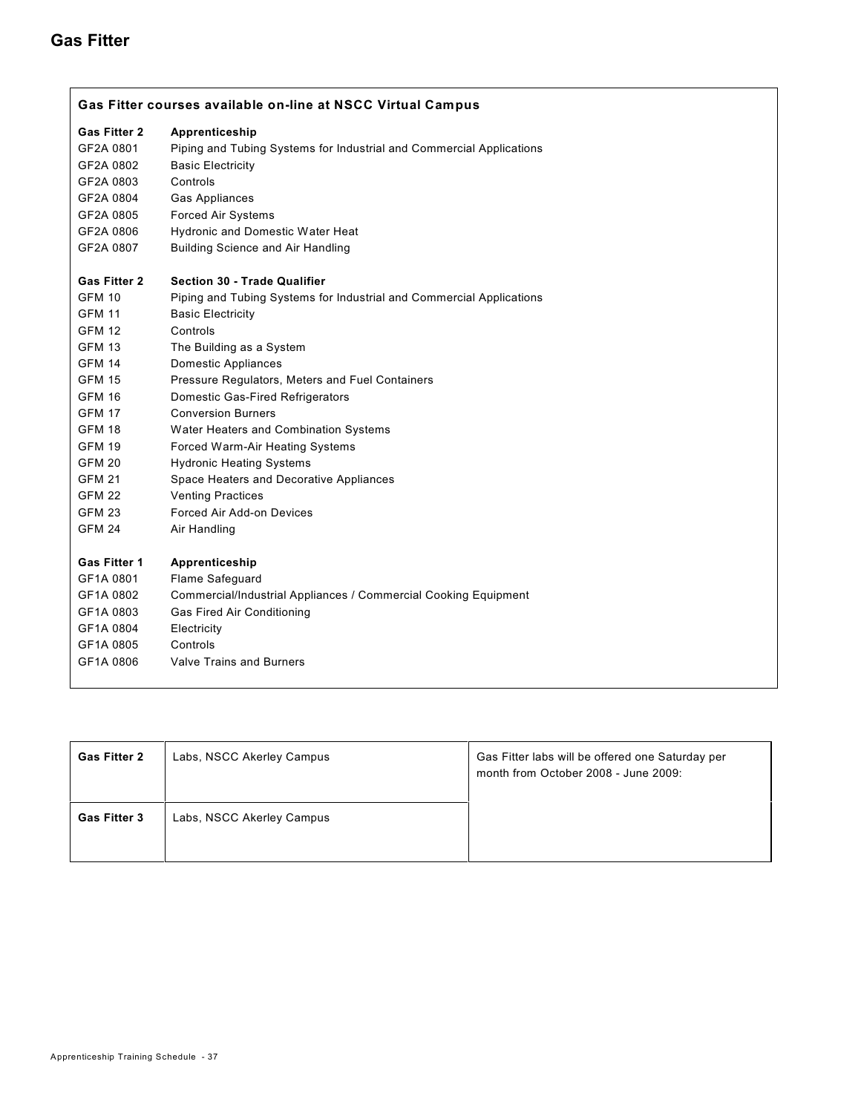#### **Gas Fitter**

| Gas Fitter courses available on-line at NSCC Virtual Campus |                                                                      |  |
|-------------------------------------------------------------|----------------------------------------------------------------------|--|
| <b>Gas Fitter 2</b>                                         | Apprenticeship                                                       |  |
| GF2A 0801                                                   | Piping and Tubing Systems for Industrial and Commercial Applications |  |
| GF2A 0802                                                   | <b>Basic Electricity</b>                                             |  |
| GF2A 0803                                                   | Controls                                                             |  |
| GF2A 0804                                                   | Gas Appliances                                                       |  |
| GF2A 0805                                                   | <b>Forced Air Systems</b>                                            |  |
| GF2A 0806                                                   | Hydronic and Domestic Water Heat                                     |  |
| GF2A 0807                                                   | <b>Building Science and Air Handling</b>                             |  |
| <b>Gas Fitter 2</b>                                         | <b>Section 30 - Trade Qualifier</b>                                  |  |
| <b>GFM 10</b>                                               | Piping and Tubing Systems for Industrial and Commercial Applications |  |
| <b>GFM 11</b>                                               | <b>Basic Electricity</b>                                             |  |
| <b>GFM 12</b>                                               | Controls                                                             |  |
| <b>GFM 13</b>                                               | The Building as a System                                             |  |
| <b>GFM 14</b>                                               | <b>Domestic Appliances</b>                                           |  |
| <b>GFM 15</b>                                               | Pressure Regulators, Meters and Fuel Containers                      |  |
| <b>GFM 16</b>                                               | Domestic Gas-Fired Refrigerators                                     |  |
| <b>GFM 17</b>                                               | <b>Conversion Burners</b>                                            |  |
| <b>GFM 18</b>                                               | Water Heaters and Combination Systems                                |  |
| <b>GFM 19</b>                                               | Forced Warm-Air Heating Systems                                      |  |
| <b>GFM 20</b>                                               | <b>Hydronic Heating Systems</b>                                      |  |
| <b>GFM 21</b>                                               | Space Heaters and Decorative Appliances                              |  |
| <b>GFM 22</b>                                               | <b>Venting Practices</b>                                             |  |
| <b>GFM 23</b>                                               | Forced Air Add-on Devices                                            |  |
| <b>GFM 24</b>                                               | Air Handling                                                         |  |
| <b>Gas Fitter 1</b>                                         | Apprenticeship                                                       |  |
| GF1A 0801                                                   | Flame Safeguard                                                      |  |
| GF1A 0802                                                   | Commercial/Industrial Appliances / Commercial Cooking Equipment      |  |
| GF1A 0803                                                   | Gas Fired Air Conditioning                                           |  |
| GF1A 0804                                                   | Electricity                                                          |  |
| GF1A 0805                                                   | Controls                                                             |  |
| GF1A 0806                                                   | <b>Valve Trains and Burners</b>                                      |  |
|                                                             |                                                                      |  |

| <b>Gas Fitter 2</b> | Labs, NSCC Akerley Campus | Gas Fitter labs will be offered one Saturday per<br>month from October 2008 - June 2009: |
|---------------------|---------------------------|------------------------------------------------------------------------------------------|
| <b>Gas Fitter 3</b> | Labs, NSCC Akerley Campus |                                                                                          |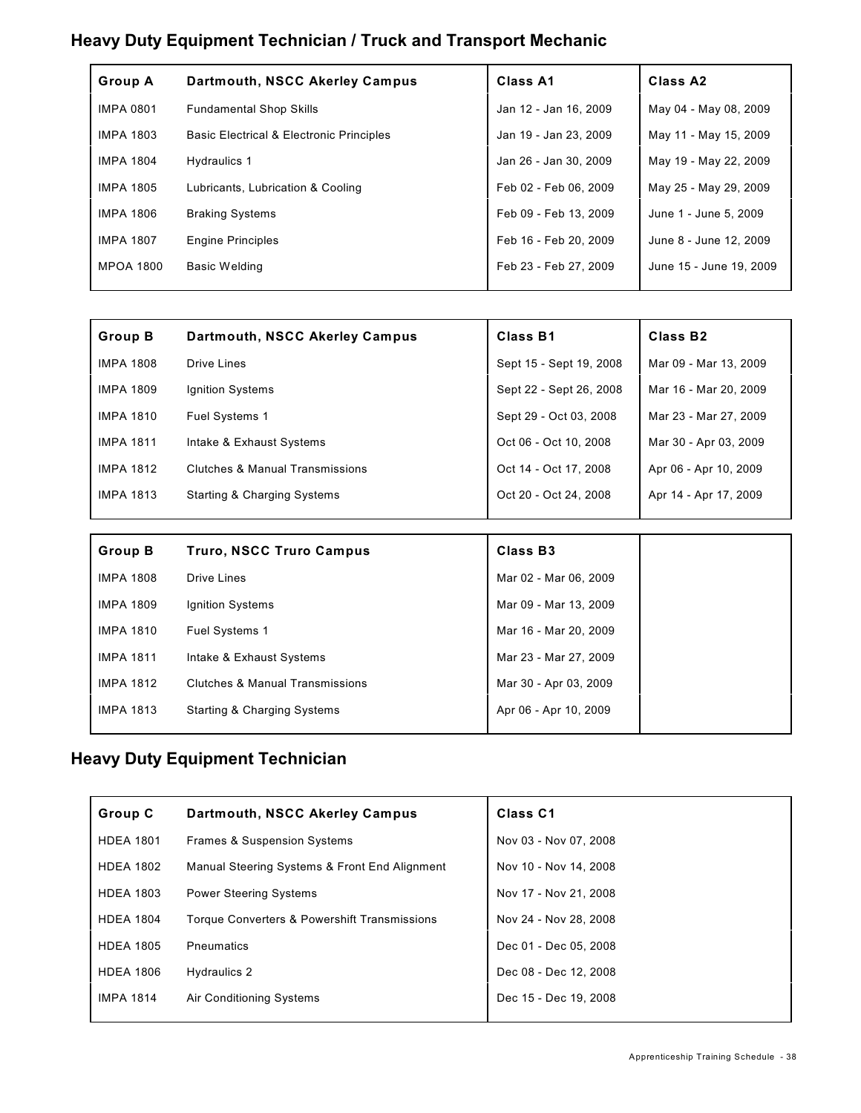### **Heavy Duty Equipment Technician / Truck and Transport Mechanic**

| <b>Group A</b>   | Dartmouth, NSCC Akerley Campus                      | <b>Class A1</b>       | Class A <sub>2</sub>    |
|------------------|-----------------------------------------------------|-----------------------|-------------------------|
| <b>IMPA 0801</b> | <b>Fundamental Shop Skills</b>                      | Jan 12 - Jan 16, 2009 | May 04 - May 08, 2009   |
| <b>IMPA 1803</b> | <b>Basic Electrical &amp; Electronic Principles</b> | Jan 19 - Jan 23, 2009 | May 11 - May 15, 2009   |
| <b>IMPA 1804</b> | Hydraulics 1                                        | Jan 26 - Jan 30, 2009 | May 19 - May 22, 2009   |
| <b>IMPA 1805</b> | Lubricants, Lubrication & Cooling                   | Feb 02 - Feb 06, 2009 | May 25 - May 29, 2009   |
| <b>IMPA 1806</b> | <b>Braking Systems</b>                              | Feb 09 - Feb 13, 2009 | June 1 - June 5, 2009   |
| <b>IMPA 1807</b> | <b>Engine Principles</b>                            | Feb 16 - Feb 20, 2009 | June 8 - June 12, 2009  |
| <b>MPOA 1800</b> | <b>Basic Welding</b>                                | Feb 23 - Feb 27, 2009 | June 15 - June 19, 2009 |
|                  |                                                     |                       |                         |

| <b>Group B</b>   | Dartmouth, NSCC Akerley Campus         | Class B1                | Class B <sub>2</sub>  |
|------------------|----------------------------------------|-------------------------|-----------------------|
| <b>IMPA 1808</b> | Drive Lines                            | Sept 15 - Sept 19, 2008 | Mar 09 - Mar 13, 2009 |
| <b>IMPA 1809</b> | Ignition Systems                       | Sept 22 - Sept 26, 2008 | Mar 16 - Mar 20, 2009 |
| <b>IMPA 1810</b> | Fuel Systems 1                         | Sept 29 - Oct 03, 2008  | Mar 23 - Mar 27, 2009 |
| <b>IMPA 1811</b> | Intake & Exhaust Systems               | Oct 06 - Oct 10, 2008   | Mar 30 - Apr 03, 2009 |
| <b>IMPA 1812</b> | Clutches & Manual Transmissions        | Oct 14 - Oct 17, 2008   | Apr 06 - Apr 10, 2009 |
| <b>IMPA 1813</b> | <b>Starting &amp; Charging Systems</b> | Oct 20 - Oct 24, 2008   | Apr 14 - Apr 17, 2009 |
|                  |                                        |                         |                       |
| <b>Group B</b>   | <b>Truro, NSCC Truro Campus</b>        | Class B <sub>3</sub>    |                       |
| <b>IMPA 1808</b> | Drive Lines                            | Mar 02 - Mar 06, 2009   |                       |
| <b>IMPA 1809</b> | Ignition Systems                       | Mar 09 - Mar 13, 2009   |                       |

IMPA 1810 Fuel Systems 1 Mar 16 - Mar 20, 2009 IMPA 1811 Intake & Exhaust Systems Mar 23 - Mar 27, 2009 IMPA 1812 Clutches & Manual Transmissions Mar 30 - Apr 03, 2009 IMPA 1813 Starting & Charging Systems Apr 06 - Apr 10, 2009

#### **Heavy Duty Equipment Technician**

| Group C          | Dartmouth, NSCC Akerley Campus                | <b>Class C1</b>       |
|------------------|-----------------------------------------------|-----------------------|
| <b>HDEA 1801</b> | <b>Frames &amp; Suspension Systems</b>        | Nov 03 - Nov 07, 2008 |
| <b>HDEA 1802</b> | Manual Steering Systems & Front End Alignment | Nov 10 - Nov 14, 2008 |
| <b>HDEA 1803</b> | <b>Power Steering Systems</b>                 | Nov 17 - Nov 21, 2008 |
| <b>HDEA 1804</b> | Torque Converters & Powershift Transmissions  | Nov 24 - Nov 28, 2008 |
| <b>HDEA 1805</b> | <b>Pneumatics</b>                             | Dec 01 - Dec 05, 2008 |
| <b>HDEA 1806</b> | Hydraulics 2                                  | Dec 08 - Dec 12, 2008 |
| <b>IMPA 1814</b> | Air Conditioning Systems                      | Dec 15 - Dec 19, 2008 |
|                  |                                               |                       |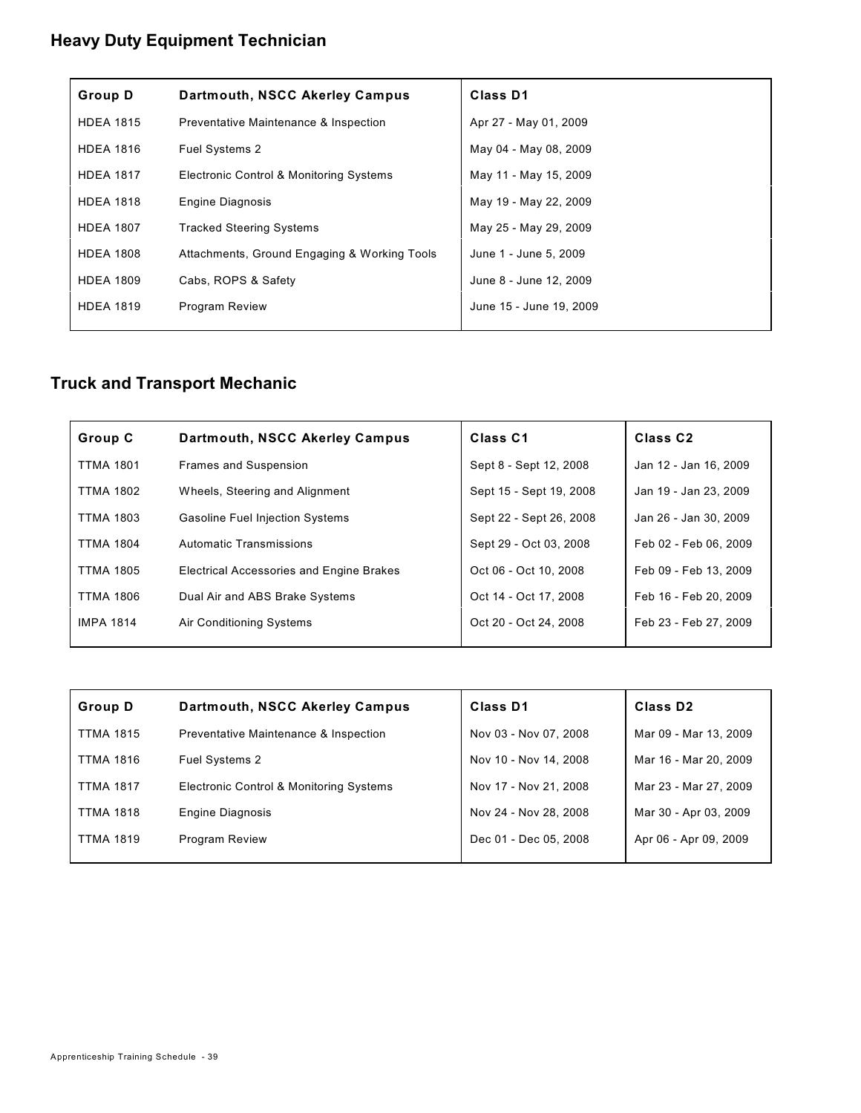## **Heavy Duty Equipment Technician**

| <b>Group D</b>   | Dartmouth, NSCC Akerley Campus               | <b>Class D1</b>         |
|------------------|----------------------------------------------|-------------------------|
| <b>HDEA 1815</b> | Preventative Maintenance & Inspection        | Apr 27 - May 01, 2009   |
| <b>HDEA 1816</b> | <b>Fuel Systems 2</b>                        | May 04 - May 08, 2009   |
| <b>HDEA 1817</b> | Electronic Control & Monitoring Systems      | May 11 - May 15, 2009   |
| <b>HDEA 1818</b> | <b>Engine Diagnosis</b>                      | May 19 - May 22, 2009   |
| <b>HDEA 1807</b> | <b>Tracked Steering Systems</b>              | May 25 - May 29, 2009   |
| <b>HDEA 1808</b> | Attachments, Ground Engaging & Working Tools | June 1 - June 5, 2009   |
| <b>HDEA 1809</b> | Cabs, ROPS & Safety                          | June 8 - June 12, 2009  |
| <b>HDEA 1819</b> | <b>Program Review</b>                        | June 15 - June 19, 2009 |
|                  |                                              |                         |

# **Truck and Transport Mechanic**

| Group C          | Dartmouth, NSCC Akerley Campus                  | Class <sub>C1</sub>     | Class <sub>C2</sub>   |
|------------------|-------------------------------------------------|-------------------------|-----------------------|
| <b>TTMA 1801</b> | <b>Frames and Suspension</b>                    | Sept 8 - Sept 12, 2008  | Jan 12 - Jan 16, 2009 |
| <b>TTMA 1802</b> | Wheels, Steering and Alignment                  | Sept 15 - Sept 19, 2008 | Jan 19 - Jan 23, 2009 |
| <b>TTMA 1803</b> | <b>Gasoline Fuel Injection Systems</b>          | Sept 22 - Sept 26, 2008 | Jan 26 - Jan 30, 2009 |
| <b>TTMA 1804</b> | Automatic Transmissions                         | Sept 29 - Oct 03, 2008  | Feb 02 - Feb 06, 2009 |
| <b>TTMA 1805</b> | <b>Electrical Accessories and Engine Brakes</b> | Oct 06 - Oct 10, 2008   | Feb 09 - Feb 13, 2009 |
| TTMA 1806        | Dual Air and ABS Brake Systems                  | Oct 14 - Oct 17, 2008   | Feb 16 - Feb 20, 2009 |
| <b>IMPA 1814</b> | Air Conditioning Systems                        | Oct 20 - Oct 24, 2008   | Feb 23 - Feb 27, 2009 |
|                  |                                                 |                         |                       |

| <b>Group D</b>   | Dartmouth, NSCC Akerley Campus          | <b>Class D1</b>       | Class D <sub>2</sub>  |
|------------------|-----------------------------------------|-----------------------|-----------------------|
| <b>TTMA 1815</b> | Preventative Maintenance & Inspection   | Nov 03 - Nov 07, 2008 | Mar 09 - Mar 13, 2009 |
| <b>TTMA 1816</b> | <b>Fuel Systems 2</b>                   | Nov 10 - Nov 14, 2008 | Mar 16 - Mar 20, 2009 |
| <b>TTMA 1817</b> | Electronic Control & Monitoring Systems | Nov 17 - Nov 21, 2008 | Mar 23 - Mar 27, 2009 |
| <b>TTMA 1818</b> | <b>Engine Diagnosis</b>                 | Nov 24 - Nov 28, 2008 | Mar 30 - Apr 03, 2009 |
| <b>TTMA 1819</b> | Program Review                          | Dec 01 - Dec 05, 2008 | Apr 06 - Apr 09, 2009 |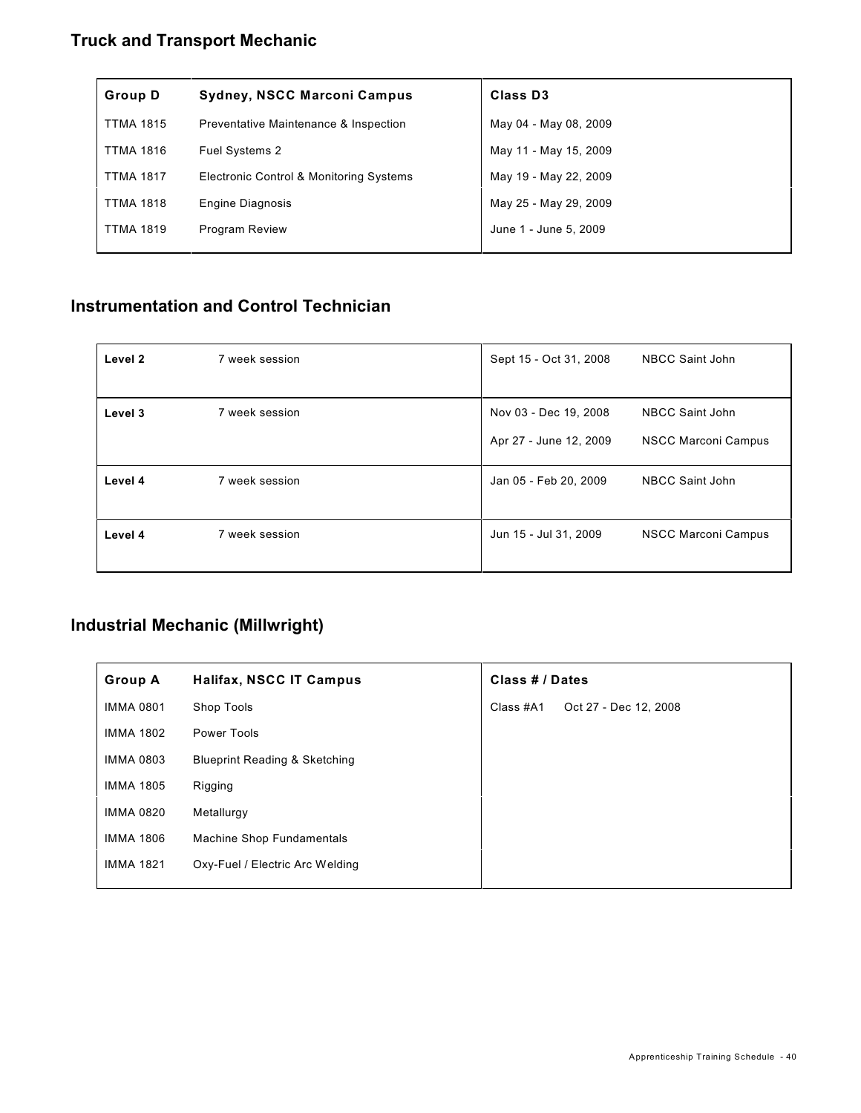## **Truck and Transport Mechanic**

| <b>Group D</b>   | <b>Sydney, NSCC Marconi Campus</b>      | <b>Class D3</b>       |
|------------------|-----------------------------------------|-----------------------|
| <b>TTMA 1815</b> | Preventative Maintenance & Inspection   | May 04 - May 08, 2009 |
| <b>TTMA 1816</b> | <b>Fuel Systems 2</b>                   | May 11 - May 15, 2009 |
| <b>TTMA 1817</b> | Electronic Control & Monitoring Systems | May 19 - May 22, 2009 |
| <b>TTMA 1818</b> | Engine Diagnosis                        | May 25 - May 29, 2009 |
| <b>TTMA 1819</b> | <b>Program Review</b>                   | June 1 - June 5, 2009 |
|                  |                                         |                       |

### **Instrumentation and Control Technician**

| Level 2 | 7 week session | Sept 15 - Oct 31, 2008                          | <b>NBCC Saint John</b>                               |
|---------|----------------|-------------------------------------------------|------------------------------------------------------|
| Level 3 | 7 week session | Nov 03 - Dec 19, 2008<br>Apr 27 - June 12, 2009 | <b>NBCC Saint John</b><br><b>NSCC Marconi Campus</b> |
| Level 4 | 7 week session | Jan 05 - Feb 20, 2009                           | <b>NBCC Saint John</b>                               |
| Level 4 | 7 week session | Jun 15 - Jul 31, 2009                           | <b>NSCC Marconi Campus</b>                           |

## **Industrial Mechanic (Millwright)**

| <b>Group A</b>   | <b>Halifax, NSCC IT Campus</b>           | Class # / Dates |                       |
|------------------|------------------------------------------|-----------------|-----------------------|
| <b>IMMA 0801</b> | Shop Tools                               | Class #A1       | Oct 27 - Dec 12, 2008 |
| <b>IMMA 1802</b> | Power Tools                              |                 |                       |
| <b>IMMA 0803</b> | <b>Blueprint Reading &amp; Sketching</b> |                 |                       |
| <b>IMMA 1805</b> | Rigging                                  |                 |                       |
| <b>IMMA 0820</b> | Metallurgy                               |                 |                       |
| <b>IMMA 1806</b> | <b>Machine Shop Fundamentals</b>         |                 |                       |
| <b>IMMA 1821</b> | Oxy-Fuel / Electric Arc Welding          |                 |                       |
|                  |                                          |                 |                       |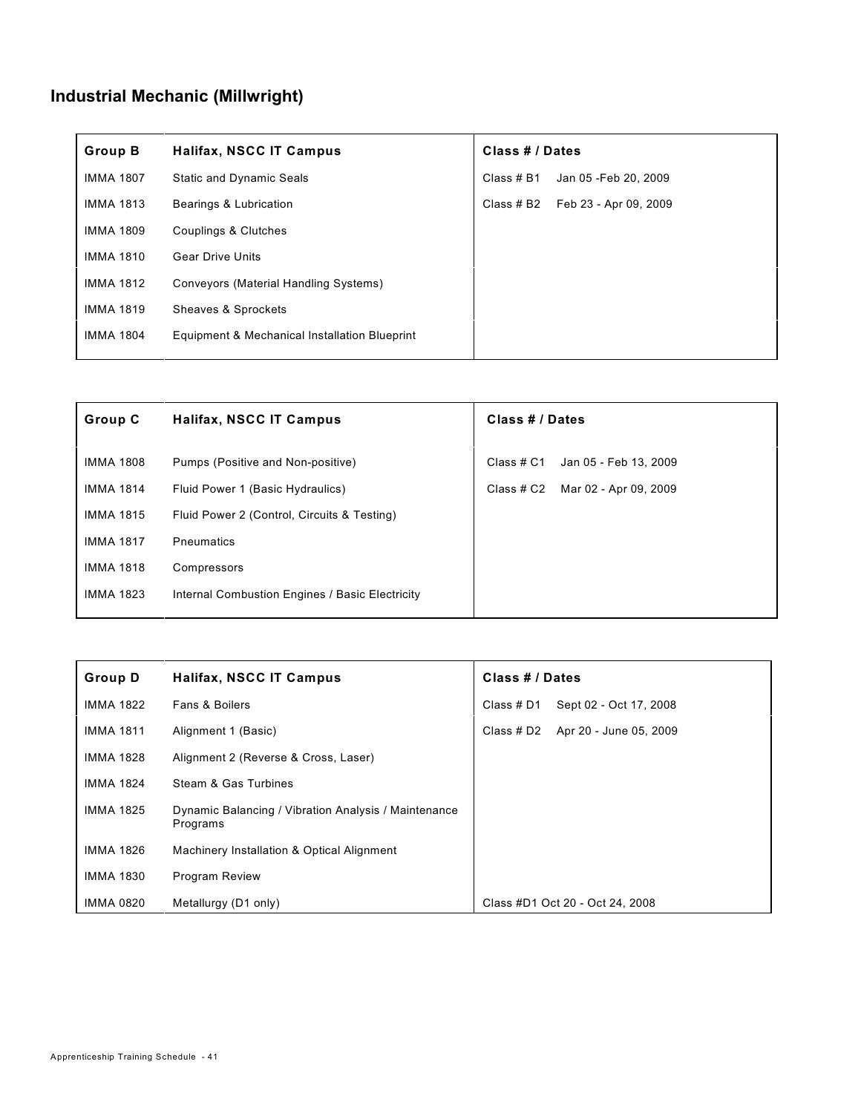# **Industrial Mechanic (Millwright)**

| <b>Group B</b>   | <b>Halifax, NSCC IT Campus</b>                | Class # / Dates                     |
|------------------|-----------------------------------------------|-------------------------------------|
| <b>IMMA 1807</b> | <b>Static and Dynamic Seals</b>               | Jan 05 - Feb 20, 2009<br>Class # B1 |
| <b>IMMA 1813</b> | Bearings & Lubrication                        | Feb 23 - Apr 09, 2009<br>Class # B2 |
| <b>IMMA 1809</b> | Couplings & Clutches                          |                                     |
| <b>IMMA 1810</b> | <b>Gear Drive Units</b>                       |                                     |
| <b>IMMA 1812</b> | Conveyors (Material Handling Systems)         |                                     |
| <b>IMMA 1819</b> | Sheaves & Sprockets                           |                                     |
| <b>IMMA 1804</b> | Equipment & Mechanical Installation Blueprint |                                     |

| <b>Group C</b>   | Halifax, NSCC IT Campus                         | Class # / Dates                     |
|------------------|-------------------------------------------------|-------------------------------------|
|                  |                                                 |                                     |
| IMMA 1808        | Pumps (Positive and Non-positive)               | Class # C1<br>Jan 05 - Feb 13, 2009 |
| <b>IMMA 1814</b> | Fluid Power 1 (Basic Hydraulics)                | Mar 02 - Apr 09, 2009<br>Class # C2 |
| <b>IMMA 1815</b> | Fluid Power 2 (Control, Circuits & Testing)     |                                     |
| <b>IMMA 1817</b> | <b>Pneumatics</b>                               |                                     |
| <b>IMMA 1818</b> | Compressors                                     |                                     |
| <b>IMMA 1823</b> | Internal Combustion Engines / Basic Electricity |                                     |

| <b>Group D</b>   | <b>Halifax, NSCC IT Campus</b>                                   | Class # / Dates                      |
|------------------|------------------------------------------------------------------|--------------------------------------|
| <b>IMMA 1822</b> | Fans & Boilers                                                   | Sept 02 - Oct 17, 2008<br>Class # D1 |
| <b>IMMA 1811</b> | Alignment 1 (Basic)                                              | Class # D2 Apr 20 - June 05, 2009    |
| <b>IMMA 1828</b> | Alignment 2 (Reverse & Cross, Laser)                             |                                      |
| <b>IMMA 1824</b> | Steam & Gas Turbines                                             |                                      |
| <b>IMMA 1825</b> | Dynamic Balancing / Vibration Analysis / Maintenance<br>Programs |                                      |
| <b>IMMA 1826</b> | Machinery Installation & Optical Alignment                       |                                      |
| <b>IMMA 1830</b> | <b>Program Review</b>                                            |                                      |
| <b>IMMA 0820</b> | Metallurgy (D1 only)                                             | Class #D1 Oct 20 - Oct 24, 2008      |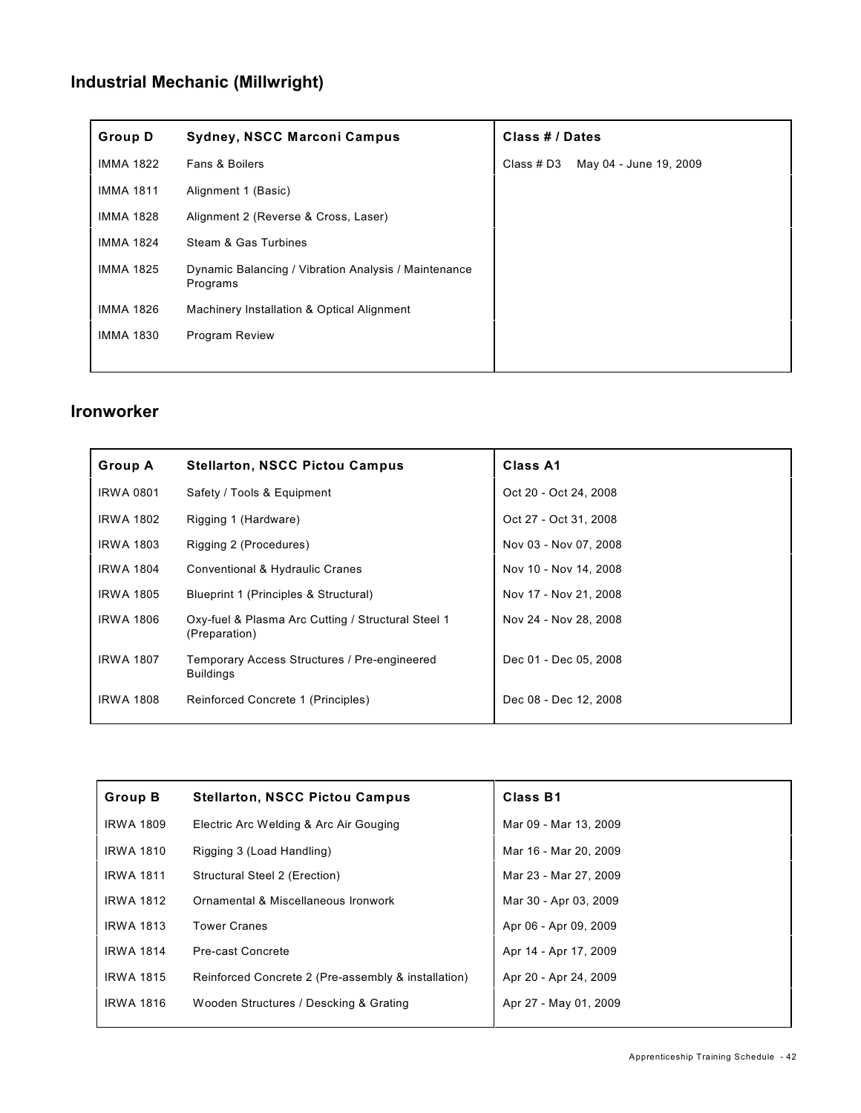# **Industrial Mechanic (Millwright)**

| <b>Group D</b>   | <b>Sydney, NSCC Marconi Campus</b>                               | Class # / Dates                      |  |  |
|------------------|------------------------------------------------------------------|--------------------------------------|--|--|
| <b>IMMA 1822</b> | <b>Fans &amp; Boilers</b>                                        | May 04 - June 19, 2009<br>Class # D3 |  |  |
| <b>IMMA 1811</b> | Alignment 1 (Basic)                                              |                                      |  |  |
| <b>IMMA 1828</b> | Alignment 2 (Reverse & Cross, Laser)                             |                                      |  |  |
| <b>IMMA 1824</b> | Steam & Gas Turbines                                             |                                      |  |  |
| <b>IMMA 1825</b> | Dynamic Balancing / Vibration Analysis / Maintenance<br>Programs |                                      |  |  |
| <b>IMMA 1826</b> | Machinery Installation & Optical Alignment                       |                                      |  |  |
| <b>IMMA 1830</b> | <b>Program Review</b>                                            |                                      |  |  |
|                  |                                                                  |                                      |  |  |

#### **Ironworker**

| <b>Group A</b>   | <b>Stellarton, NSCC Pictou Campus</b>                               | Class A1              |
|------------------|---------------------------------------------------------------------|-----------------------|
| <b>IRWA 0801</b> | Safety / Tools & Equipment                                          | Oct 20 - Oct 24, 2008 |
| <b>IRWA 1802</b> | Rigging 1 (Hardware)                                                | Oct 27 - Oct 31, 2008 |
| <b>IRWA 1803</b> | Rigging 2 (Procedures)                                              | Nov 03 - Nov 07, 2008 |
| <b>IRWA 1804</b> | Conventional & Hydraulic Cranes                                     | Nov 10 - Nov 14, 2008 |
| <b>IRWA 1805</b> | Blueprint 1 (Principles & Structural)                               | Nov 17 - Nov 21, 2008 |
| <b>IRWA 1806</b> | Oxy-fuel & Plasma Arc Cutting / Structural Steel 1<br>(Preparation) | Nov 24 - Nov 28, 2008 |
| <b>IRWA 1807</b> | Temporary Access Structures / Pre-engineered<br><b>Buildings</b>    | Dec 01 - Dec 05, 2008 |
| <b>IRWA 1808</b> | Reinforced Concrete 1 (Principles)                                  | Dec 08 - Dec 12, 2008 |

| <b>Group B</b>   | <b>Stellarton, NSCC Pictou Campus</b>               | <b>Class B1</b>       |
|------------------|-----------------------------------------------------|-----------------------|
| <b>IRWA 1809</b> | Electric Arc Welding & Arc Air Gouging              | Mar 09 - Mar 13, 2009 |
| <b>IRWA 1810</b> | Rigging 3 (Load Handling)                           | Mar 16 - Mar 20, 2009 |
| <b>IRWA 1811</b> | Structural Steel 2 (Erection)                       | Mar 23 - Mar 27, 2009 |
| <b>IRWA 1812</b> | Ornamental & Miscellaneous Ironwork                 | Mar 30 - Apr 03, 2009 |
| <b>IRWA 1813</b> | <b>Tower Cranes</b>                                 | Apr 06 - Apr 09, 2009 |
| <b>IRWA 1814</b> | Pre-cast Concrete                                   | Apr 14 - Apr 17, 2009 |
| <b>IRWA 1815</b> | Reinforced Concrete 2 (Pre-assembly & installation) | Apr 20 - Apr 24, 2009 |
| <b>IRWA 1816</b> | Wooden Structures / Descking & Grating              | Apr 27 - May 01, 2009 |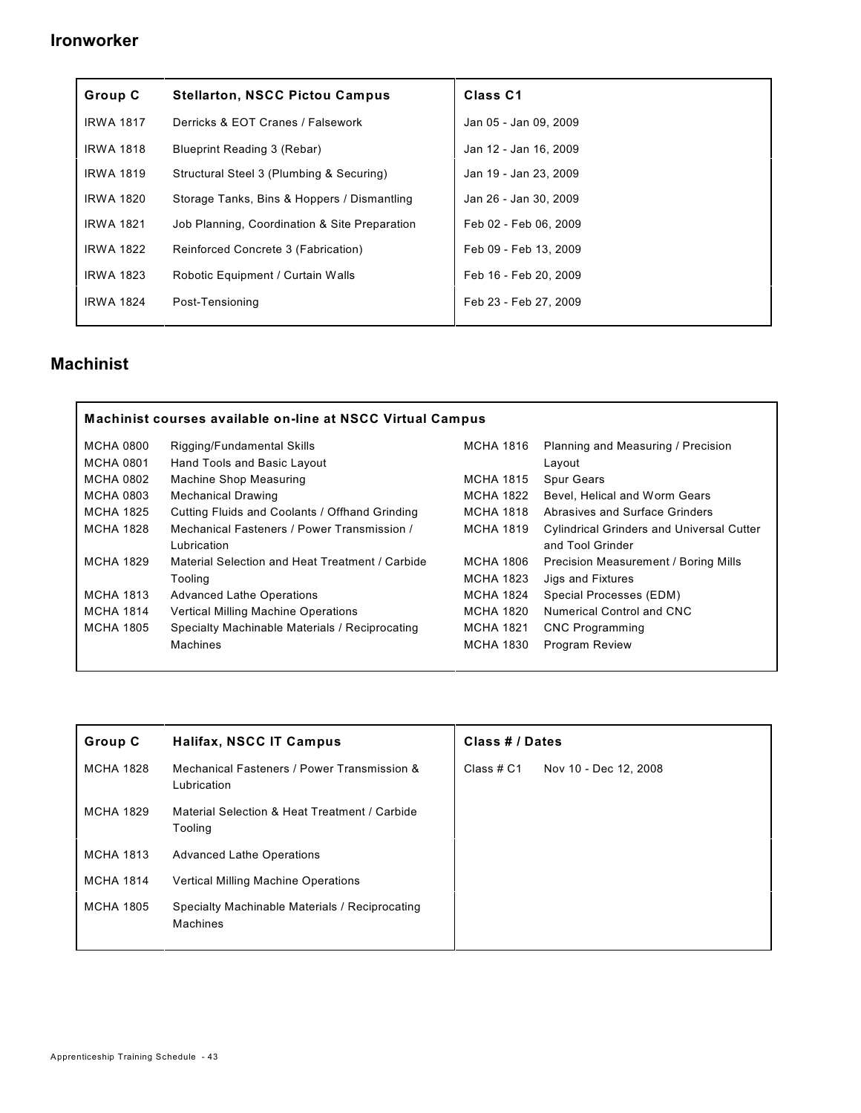#### **Ironworker**

| Group C          | <b>Stellarton, NSCC Pictou Campus</b>         | Class <sub>C1</sub>   |
|------------------|-----------------------------------------------|-----------------------|
| <b>IRWA 1817</b> | Derricks & EOT Cranes / Falsework             | Jan 05 - Jan 09, 2009 |
| <b>IRWA 1818</b> | <b>Blueprint Reading 3 (Rebar)</b>            | Jan 12 - Jan 16, 2009 |
| <b>IRWA 1819</b> | Structural Steel 3 (Plumbing & Securing)      | Jan 19 - Jan 23, 2009 |
| <b>IRWA 1820</b> | Storage Tanks, Bins & Hoppers / Dismantling   | Jan 26 - Jan 30, 2009 |
| <b>IRWA 1821</b> | Job Planning, Coordination & Site Preparation | Feb 02 - Feb 06, 2009 |
| <b>IRWA 1822</b> | Reinforced Concrete 3 (Fabrication)           | Feb 09 - Feb 13, 2009 |
| <b>IRWA 1823</b> | Robotic Equipment / Curtain Walls             | Feb 16 - Feb 20, 2009 |
| <b>IRWA 1824</b> | Post-Tensioning                               | Feb 23 - Feb 27, 2009 |

### **Machinist**

| Machinist courses available on-line at NSCC Virtual Campus |                                                 |                  |                                                  |  |
|------------------------------------------------------------|-------------------------------------------------|------------------|--------------------------------------------------|--|
| <b>MCHA 0800</b>                                           | Rigging/Fundamental Skills                      | MCHA 1816        | Planning and Measuring / Precision               |  |
| <b>MCHA 0801</b>                                           | Hand Tools and Basic Layout                     |                  | Layout                                           |  |
| <b>MCHA 0802</b>                                           | Machine Shop Measuring                          | <b>MCHA 1815</b> | <b>Spur Gears</b>                                |  |
| <b>MCHA 0803</b>                                           | <b>Mechanical Drawing</b>                       | MCHA 1822        | Bevel, Helical and Worm Gears                    |  |
| <b>MCHA 1825</b>                                           | Cutting Fluids and Coolants / Offhand Grinding  | <b>MCHA 1818</b> | Abrasives and Surface Grinders                   |  |
| <b>MCHA 1828</b>                                           | Mechanical Fasteners / Power Transmission /     | <b>MCHA 1819</b> | <b>Cylindrical Grinders and Universal Cutter</b> |  |
|                                                            | Lubrication                                     |                  | and Tool Grinder                                 |  |
| <b>MCHA 1829</b>                                           | Material Selection and Heat Treatment / Carbide | <b>MCHA 1806</b> | Precision Measurement / Boring Mills             |  |
|                                                            | Tooling                                         | <b>MCHA 1823</b> | Jigs and Fixtures                                |  |
| MCHA 1813                                                  | <b>Advanced Lathe Operations</b>                | MCHA 1824        | Special Processes (EDM)                          |  |
| <b>MCHA 1814</b>                                           | Vertical Milling Machine Operations             | <b>MCHA 1820</b> | Numerical Control and CNC                        |  |
| <b>MCHA 1805</b>                                           | Specialty Machinable Materials / Reciprocating  | <b>MCHA 1821</b> | <b>CNC</b> Programming                           |  |
|                                                            | Machines                                        | <b>MCHA 1830</b> | <b>Program Review</b>                            |  |
|                                                            |                                                 |                  |                                                  |  |

| <b>Group C</b>   | <b>Halifax, NSCC IT Campus</b>                             | Class # / Dates |                       |  |
|------------------|------------------------------------------------------------|-----------------|-----------------------|--|
| MCHA 1828        | Mechanical Fasteners / Power Transmission &<br>Lubrication | Class # C1      | Nov 10 - Dec 12, 2008 |  |
| <b>MCHA 1829</b> | Material Selection & Heat Treatment / Carbide<br>Tooling   |                 |                       |  |
| <b>MCHA 1813</b> | <b>Advanced Lathe Operations</b>                           |                 |                       |  |
| <b>MCHA 1814</b> | Vertical Milling Machine Operations                        |                 |                       |  |
| <b>MCHA 1805</b> | Specialty Machinable Materials / Reciprocating<br>Machines |                 |                       |  |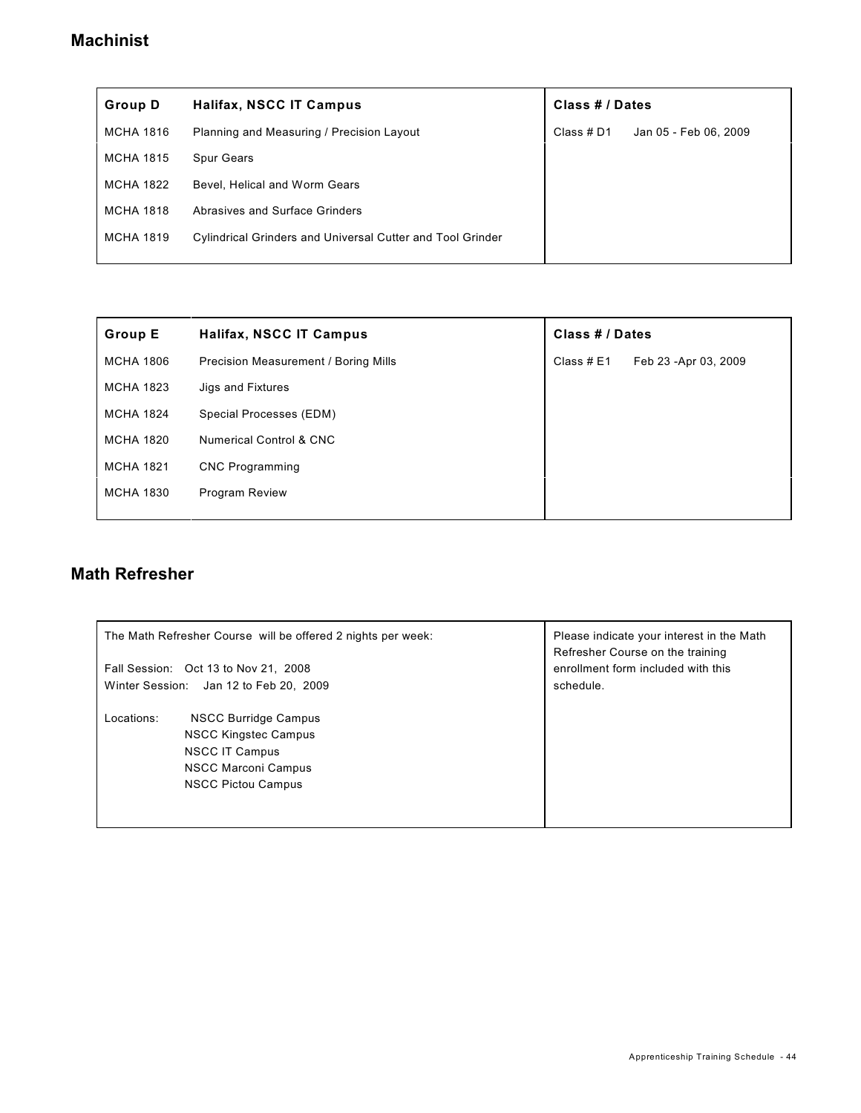### **Machinist**

| <b>Group D</b>   | Halifax, NSCC IT Campus                                           | Class # / Dates |                       |
|------------------|-------------------------------------------------------------------|-----------------|-----------------------|
| MCHA 1816        | Planning and Measuring / Precision Layout                         | Class # D1      | Jan 05 - Feb 06, 2009 |
| <b>MCHA 1815</b> | <b>Spur Gears</b>                                                 |                 |                       |
| <b>MCHA 1822</b> | Bevel, Helical and Worm Gears                                     |                 |                       |
| <b>MCHA 1818</b> | Abrasives and Surface Grinders                                    |                 |                       |
| <b>MCHA 1819</b> | <b>Cylindrical Grinders and Universal Cutter and Tool Grinder</b> |                 |                       |
|                  |                                                                   |                 |                       |

| <b>Group E</b>   | Halifax, NSCC IT Campus                     | Class # / Dates |                       |
|------------------|---------------------------------------------|-----------------|-----------------------|
| <b>MCHA 1806</b> | <b>Precision Measurement / Boring Mills</b> | Class $#E1$     | Feb 23 - Apr 03, 2009 |
| <b>MCHA 1823</b> | Jigs and Fixtures                           |                 |                       |
| <b>MCHA 1824</b> | Special Processes (EDM)                     |                 |                       |
| <b>MCHA 1820</b> | <b>Numerical Control &amp; CNC</b>          |                 |                       |
| <b>MCHA 1821</b> | <b>CNC</b> Programming                      |                 |                       |
| <b>MCHA 1830</b> | <b>Program Review</b>                       |                 |                       |
|                  |                                             |                 |                       |

### **Math Refresher**

| The Math Refresher Course will be offered 2 nights per week:                                                                                                 | Please indicate your interest in the Math<br>Refresher Course on the training |
|--------------------------------------------------------------------------------------------------------------------------------------------------------------|-------------------------------------------------------------------------------|
| Fall Session: Oct 13 to Nov 21, 2008                                                                                                                         | enrollment form included with this                                            |
| Winter Session: Jan 12 to Feb 20, 2009                                                                                                                       | schedule.                                                                     |
| Locations:<br><b>NSCC Burridge Campus</b><br><b>NSCC Kingstec Campus</b><br><b>NSCC IT Campus</b><br><b>NSCC Marconi Campus</b><br><b>NSCC Pictou Campus</b> |                                                                               |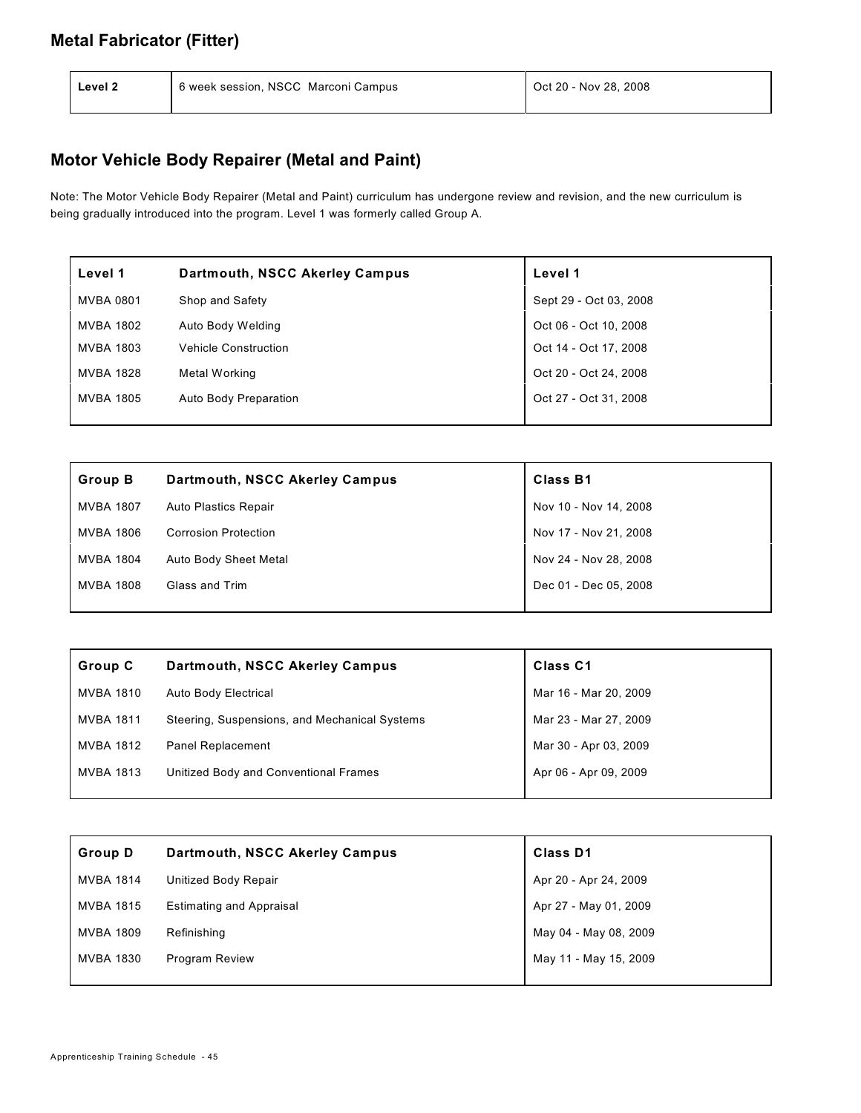#### **Metal Fabricator (Fitter)**

| Level 2 | 6 week session, NSCC Marconi Campus | Oct 20 - Nov 28, 2008 |
|---------|-------------------------------------|-----------------------|
|         |                                     |                       |

## **Motor Vehicle Body Repairer (Metal and Paint)**

Note: The Motor Vehicle Body Repairer (Metal and Paint) curriculum has undergone review and revision, and the new curriculum is being gradually introduced into the program. Level 1 was formerly called Group A.

| Level 1          | Dartmouth, NSCC Akerley Campus | Level 1                |
|------------------|--------------------------------|------------------------|
| MVBA 0801        | Shop and Safety                | Sept 29 - Oct 03, 2008 |
| <b>MVBA 1802</b> | Auto Body Welding              | Oct 06 - Oct 10, 2008  |
| MVBA 1803        | <b>Vehicle Construction</b>    | Oct 14 - Oct 17, 2008  |
| MVBA 1828        | Metal Working                  | Oct 20 - Oct 24, 2008  |
| MVBA 1805        | Auto Body Preparation          | Oct 27 - Oct 31, 2008  |

| <b>Group B</b>   | Dartmouth, NSCC Akerley Campus | <b>Class B1</b>       |
|------------------|--------------------------------|-----------------------|
| <b>MVBA 1807</b> | Auto Plastics Repair           | Nov 10 - Nov 14, 2008 |
| MVBA 1806        | <b>Corrosion Protection</b>    | Nov 17 - Nov 21, 2008 |
| <b>MVBA 1804</b> | Auto Body Sheet Metal          | Nov 24 - Nov 28, 2008 |
| <b>MVBA 1808</b> | Glass and Trim                 | Dec 01 - Dec 05, 2008 |
|                  |                                |                       |

| Group C          | Dartmouth, NSCC Akerley Campus                | <b>Class C1</b>       |
|------------------|-----------------------------------------------|-----------------------|
| <b>MVBA 1810</b> | <b>Auto Body Electrical</b>                   | Mar 16 - Mar 20, 2009 |
| <b>MVBA 1811</b> | Steering, Suspensions, and Mechanical Systems | Mar 23 - Mar 27, 2009 |
| <b>MVBA 1812</b> | <b>Panel Replacement</b>                      | Mar 30 - Apr 03, 2009 |
| <b>MVBA 1813</b> | Unitized Body and Conventional Frames         | Apr 06 - Apr 09, 2009 |

| <b>Group D</b>   | Dartmouth, NSCC Akerley Campus  | <b>Class D1</b>       |
|------------------|---------------------------------|-----------------------|
| <b>MVBA 1814</b> | Unitized Body Repair            | Apr 20 - Apr 24, 2009 |
| <b>MVBA 1815</b> | <b>Estimating and Appraisal</b> | Apr 27 - May 01, 2009 |
| <b>MVBA 1809</b> | Refinishing                     | May 04 - May 08, 2009 |
| <b>MVBA 1830</b> | <b>Program Review</b>           | May 11 - May 15, 2009 |
|                  |                                 |                       |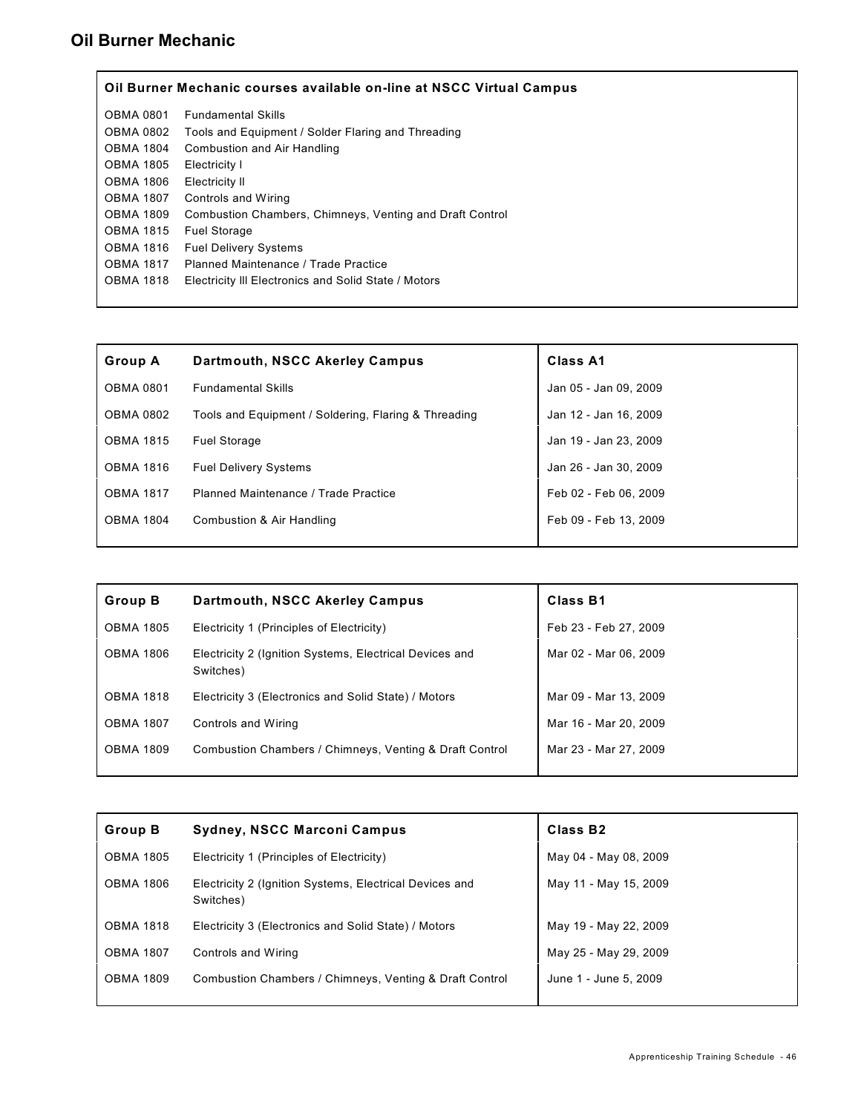#### **Oil Burner Mechanic**

|                  | Oil Burner Mechanic courses available on-line at NSCC Virtual Campus |
|------------------|----------------------------------------------------------------------|
| OBMA 0801        | <b>Fundamental Skills</b>                                            |
| <b>OBMA 0802</b> | Tools and Equipment / Solder Flaring and Threading                   |
| <b>OBMA 1804</b> | Combustion and Air Handling                                          |
| <b>OBMA 1805</b> | Electricity I                                                        |
| <b>OBMA 1806</b> | Electricity II                                                       |
| <b>OBMA 1807</b> | Controls and Wiring                                                  |
| <b>OBMA 1809</b> | Combustion Chambers, Chimneys, Venting and Draft Control             |
| <b>OBMA 1815</b> | <b>Fuel Storage</b>                                                  |
| <b>OBMA 1816</b> | <b>Fuel Delivery Systems</b>                                         |
| <b>OBMA 1817</b> | Planned Maintenance / Trade Practice                                 |
| <b>OBMA 1818</b> | Electricity III Electronics and Solid State / Motors                 |
|                  |                                                                      |

| <b>Group A</b>   | Dartmouth, NSCC Akerley Campus                       | <b>Class A1</b>       |
|------------------|------------------------------------------------------|-----------------------|
| <b>OBMA 0801</b> | <b>Fundamental Skills</b>                            | Jan 05 - Jan 09, 2009 |
| <b>OBMA 0802</b> | Tools and Equipment / Soldering, Flaring & Threading | Jan 12 - Jan 16, 2009 |
| <b>OBMA 1815</b> | <b>Fuel Storage</b>                                  | Jan 19 - Jan 23, 2009 |
| <b>OBMA 1816</b> | <b>Fuel Delivery Systems</b>                         | Jan 26 - Jan 30, 2009 |
| <b>OBMA 1817</b> | Planned Maintenance / Trade Practice                 | Feb 02 - Feb 06, 2009 |
| <b>OBMA 1804</b> | Combustion & Air Handling                            | Feb 09 - Feb 13, 2009 |
|                  |                                                      |                       |

| <b>Group B</b>   | Dartmouth, NSCC Akerley Campus                                       | <b>Class B1</b>       |
|------------------|----------------------------------------------------------------------|-----------------------|
| <b>OBMA 1805</b> | Electricity 1 (Principles of Electricity)                            | Feb 23 - Feb 27, 2009 |
| <b>OBMA 1806</b> | Electricity 2 (Ignition Systems, Electrical Devices and<br>Switches) | Mar 02 - Mar 06, 2009 |
| <b>OBMA 1818</b> | Electricity 3 (Electronics and Solid State) / Motors                 | Mar 09 - Mar 13, 2009 |
| <b>OBMA 1807</b> | Controls and Wiring                                                  | Mar 16 - Mar 20, 2009 |
| <b>OBMA 1809</b> | Combustion Chambers / Chimneys, Venting & Draft Control              | Mar 23 - Mar 27, 2009 |

| <b>Group B</b>   | <b>Sydney, NSCC Marconi Campus</b>                                   | Class B <sub>2</sub>  |
|------------------|----------------------------------------------------------------------|-----------------------|
| <b>OBMA 1805</b> | Electricity 1 (Principles of Electricity)                            | May 04 - May 08, 2009 |
| <b>OBMA 1806</b> | Electricity 2 (Ignition Systems, Electrical Devices and<br>Switches) | May 11 - May 15, 2009 |
| <b>OBMA 1818</b> | Electricity 3 (Electronics and Solid State) / Motors                 | May 19 - May 22, 2009 |
| <b>OBMA 1807</b> | Controls and Wiring                                                  | May 25 - May 29, 2009 |
| <b>OBMA 1809</b> | Combustion Chambers / Chimneys, Venting & Draft Control              | June 1 - June 5, 2009 |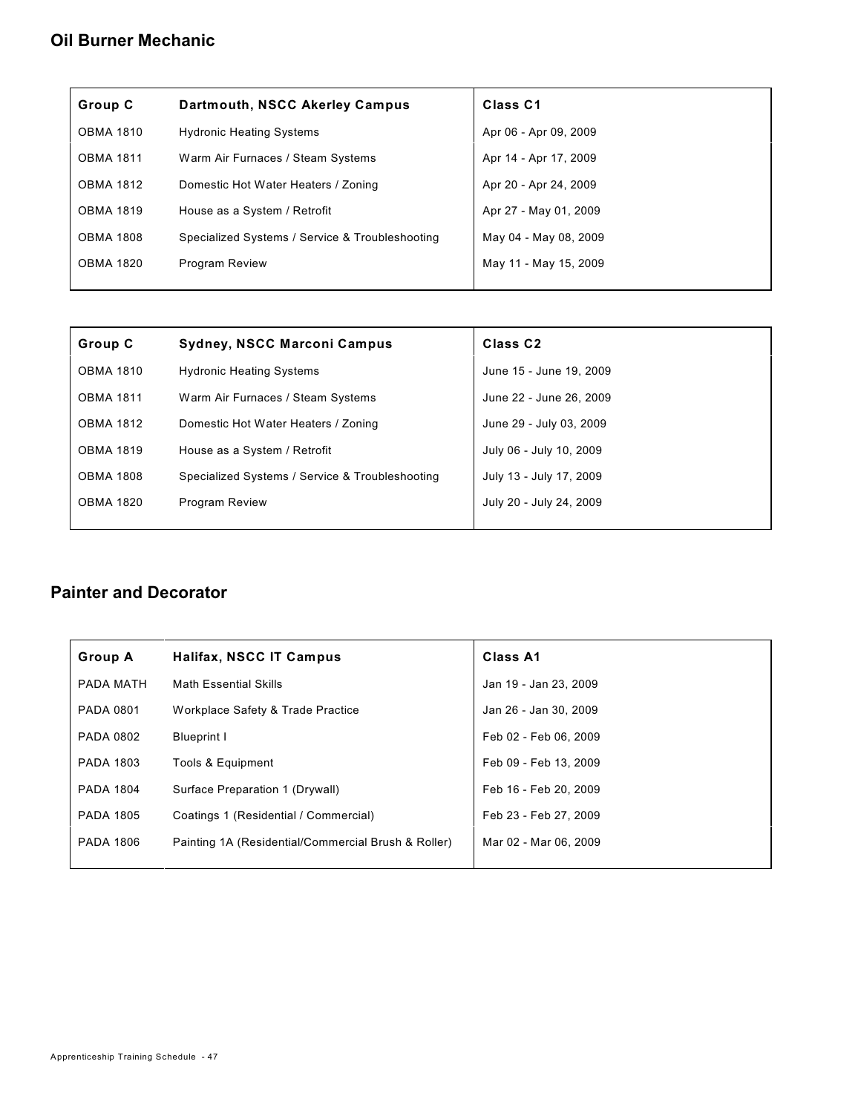#### **Oil Burner Mechanic**

| Group C          | Dartmouth, NSCC Akerley Campus                  | Class C1              |
|------------------|-------------------------------------------------|-----------------------|
| <b>OBMA 1810</b> | <b>Hydronic Heating Systems</b>                 | Apr 06 - Apr 09, 2009 |
| <b>OBMA 1811</b> | Warm Air Furnaces / Steam Systems               | Apr 14 - Apr 17, 2009 |
| <b>OBMA 1812</b> | Domestic Hot Water Heaters / Zoning             | Apr 20 - Apr 24, 2009 |
| <b>OBMA 1819</b> | House as a System / Retrofit                    | Apr 27 - May 01, 2009 |
| <b>OBMA 1808</b> | Specialized Systems / Service & Troubleshooting | May 04 - May 08, 2009 |
| <b>OBMA 1820</b> | <b>Program Review</b>                           | May 11 - May 15, 2009 |
|                  |                                                 |                       |

| Group C          | <b>Sydney, NSCC Marconi Campus</b>              | <b>Class C2</b>         |
|------------------|-------------------------------------------------|-------------------------|
| <b>OBMA 1810</b> | <b>Hydronic Heating Systems</b>                 | June 15 - June 19, 2009 |
| <b>OBMA 1811</b> | Warm Air Furnaces / Steam Systems               | June 22 - June 26, 2009 |
| <b>OBMA 1812</b> | Domestic Hot Water Heaters / Zoning             | June 29 - July 03, 2009 |
| <b>OBMA 1819</b> | House as a System / Retrofit                    | July 06 - July 10, 2009 |
| <b>OBMA 1808</b> | Specialized Systems / Service & Troubleshooting | July 13 - July 17, 2009 |
| <b>OBMA 1820</b> | <b>Program Review</b>                           | July 20 - July 24, 2009 |
|                  |                                                 |                         |

#### **Painter and Decorator**

| <b>Group A</b>   | <b>Halifax, NSCC IT Campus</b>                      | Class A1              |
|------------------|-----------------------------------------------------|-----------------------|
| PADA MATH        | <b>Math Essential Skills</b>                        | Jan 19 - Jan 23, 2009 |
| PADA 0801        | Workplace Safety & Trade Practice                   | Jan 26 - Jan 30, 2009 |
| <b>PADA 0802</b> | <b>Blueprint I</b>                                  | Feb 02 - Feb 06, 2009 |
| <b>PADA 1803</b> | Tools & Equipment                                   | Feb 09 - Feb 13, 2009 |
| <b>PADA 1804</b> | Surface Preparation 1 (Drywall)                     | Feb 16 - Feb 20, 2009 |
| <b>PADA 1805</b> | Coatings 1 (Residential / Commercial)               | Feb 23 - Feb 27, 2009 |
| <b>PADA 1806</b> | Painting 1A (Residential/Commercial Brush & Roller) | Mar 02 - Mar 06, 2009 |
|                  |                                                     |                       |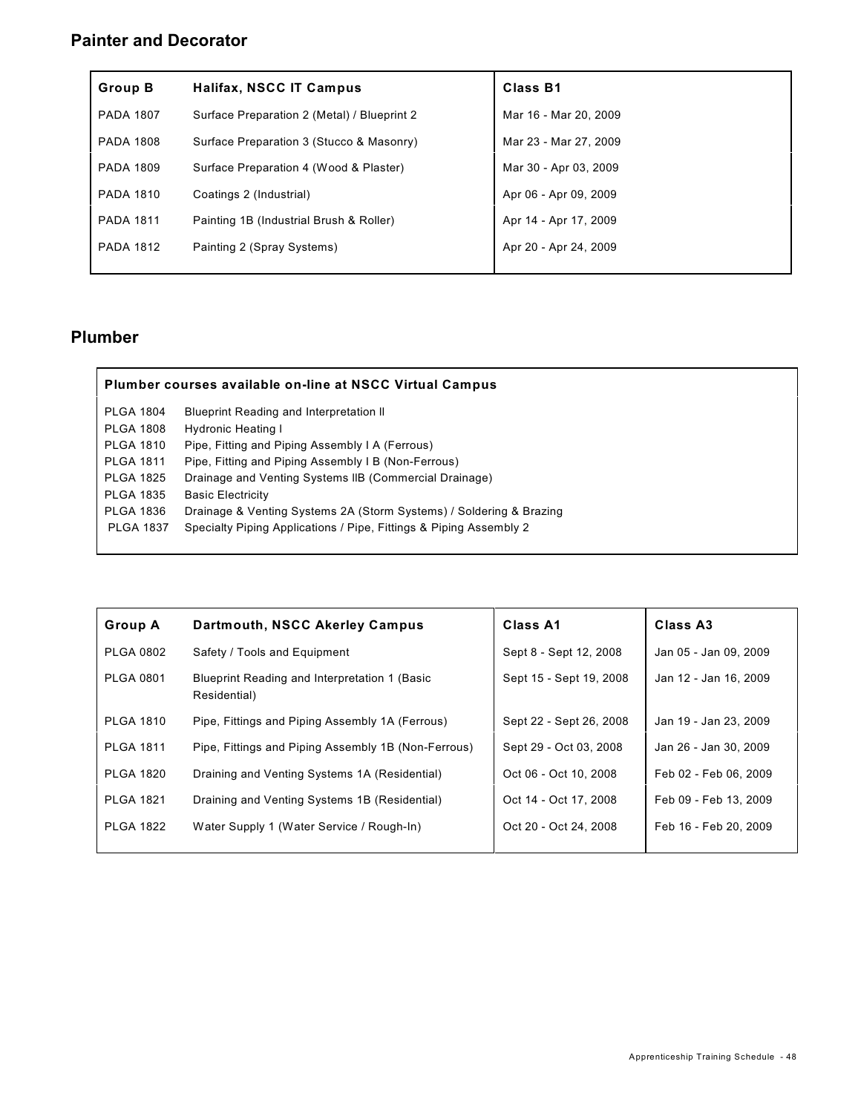### **Painter and Decorator**

| <b>Group B</b>   | Halifax, NSCC IT Campus                     | <b>Class B1</b>       |
|------------------|---------------------------------------------|-----------------------|
| <b>PADA 1807</b> | Surface Preparation 2 (Metal) / Blueprint 2 | Mar 16 - Mar 20, 2009 |
| <b>PADA 1808</b> | Surface Preparation 3 (Stucco & Masonry)    | Mar 23 - Mar 27, 2009 |
| <b>PADA 1809</b> | Surface Preparation 4 (Wood & Plaster)      | Mar 30 - Apr 03, 2009 |
| <b>PADA 1810</b> | Coatings 2 (Industrial)                     | Apr 06 - Apr 09, 2009 |
| <b>PADA 1811</b> | Painting 1B (Industrial Brush & Roller)     | Apr 14 - Apr 17, 2009 |
| <b>PADA 1812</b> | Painting 2 (Spray Systems)                  | Apr 20 - Apr 24, 2009 |

| <b>PLGA 1804</b> | Blueprint Reading and Interpretation II                             |
|------------------|---------------------------------------------------------------------|
| <b>PLGA 1808</b> | Hydronic Heating I                                                  |
| <b>PLGA 1810</b> | Pipe, Fitting and Piping Assembly I A (Ferrous)                     |
| <b>PLGA 1811</b> | Pipe, Fitting and Piping Assembly I B (Non-Ferrous)                 |
| <b>PLGA 1825</b> | Drainage and Venting Systems IIB (Commercial Drainage)              |
| <b>PLGA 1835</b> | <b>Basic Electricity</b>                                            |
| <b>PLGA 1836</b> | Drainage & Venting Systems 2A (Storm Systems) / Soldering & Brazing |
| <b>PLGA 1837</b> | Specialty Piping Applications / Pipe, Fittings & Piping Assembly 2  |

| <b>Group A</b>   | Dartmouth, NSCC Akerley Campus                                | Class A1                | Class A3              |
|------------------|---------------------------------------------------------------|-------------------------|-----------------------|
| <b>PLGA 0802</b> | Safety / Tools and Equipment                                  | Sept 8 - Sept 12, 2008  | Jan 05 - Jan 09, 2009 |
| <b>PLGA 0801</b> | Blueprint Reading and Interpretation 1 (Basic<br>Residential) | Sept 15 - Sept 19, 2008 | Jan 12 - Jan 16, 2009 |
| <b>PLGA 1810</b> | Pipe, Fittings and Piping Assembly 1A (Ferrous)               | Sept 22 - Sept 26, 2008 | Jan 19 - Jan 23, 2009 |
| <b>PLGA 1811</b> | Pipe, Fittings and Piping Assembly 1B (Non-Ferrous)           | Sept 29 - Oct 03, 2008  | Jan 26 - Jan 30, 2009 |
| <b>PLGA 1820</b> | Draining and Venting Systems 1A (Residential)                 | Oct 06 - Oct 10, 2008   | Feb 02 - Feb 06, 2009 |
| <b>PLGA 1821</b> | Draining and Venting Systems 1B (Residential)                 | Oct 14 - Oct 17, 2008   | Feb 09 - Feb 13, 2009 |
| <b>PLGA 1822</b> | Water Supply 1 (Water Service / Rough-In)                     | Oct 20 - Oct 24, 2008   | Feb 16 - Feb 20, 2009 |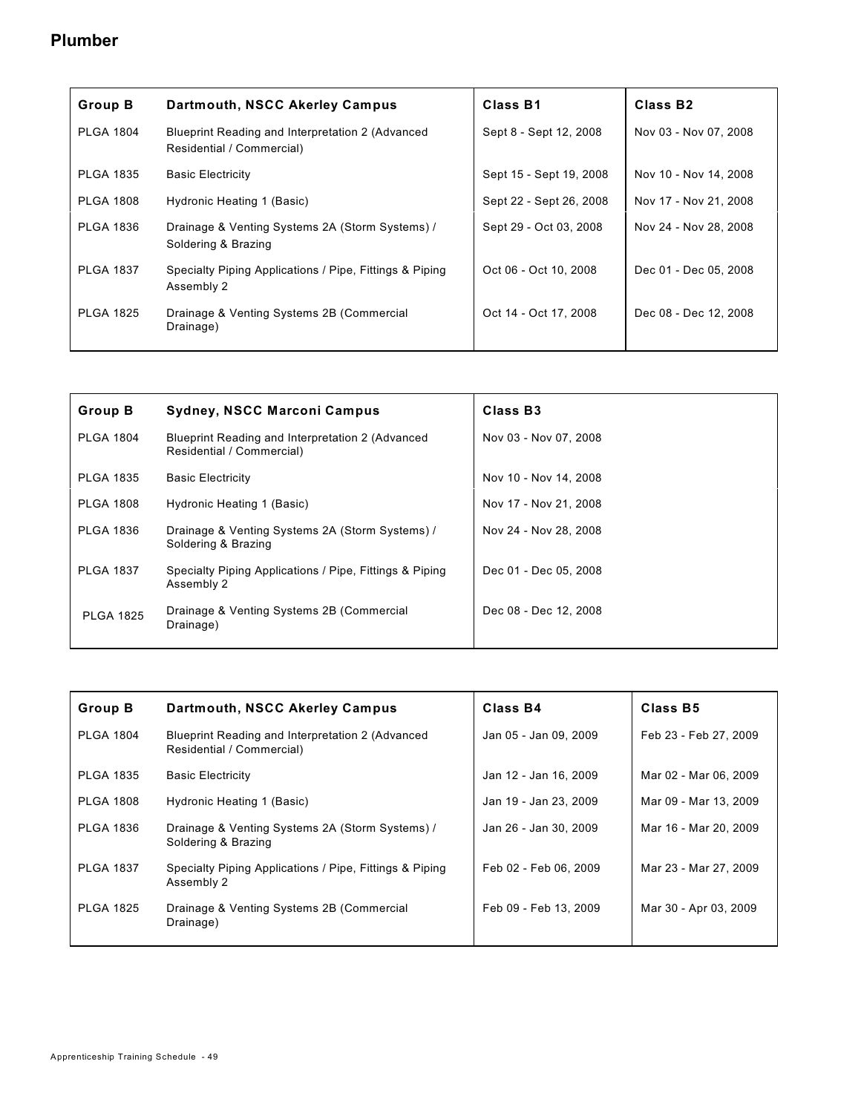| <b>Group B</b>   | Dartmouth, NSCC Akerley Campus                                                | Class B1                | Class B <sub>2</sub>  |
|------------------|-------------------------------------------------------------------------------|-------------------------|-----------------------|
| <b>PLGA 1804</b> | Blueprint Reading and Interpretation 2 (Advanced<br>Residential / Commercial) | Sept 8 - Sept 12, 2008  | Nov 03 - Nov 07, 2008 |
| <b>PLGA 1835</b> | <b>Basic Electricity</b>                                                      | Sept 15 - Sept 19, 2008 | Nov 10 - Nov 14, 2008 |
| <b>PLGA 1808</b> | Hydronic Heating 1 (Basic)                                                    | Sept 22 - Sept 26, 2008 | Nov 17 - Nov 21, 2008 |
| <b>PLGA 1836</b> | Drainage & Venting Systems 2A (Storm Systems) /<br>Soldering & Brazing        | Sept 29 - Oct 03, 2008  | Nov 24 - Nov 28, 2008 |
| <b>PLGA 1837</b> | Specialty Piping Applications / Pipe, Fittings & Piping<br>Assembly 2         | Oct 06 - Oct 10, 2008   | Dec 01 - Dec 05, 2008 |
| <b>PLGA 1825</b> | Drainage & Venting Systems 2B (Commercial<br>Drainage)                        | Oct 14 - Oct 17, 2008   | Dec 08 - Dec 12, 2008 |

| Group B          | <b>Sydney, NSCC Marconi Campus</b>                                            | Class B <sub>3</sub>  |
|------------------|-------------------------------------------------------------------------------|-----------------------|
| <b>PLGA 1804</b> | Blueprint Reading and Interpretation 2 (Advanced<br>Residential / Commercial) | Nov 03 - Nov 07, 2008 |
| <b>PLGA 1835</b> | <b>Basic Electricity</b>                                                      | Nov 10 - Nov 14, 2008 |
| <b>PLGA 1808</b> | Hydronic Heating 1 (Basic)                                                    | Nov 17 - Nov 21, 2008 |
| <b>PLGA 1836</b> | Drainage & Venting Systems 2A (Storm Systems) /<br>Soldering & Brazing        | Nov 24 - Nov 28, 2008 |
| <b>PLGA 1837</b> | Specialty Piping Applications / Pipe, Fittings & Piping<br>Assembly 2         | Dec 01 - Dec 05, 2008 |
| <b>PLGA 1825</b> | Drainage & Venting Systems 2B (Commercial<br>Drainage)                        | Dec 08 - Dec 12, 2008 |

| <b>Group B</b>   | Dartmouth, NSCC Akerley Campus                                                | Class B4              | Class B5              |
|------------------|-------------------------------------------------------------------------------|-----------------------|-----------------------|
| <b>PLGA 1804</b> | Blueprint Reading and Interpretation 2 (Advanced<br>Residential / Commercial) | Jan 05 - Jan 09, 2009 | Feb 23 - Feb 27, 2009 |
| <b>PLGA 1835</b> | <b>Basic Electricity</b>                                                      | Jan 12 - Jan 16, 2009 | Mar 02 - Mar 06, 2009 |
| <b>PLGA 1808</b> | Hydronic Heating 1 (Basic)                                                    | Jan 19 - Jan 23, 2009 | Mar 09 - Mar 13, 2009 |
| <b>PLGA 1836</b> | Drainage & Venting Systems 2A (Storm Systems) /<br>Soldering & Brazing        | Jan 26 - Jan 30, 2009 | Mar 16 - Mar 20, 2009 |
| <b>PLGA 1837</b> | Specialty Piping Applications / Pipe, Fittings & Piping<br>Assembly 2         | Feb 02 - Feb 06, 2009 | Mar 23 - Mar 27, 2009 |
| <b>PLGA 1825</b> | Drainage & Venting Systems 2B (Commercial<br>Drainage)                        | Feb 09 - Feb 13, 2009 | Mar 30 - Apr 03, 2009 |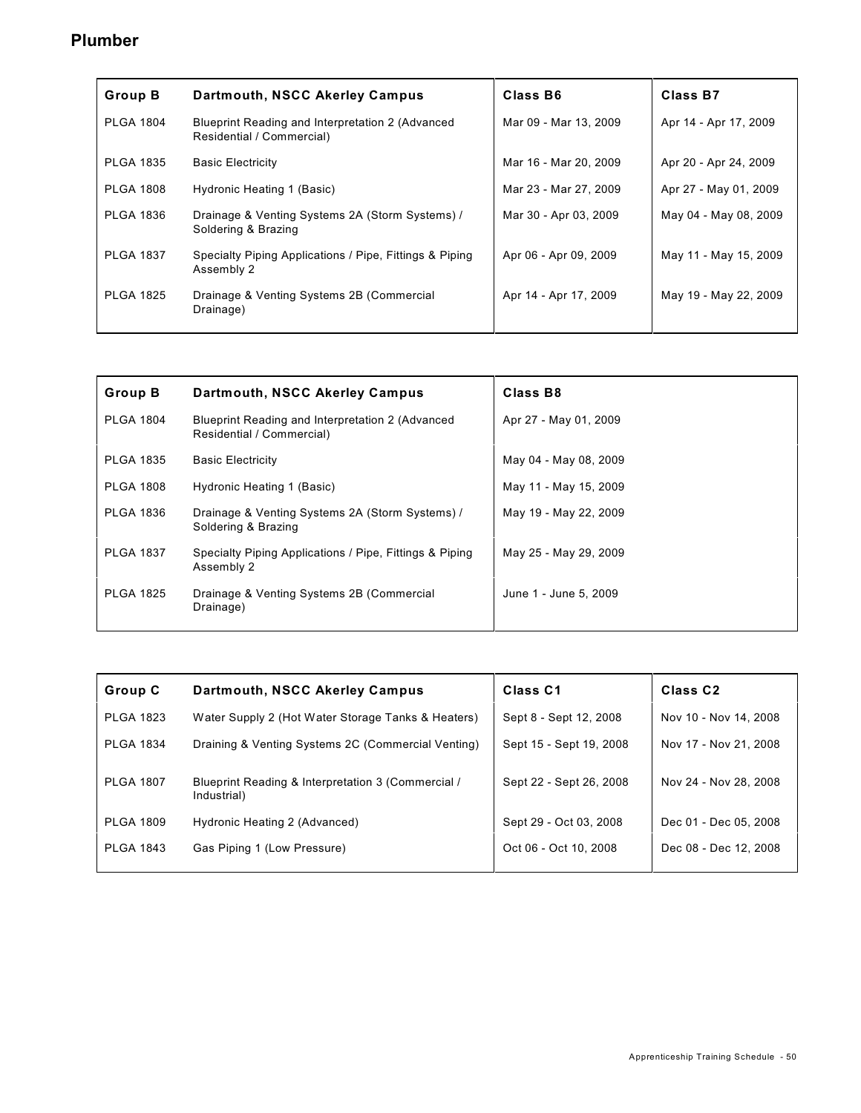| <b>Group B</b>   | Dartmouth, NSCC Akerley Campus                                                | Class B6              | Class B7              |
|------------------|-------------------------------------------------------------------------------|-----------------------|-----------------------|
| <b>PLGA 1804</b> | Blueprint Reading and Interpretation 2 (Advanced<br>Residential / Commercial) | Mar 09 - Mar 13, 2009 | Apr 14 - Apr 17, 2009 |
| <b>PLGA 1835</b> | <b>Basic Electricity</b>                                                      | Mar 16 - Mar 20, 2009 | Apr 20 - Apr 24, 2009 |
| <b>PLGA 1808</b> | Hydronic Heating 1 (Basic)                                                    | Mar 23 - Mar 27, 2009 | Apr 27 - May 01, 2009 |
| <b>PLGA 1836</b> | Drainage & Venting Systems 2A (Storm Systems) /<br>Soldering & Brazing        | Mar 30 - Apr 03, 2009 | May 04 - May 08, 2009 |
| <b>PLGA 1837</b> | Specialty Piping Applications / Pipe, Fittings & Piping<br>Assembly 2         | Apr 06 - Apr 09, 2009 | May 11 - May 15, 2009 |
| <b>PLGA 1825</b> | Drainage & Venting Systems 2B (Commercial<br>Drainage)                        | Apr 14 - Apr 17, 2009 | May 19 - May 22, 2009 |

| <b>Group B</b>   | Dartmouth, NSCC Akerley Campus                                                | Class B8              |
|------------------|-------------------------------------------------------------------------------|-----------------------|
| <b>PLGA 1804</b> | Blueprint Reading and Interpretation 2 (Advanced<br>Residential / Commercial) | Apr 27 - May 01, 2009 |
| <b>PLGA 1835</b> | <b>Basic Electricity</b>                                                      | May 04 - May 08, 2009 |
| <b>PLGA 1808</b> | Hydronic Heating 1 (Basic)                                                    | May 11 - May 15, 2009 |
| <b>PLGA 1836</b> | Drainage & Venting Systems 2A (Storm Systems) /<br>Soldering & Brazing        | May 19 - May 22, 2009 |
| <b>PLGA 1837</b> | Specialty Piping Applications / Pipe, Fittings & Piping<br>Assembly 2         | May 25 - May 29, 2009 |
| <b>PLGA 1825</b> | Drainage & Venting Systems 2B (Commercial<br>Drainage)                        | June 1 - June 5, 2009 |

| Group C          | Dartmouth, NSCC Akerley Campus                                    | Class <sub>C1</sub>     | Class <sub>C2</sub>   |
|------------------|-------------------------------------------------------------------|-------------------------|-----------------------|
| <b>PLGA 1823</b> | Water Supply 2 (Hot Water Storage Tanks & Heaters)                | Sept 8 - Sept 12, 2008  | Nov 10 - Nov 14, 2008 |
| <b>PLGA 1834</b> | Draining & Venting Systems 2C (Commercial Venting)                | Sept 15 - Sept 19, 2008 | Nov 17 - Nov 21, 2008 |
| <b>PLGA 1807</b> | Blueprint Reading & Interpretation 3 (Commercial /<br>Industrial) | Sept 22 - Sept 26, 2008 | Nov 24 - Nov 28, 2008 |
| <b>PLGA 1809</b> | Hydronic Heating 2 (Advanced)                                     | Sept 29 - Oct 03, 2008  | Dec 01 - Dec 05, 2008 |
| <b>PLGA 1843</b> | Gas Piping 1 (Low Pressure)                                       | Oct 06 - Oct 10, 2008   | Dec 08 - Dec 12, 2008 |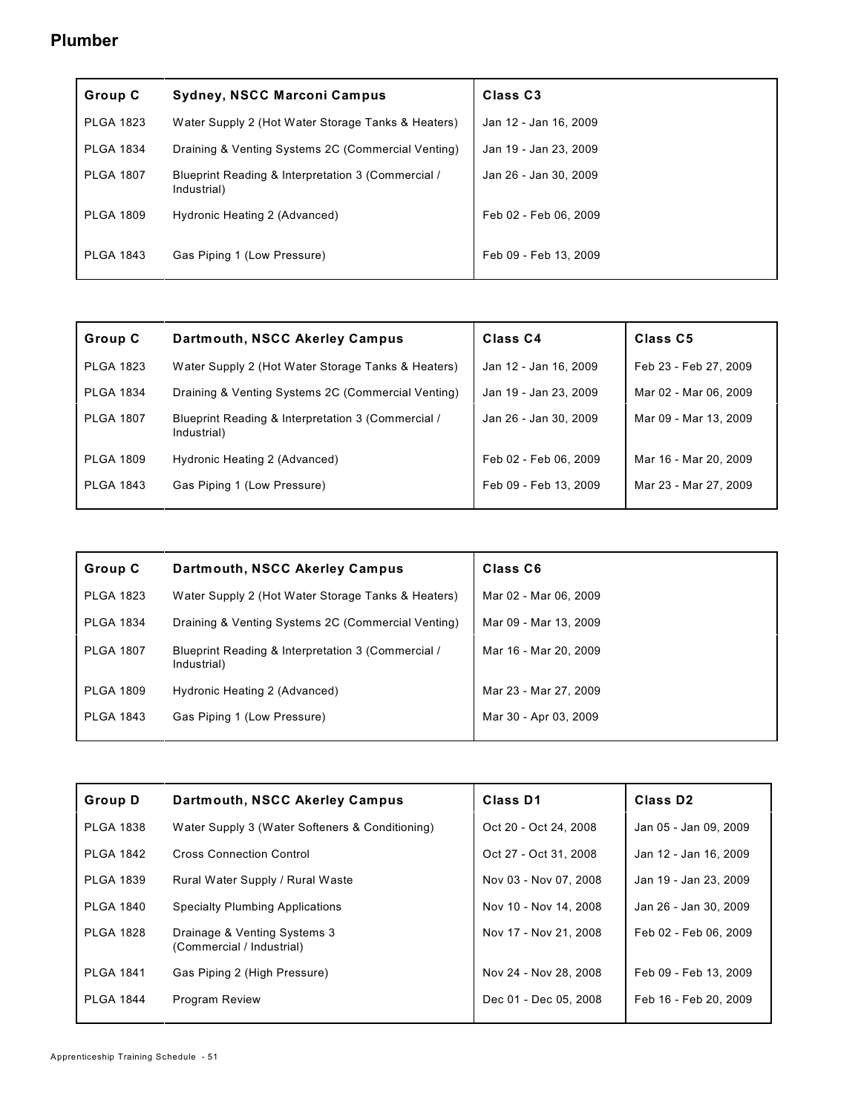| Group C          | <b>Sydney, NSCC Marconi Campus</b>                                | Class <sub>C3</sub>   |
|------------------|-------------------------------------------------------------------|-----------------------|
| <b>PLGA 1823</b> | Water Supply 2 (Hot Water Storage Tanks & Heaters)                | Jan 12 - Jan 16, 2009 |
| <b>PLGA 1834</b> | Draining & Venting Systems 2C (Commercial Venting)                | Jan 19 - Jan 23, 2009 |
| <b>PLGA 1807</b> | Blueprint Reading & Interpretation 3 (Commercial /<br>Industrial) | Jan 26 - Jan 30, 2009 |
| <b>PLGA 1809</b> | Hydronic Heating 2 (Advanced)                                     | Feb 02 - Feb 06, 2009 |
| <b>PLGA 1843</b> | Gas Piping 1 (Low Pressure)                                       | Feb 09 - Feb 13, 2009 |

| Group C          | Dartmouth, NSCC Akerley Campus                                    | Class <sub>C4</sub>   | <b>Class C5</b>       |
|------------------|-------------------------------------------------------------------|-----------------------|-----------------------|
| <b>PLGA 1823</b> | Water Supply 2 (Hot Water Storage Tanks & Heaters)                | Jan 12 - Jan 16, 2009 | Feb 23 - Feb 27, 2009 |
| <b>PLGA 1834</b> | Draining & Venting Systems 2C (Commercial Venting)                | Jan 19 - Jan 23, 2009 | Mar 02 - Mar 06, 2009 |
| <b>PLGA 1807</b> | Blueprint Reading & Interpretation 3 (Commercial /<br>Industrial) | Jan 26 - Jan 30, 2009 | Mar 09 - Mar 13, 2009 |
| <b>PLGA 1809</b> | Hydronic Heating 2 (Advanced)                                     | Feb 02 - Feb 06, 2009 | Mar 16 - Mar 20, 2009 |
| <b>PLGA 1843</b> | Gas Piping 1 (Low Pressure)                                       | Feb 09 - Feb 13, 2009 | Mar 23 - Mar 27, 2009 |

| Group C          | Dartmouth, NSCC Akerley Campus                                    | <b>Class C6</b>       |
|------------------|-------------------------------------------------------------------|-----------------------|
| <b>PLGA 1823</b> | Water Supply 2 (Hot Water Storage Tanks & Heaters)                | Mar 02 - Mar 06, 2009 |
| <b>PLGA 1834</b> | Draining & Venting Systems 2C (Commercial Venting)                | Mar 09 - Mar 13, 2009 |
| <b>PLGA 1807</b> | Blueprint Reading & Interpretation 3 (Commercial /<br>Industrial) | Mar 16 - Mar 20, 2009 |
| <b>PLGA 1809</b> | Hydronic Heating 2 (Advanced)                                     | Mar 23 - Mar 27, 2009 |
| <b>PLGA 1843</b> | Gas Piping 1 (Low Pressure)                                       | Mar 30 - Apr 03, 2009 |

| <b>Group D</b>   | Dartmouth, NSCC Akerley Campus                            | Class D1              | Class D <sub>2</sub>  |
|------------------|-----------------------------------------------------------|-----------------------|-----------------------|
| <b>PLGA 1838</b> | Water Supply 3 (Water Softeners & Conditioning)           | Oct 20 - Oct 24, 2008 | Jan 05 - Jan 09, 2009 |
| <b>PLGA 1842</b> | <b>Cross Connection Control</b>                           | Oct 27 - Oct 31, 2008 | Jan 12 - Jan 16, 2009 |
| <b>PLGA 1839</b> | Rural Water Supply / Rural Waste                          | Nov 03 - Nov 07, 2008 | Jan 19 - Jan 23, 2009 |
| <b>PLGA 1840</b> | <b>Specialty Plumbing Applications</b>                    | Nov 10 - Nov 14, 2008 | Jan 26 - Jan 30, 2009 |
| <b>PLGA 1828</b> | Drainage & Venting Systems 3<br>(Commercial / Industrial) | Nov 17 - Nov 21, 2008 | Feb 02 - Feb 06, 2009 |
| <b>PLGA 1841</b> | Gas Piping 2 (High Pressure)                              | Nov 24 - Nov 28, 2008 | Feb 09 - Feb 13, 2009 |
| <b>PLGA 1844</b> | <b>Program Review</b>                                     | Dec 01 - Dec 05, 2008 | Feb 16 - Feb 20, 2009 |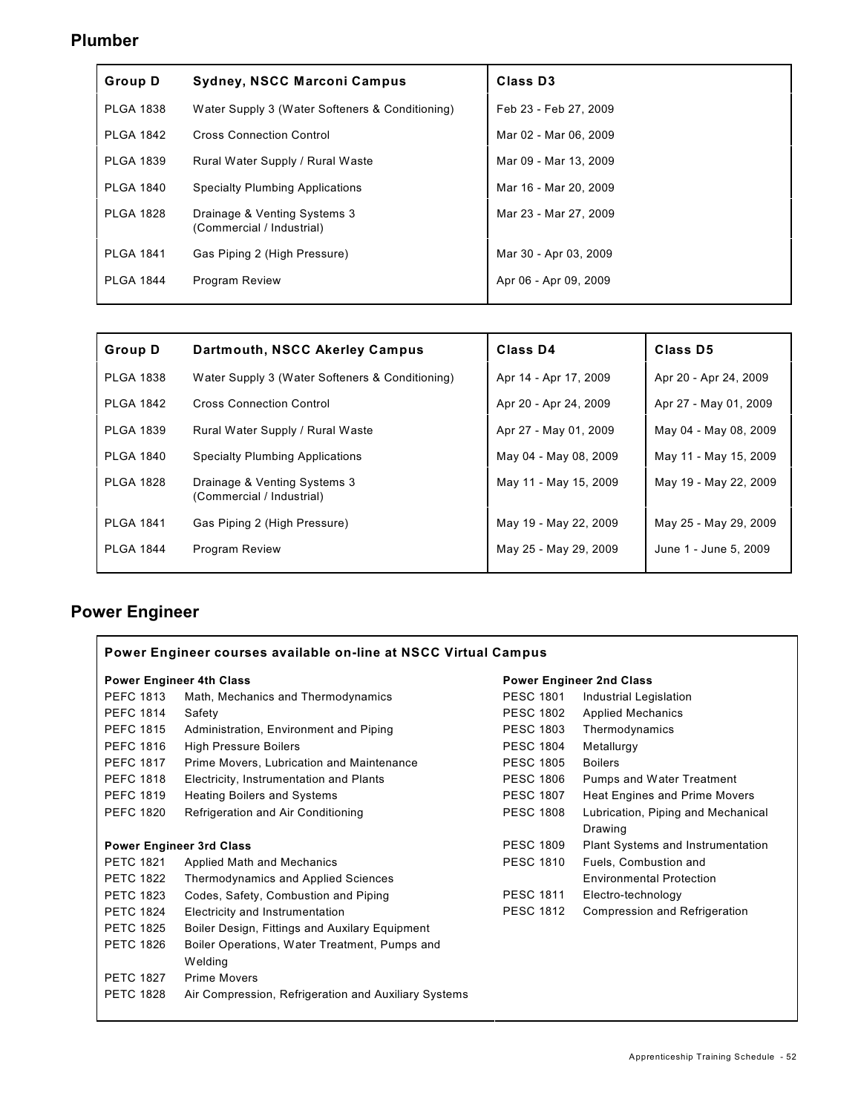| <b>Group D</b>   | Sydney, NSCC Marconi Campus                               | <b>Class D3</b>       |
|------------------|-----------------------------------------------------------|-----------------------|
| <b>PLGA 1838</b> | Water Supply 3 (Water Softeners & Conditioning)           | Feb 23 - Feb 27, 2009 |
| <b>PLGA 1842</b> | <b>Cross Connection Control</b>                           | Mar 02 - Mar 06, 2009 |
| <b>PLGA 1839</b> | Rural Water Supply / Rural Waste                          | Mar 09 - Mar 13, 2009 |
| <b>PLGA 1840</b> | <b>Specialty Plumbing Applications</b>                    | Mar 16 - Mar 20, 2009 |
| <b>PLGA 1828</b> | Drainage & Venting Systems 3<br>(Commercial / Industrial) | Mar 23 - Mar 27, 2009 |
| <b>PLGA 1841</b> | Gas Piping 2 (High Pressure)                              | Mar 30 - Apr 03, 2009 |
| <b>PLGA 1844</b> | <b>Program Review</b>                                     | Apr 06 - Apr 09, 2009 |

| Group D          | Dartmouth, NSCC Akerley Campus                            | Class D4              | Class D5              |
|------------------|-----------------------------------------------------------|-----------------------|-----------------------|
| <b>PLGA 1838</b> | Water Supply 3 (Water Softeners & Conditioning)           | Apr 14 - Apr 17, 2009 | Apr 20 - Apr 24, 2009 |
| <b>PLGA 1842</b> | <b>Cross Connection Control</b>                           | Apr 20 - Apr 24, 2009 | Apr 27 - May 01, 2009 |
| <b>PLGA 1839</b> | Rural Water Supply / Rural Waste                          | Apr 27 - May 01, 2009 | May 04 - May 08, 2009 |
| <b>PLGA 1840</b> | <b>Specialty Plumbing Applications</b>                    | May 04 - May 08, 2009 | May 11 - May 15, 2009 |
| <b>PLGA 1828</b> | Drainage & Venting Systems 3<br>(Commercial / Industrial) | May 11 - May 15, 2009 | May 19 - May 22, 2009 |
| <b>PLGA 1841</b> | Gas Piping 2 (High Pressure)                              | May 19 - May 22, 2009 | May 25 - May 29, 2009 |
| <b>PLGA 1844</b> | <b>Program Review</b>                                     | May 25 - May 29, 2009 | June 1 - June 5, 2009 |
|                  |                                                           |                       |                       |

# **Power Engineer**

| Power Engineer courses available on-line at NSCC Virtual Campus |                                                      |                  |                                    |
|-----------------------------------------------------------------|------------------------------------------------------|------------------|------------------------------------|
| <b>Power Engineer 4th Class</b>                                 |                                                      |                  | <b>Power Engineer 2nd Class</b>    |
| <b>PEFC 1813</b>                                                | Math, Mechanics and Thermodynamics                   | <b>PESC 1801</b> | Industrial Legislation             |
| <b>PEFC 1814</b>                                                | Safety                                               | <b>PESC 1802</b> | <b>Applied Mechanics</b>           |
| <b>PEFC 1815</b>                                                | Administration, Environment and Piping               | <b>PESC 1803</b> | Thermodynamics                     |
| <b>PEFC 1816</b>                                                | High Pressure Boilers                                | <b>PESC 1804</b> | Metallurgy                         |
| <b>PEFC 1817</b>                                                | Prime Movers, Lubrication and Maintenance            | <b>PESC 1805</b> | <b>Boilers</b>                     |
| <b>PEFC 1818</b>                                                | Electricity, Instrumentation and Plants              | <b>PESC 1806</b> | <b>Pumps and Water Treatment</b>   |
| <b>PEFC 1819</b>                                                | <b>Heating Boilers and Systems</b>                   | <b>PESC 1807</b> | Heat Engines and Prime Movers      |
| <b>PEFC 1820</b>                                                | Refrigeration and Air Conditioning                   | <b>PESC 1808</b> | Lubrication, Piping and Mechanical |
|                                                                 |                                                      |                  | Drawing                            |
|                                                                 | <b>Power Engineer 3rd Class</b>                      | <b>PESC 1809</b> | Plant Systems and Instrumentation  |
| <b>PETC 1821</b>                                                | Applied Math and Mechanics                           | <b>PESC 1810</b> | Fuels, Combustion and              |
| <b>PETC 1822</b>                                                | Thermodynamics and Applied Sciences                  |                  | <b>Environmental Protection</b>    |
| <b>PETC 1823</b>                                                | Codes, Safety, Combustion and Piping                 | <b>PESC 1811</b> | Electro-technology                 |
| <b>PETC 1824</b>                                                | Electricity and Instrumentation                      | <b>PESC 1812</b> | Compression and Refrigeration      |
| <b>PETC 1825</b>                                                | Boiler Design, Fittings and Auxilary Equipment       |                  |                                    |
| <b>PETC 1826</b>                                                | Boiler Operations, Water Treatment, Pumps and        |                  |                                    |
|                                                                 | Welding                                              |                  |                                    |
| <b>PETC 1827</b>                                                | <b>Prime Movers</b>                                  |                  |                                    |
| <b>PETC 1828</b>                                                | Air Compression, Refrigeration and Auxiliary Systems |                  |                                    |
|                                                                 |                                                      |                  |                                    |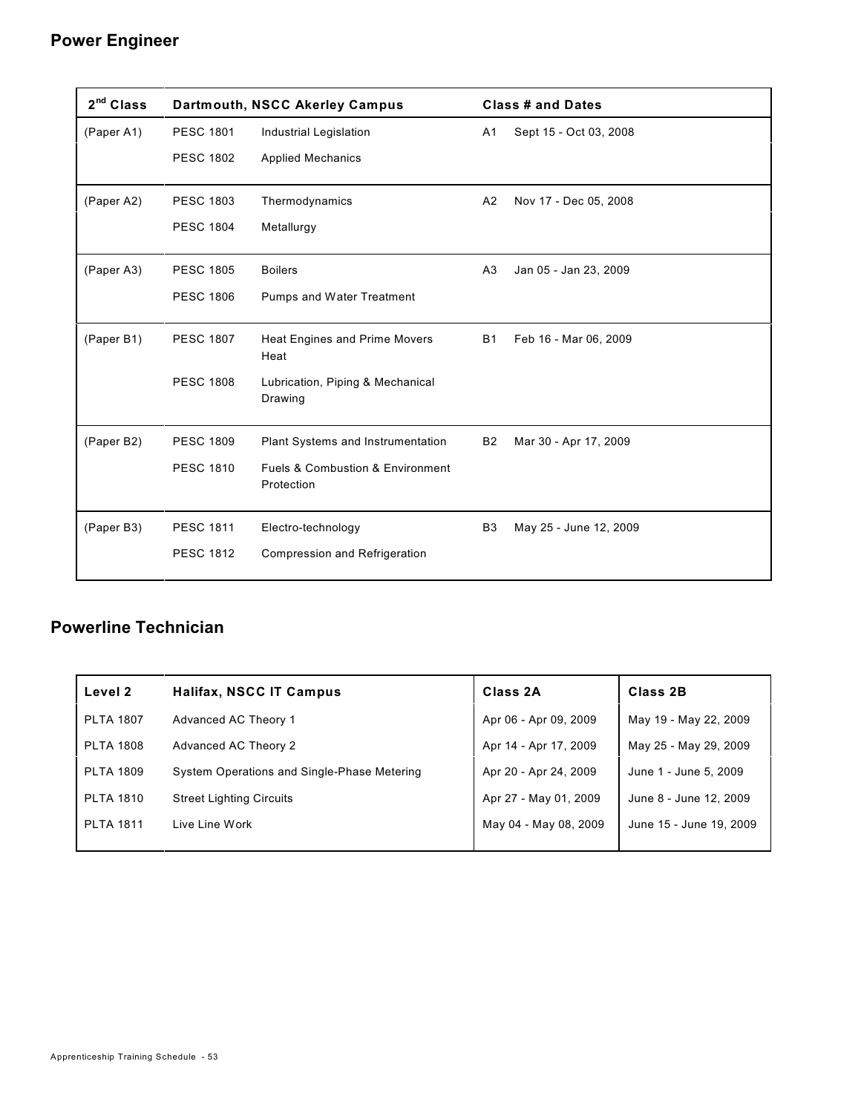#### **Power Engineer**

| 2 <sup>nd</sup> Class |                  | <b>Dartmouth, NSCC Akerley Campus</b>                         |                | <b>Class # and Dates</b> |
|-----------------------|------------------|---------------------------------------------------------------|----------------|--------------------------|
| (Paper A1)            | <b>PESC 1801</b> | <b>Industrial Legislation</b>                                 | A1             | Sept 15 - Oct 03, 2008   |
|                       | <b>PESC 1802</b> | <b>Applied Mechanics</b>                                      |                |                          |
| (Paper A2)            | <b>PESC 1803</b> | Thermodynamics                                                | A2             | Nov 17 - Dec 05, 2008    |
|                       | <b>PESC 1804</b> | Metallurgy                                                    |                |                          |
| (Paper A3)            | <b>PESC 1805</b> | <b>Boilers</b>                                                | A3             | Jan 05 - Jan 23, 2009    |
|                       | <b>PESC 1806</b> | Pumps and Water Treatment                                     |                |                          |
| (Paper B1)            | <b>PESC 1807</b> | <b>Heat Engines and Prime Movers</b><br>Heat                  | <b>B1</b>      | Feb 16 - Mar 06, 2009    |
|                       | <b>PESC 1808</b> | Lubrication, Piping & Mechanical<br>Drawing                   |                |                          |
| (Paper B2)            | <b>PESC 1809</b> | Plant Systems and Instrumentation                             | <b>B2</b>      | Mar 30 - Apr 17, 2009    |
|                       | <b>PESC 1810</b> | <b>Fuels &amp; Combustion &amp; Environment</b><br>Protection |                |                          |
| (Paper B3)            | <b>PESC 1811</b> | Electro-technology                                            | B <sub>3</sub> | May 25 - June 12, 2009   |
|                       | <b>PESC 1812</b> | <b>Compression and Refrigeration</b>                          |                |                          |

### **Powerline Technician**

| Level 2          | <b>Halifax, NSCC IT Campus</b>              | Class 2A              | Class 2B                |
|------------------|---------------------------------------------|-----------------------|-------------------------|
| <b>PLTA 1807</b> | Advanced AC Theory 1                        | Apr 06 - Apr 09, 2009 | May 19 - May 22, 2009   |
| <b>PLTA 1808</b> | Advanced AC Theory 2                        | Apr 14 - Apr 17, 2009 | May 25 - May 29, 2009   |
| <b>PLTA 1809</b> | System Operations and Single-Phase Metering | Apr 20 - Apr 24, 2009 | June 1 - June 5, 2009   |
| <b>PLTA 1810</b> | <b>Street Lighting Circuits</b>             | Apr 27 - May 01, 2009 | June 8 - June 12, 2009  |
| <b>PLTA 1811</b> | Live Line Work                              | May 04 - May 08, 2009 | June 15 - June 19, 2009 |
|                  |                                             |                       |                         |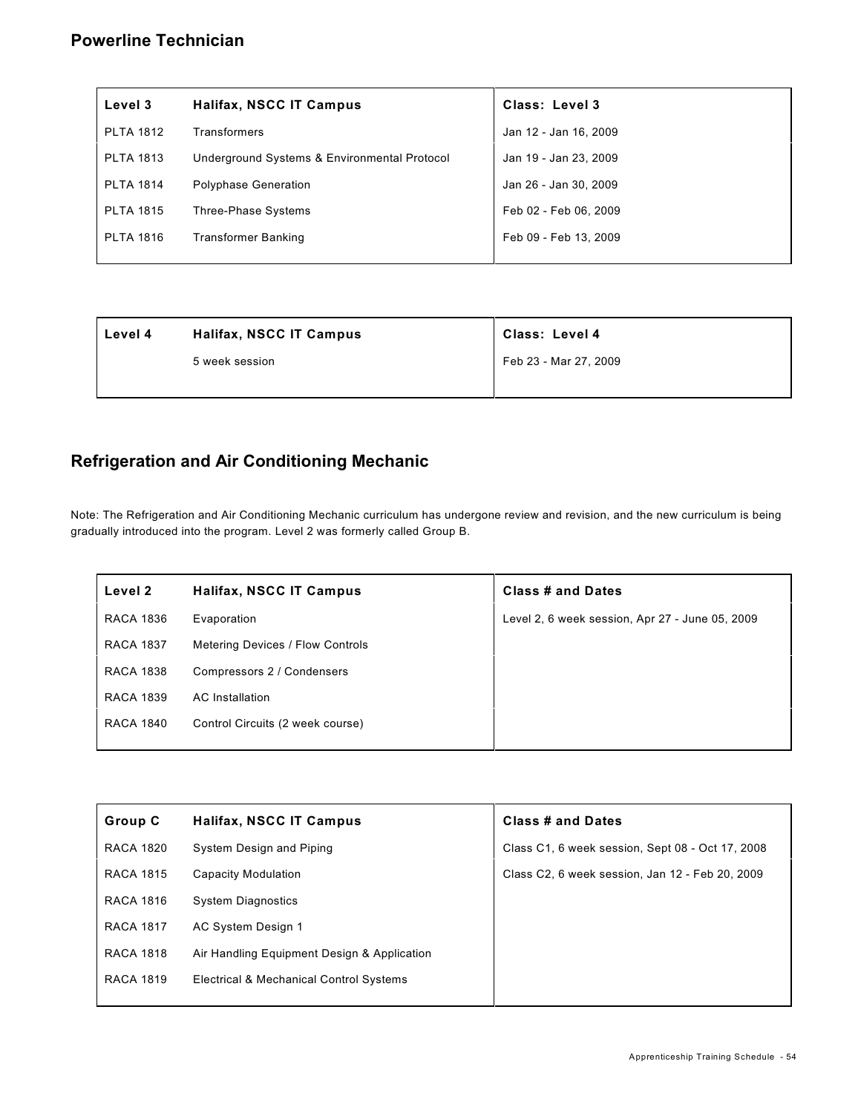#### **Powerline Technician**

| Level 3          | Halifax, NSCC IT Campus                      | Class: Level 3        |
|------------------|----------------------------------------------|-----------------------|
| <b>PLTA 1812</b> | Transformers                                 | Jan 12 - Jan 16, 2009 |
| <b>PLTA 1813</b> | Underground Systems & Environmental Protocol | Jan 19 - Jan 23, 2009 |
| <b>PLTA 1814</b> | <b>Polyphase Generation</b>                  | Jan 26 - Jan 30, 2009 |
| <b>PLTA 1815</b> | Three-Phase Systems                          | Feb 02 - Feb 06, 2009 |
| <b>PLTA 1816</b> | <b>Transformer Banking</b>                   | Feb 09 - Feb 13, 2009 |
|                  |                                              |                       |

| Level 4 | Halifax, NSCC IT Campus | Class: Level 4        |
|---------|-------------------------|-----------------------|
|         | 5 week session          | Feb 23 - Mar 27, 2009 |
|         |                         |                       |

#### **Refrigeration and Air Conditioning Mechanic**

Note: The Refrigeration and Air Conditioning Mechanic curriculum has undergone review and revision, and the new curriculum is being gradually introduced into the program. Level 2 was formerly called Group B.

| Level 2          | <b>Halifax, NSCC IT Campus</b>   | Class # and Dates                               |
|------------------|----------------------------------|-------------------------------------------------|
| <b>RACA 1836</b> | Evaporation                      | Level 2, 6 week session, Apr 27 - June 05, 2009 |
| <b>RACA 1837</b> | Metering Devices / Flow Controls |                                                 |
| <b>RACA 1838</b> | Compressors 2 / Condensers       |                                                 |
| <b>RACA 1839</b> | AC Installation                  |                                                 |
| <b>RACA 1840</b> | Control Circuits (2 week course) |                                                 |
|                  |                                  |                                                 |

| Group C          | <b>Halifax, NSCC IT Campus</b>              | Class # and Dates                                |
|------------------|---------------------------------------------|--------------------------------------------------|
| <b>RACA 1820</b> | System Design and Piping                    | Class C1, 6 week session, Sept 08 - Oct 17, 2008 |
| <b>RACA 1815</b> | Capacity Modulation                         | Class C2, 6 week session, Jan 12 - Feb 20, 2009  |
| <b>RACA 1816</b> | <b>System Diagnostics</b>                   |                                                  |
| <b>RACA 1817</b> | AC System Design 1                          |                                                  |
| <b>RACA 1818</b> | Air Handling Equipment Design & Application |                                                  |
| <b>RACA 1819</b> | Electrical & Mechanical Control Systems     |                                                  |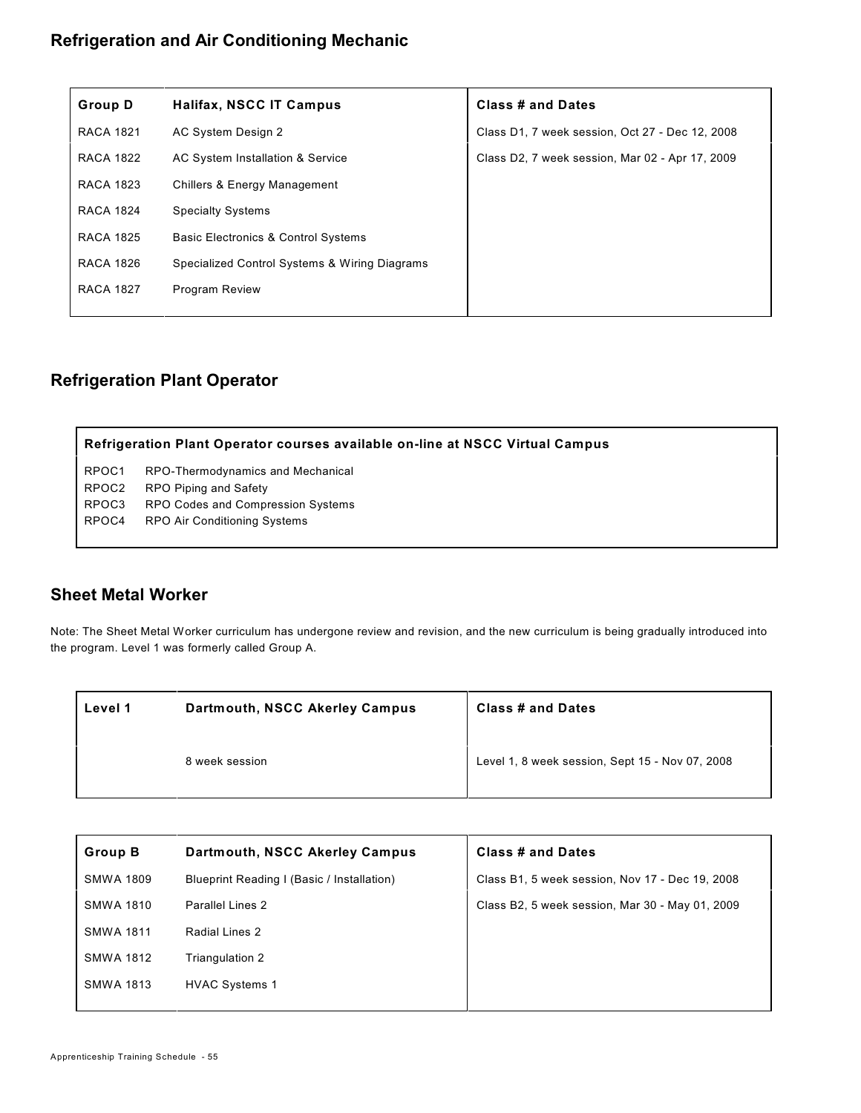#### **Refrigeration and Air Conditioning Mechanic**

| <b>Group D</b>   | Halifax, NSCC IT Campus                        | <b>Class # and Dates</b>                        |
|------------------|------------------------------------------------|-------------------------------------------------|
| <b>RACA 1821</b> | AC System Design 2                             | Class D1, 7 week session, Oct 27 - Dec 12, 2008 |
| <b>RACA 1822</b> | AC System Installation & Service               | Class D2, 7 week session, Mar 02 - Apr 17, 2009 |
| <b>RACA 1823</b> | <b>Chillers &amp; Energy Management</b>        |                                                 |
| <b>RACA 1824</b> | <b>Specialty Systems</b>                       |                                                 |
| <b>RACA 1825</b> | <b>Basic Electronics &amp; Control Systems</b> |                                                 |
| <b>RACA 1826</b> | Specialized Control Systems & Wiring Diagrams  |                                                 |
| <b>RACA 1827</b> | <b>Program Review</b>                          |                                                 |
|                  |                                                |                                                 |

#### **Refrigeration Plant Operator**

**Refrigeration Plant Operator courses available on-line at NSCC Virtual Campus**

RPOC1 RPO-Thermodynamics and Mechanical RPOC2 RPO Piping and Safety RPOC3 RPO Codes and Compression Systems RPOC4 RPO Air Conditioning Systems

#### **Sheet Metal Worker**

Note: The Sheet Metal Worker curriculum has undergone review and revision, and the new curriculum is being gradually introduced into the program. Level 1 was formerly called Group A.

| Level 1 | Dartmouth, NSCC Akerley Campus | <b>Class # and Dates</b>                        |
|---------|--------------------------------|-------------------------------------------------|
|         | 8 week session                 | Level 1, 8 week session, Sept 15 - Nov 07, 2008 |

| <b>Group B</b>   | Dartmouth, NSCC Akerley Campus             | Class # and Dates                               |
|------------------|--------------------------------------------|-------------------------------------------------|
| <b>SMWA 1809</b> | Blueprint Reading I (Basic / Installation) | Class B1, 5 week session, Nov 17 - Dec 19, 2008 |
| <b>SMWA 1810</b> | Parallel Lines 2                           | Class B2, 5 week session, Mar 30 - May 01, 2009 |
| <b>SMWA 1811</b> | Radial Lines 2                             |                                                 |
| <b>SMWA 1812</b> | Triangulation 2                            |                                                 |
| <b>SMWA 1813</b> | <b>HVAC Systems 1</b>                      |                                                 |
|                  |                                            |                                                 |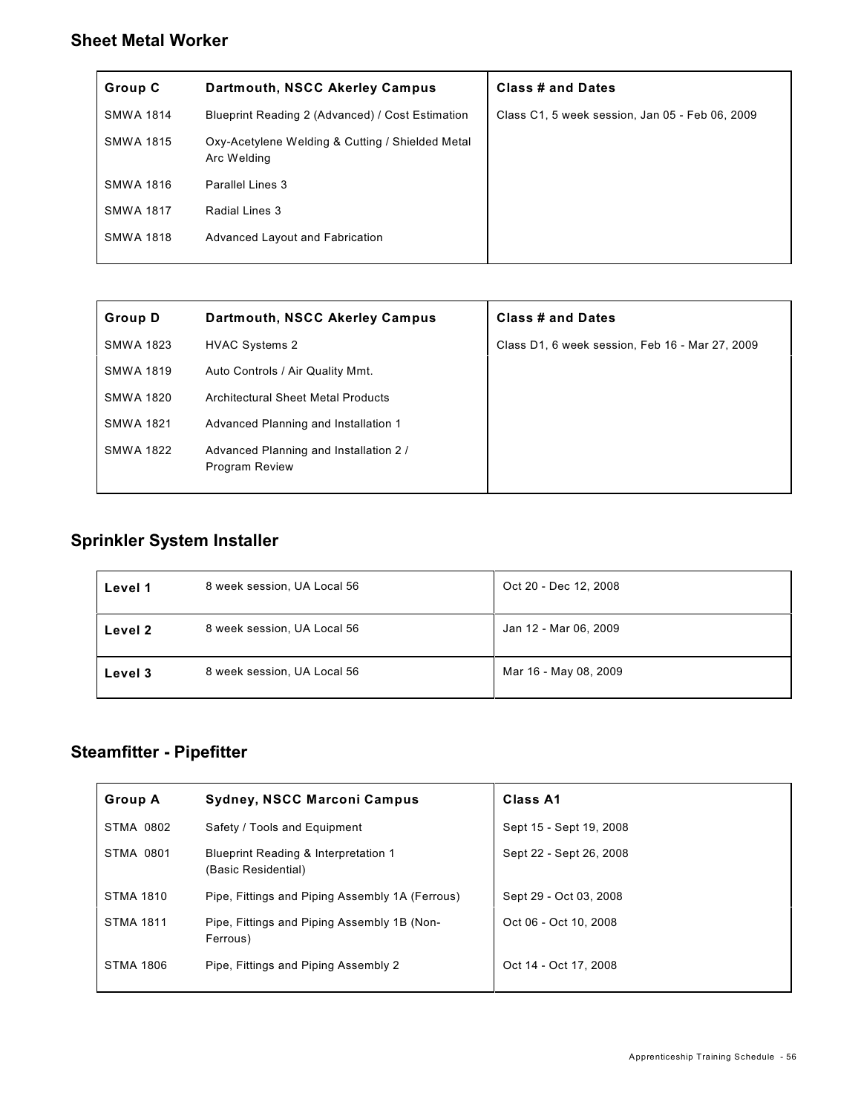### **Sheet Metal Worker**

| Group C          | Dartmouth, NSCC Akerley Campus                                  | Class # and Dates                               |
|------------------|-----------------------------------------------------------------|-------------------------------------------------|
| <b>SMWA 1814</b> | Blueprint Reading 2 (Advanced) / Cost Estimation                | Class C1, 5 week session, Jan 05 - Feb 06, 2009 |
| SMWA 1815        | Oxy-Acetylene Welding & Cutting / Shielded Metal<br>Arc Welding |                                                 |
| <b>SMWA 1816</b> | Parallel Lines 3                                                |                                                 |
| <b>SMWA 1817</b> | Radial Lines 3                                                  |                                                 |
| <b>SMWA 1818</b> | Advanced Layout and Fabrication                                 |                                                 |

| <b>Group D</b>   | Dartmouth, NSCC Akerley Campus                           | <b>Class # and Dates</b>                        |
|------------------|----------------------------------------------------------|-------------------------------------------------|
| <b>SMWA 1823</b> | <b>HVAC Systems 2</b>                                    | Class D1, 6 week session, Feb 16 - Mar 27, 2009 |
| <b>SMWA 1819</b> | Auto Controls / Air Quality Mmt.                         |                                                 |
| SMWA 1820        | Architectural Sheet Metal Products                       |                                                 |
| <b>SMWA 1821</b> | Advanced Planning and Installation 1                     |                                                 |
| SMWA 1822        | Advanced Planning and Installation 2 /<br>Program Review |                                                 |

## **Sprinkler System Installer**

| Level 1 | 8 week session, UA Local 56 | Oct 20 - Dec 12, 2008 |
|---------|-----------------------------|-----------------------|
| Level 2 | 8 week session, UA Local 56 | Jan 12 - Mar 06, 2009 |
| Level 3 | 8 week session, UA Local 56 | Mar 16 - May 08, 2009 |

| <b>Group A</b>   | <b>Sydney, NSCC Marconi Campus</b>                                     | Class A1                |
|------------------|------------------------------------------------------------------------|-------------------------|
| STMA 0802        | Safety / Tools and Equipment                                           | Sept 15 - Sept 19, 2008 |
| STMA 0801        | <b>Blueprint Reading &amp; Interpretation 1</b><br>(Basic Residential) | Sept 22 - Sept 26, 2008 |
| <b>STMA 1810</b> | Pipe, Fittings and Piping Assembly 1A (Ferrous)                        | Sept 29 - Oct 03, 2008  |
| <b>STMA 1811</b> | Pipe, Fittings and Piping Assembly 1B (Non-<br>Ferrous)                | Oct 06 - Oct 10, 2008   |
| <b>STMA 1806</b> | Pipe, Fittings and Piping Assembly 2                                   | Oct 14 - Oct 17, 2008   |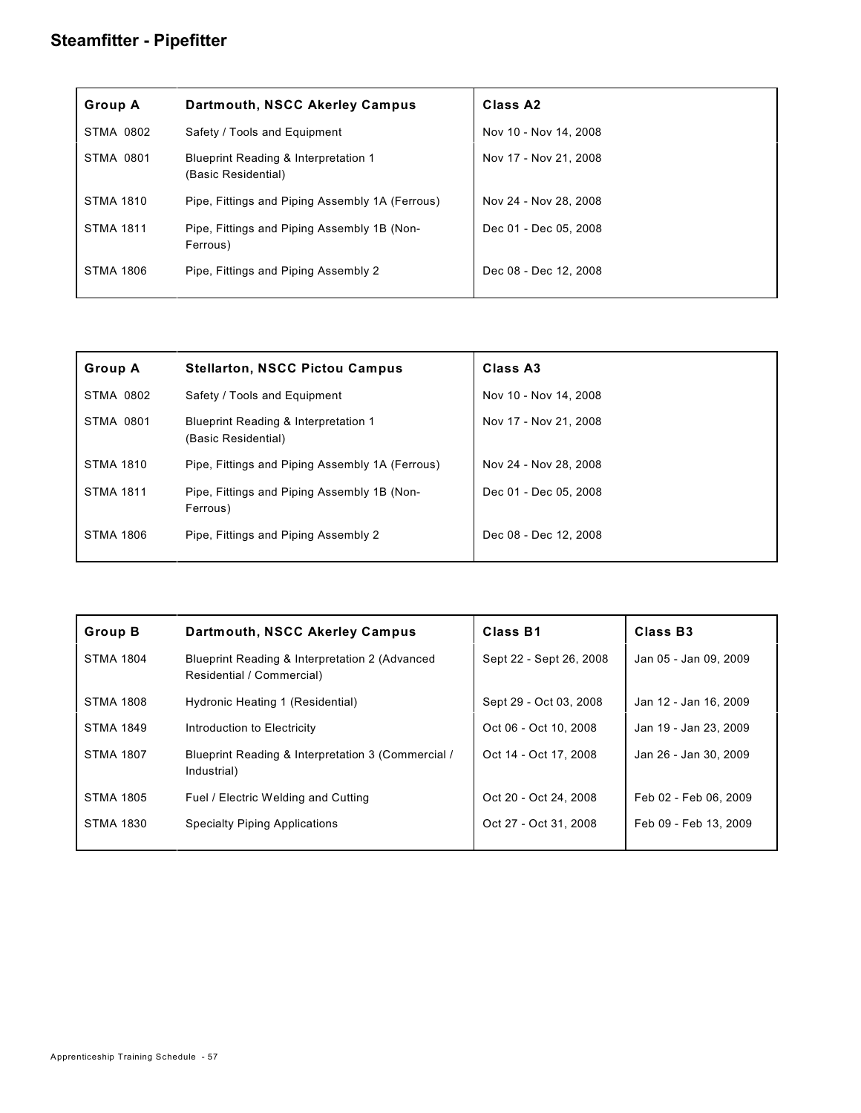| <b>Group A</b>   | Dartmouth, NSCC Akerley Campus                                         | Class A <sub>2</sub>  |
|------------------|------------------------------------------------------------------------|-----------------------|
| <b>STMA 0802</b> | Safety / Tools and Equipment                                           | Nov 10 - Nov 14, 2008 |
| <b>STMA 0801</b> | <b>Blueprint Reading &amp; Interpretation 1</b><br>(Basic Residential) | Nov 17 - Nov 21, 2008 |
| <b>STMA 1810</b> | Pipe, Fittings and Piping Assembly 1A (Ferrous)                        | Nov 24 - Nov 28, 2008 |
| <b>STMA 1811</b> | Pipe, Fittings and Piping Assembly 1B (Non-<br>Ferrous)                | Dec 01 - Dec 05, 2008 |
| <b>STMA 1806</b> | Pipe, Fittings and Piping Assembly 2                                   | Dec 08 - Dec 12, 2008 |

| <b>Group A</b>   | <b>Stellarton, NSCC Pictou Campus</b>                                  | Class A3              |
|------------------|------------------------------------------------------------------------|-----------------------|
| STMA 0802        | Safety / Tools and Equipment                                           | Nov 10 - Nov 14, 2008 |
| <b>STMA 0801</b> | <b>Blueprint Reading &amp; Interpretation 1</b><br>(Basic Residential) | Nov 17 - Nov 21, 2008 |
| <b>STMA 1810</b> | Pipe, Fittings and Piping Assembly 1A (Ferrous)                        | Nov 24 - Nov 28, 2008 |
| <b>STMA 1811</b> | Pipe, Fittings and Piping Assembly 1B (Non-<br>Ferrous)                | Dec 01 - Dec 05, 2008 |
| <b>STMA 1806</b> | Pipe, Fittings and Piping Assembly 2                                   | Dec 08 - Dec 12, 2008 |

| <b>Group B</b>   | Dartmouth, NSCC Akerley Campus                                              | Class B1                | Class B <sub>3</sub>  |
|------------------|-----------------------------------------------------------------------------|-------------------------|-----------------------|
| <b>STMA 1804</b> | Blueprint Reading & Interpretation 2 (Advanced<br>Residential / Commercial) | Sept 22 - Sept 26, 2008 | Jan 05 - Jan 09, 2009 |
| <b>STMA 1808</b> | Hydronic Heating 1 (Residential)                                            | Sept 29 - Oct 03, 2008  | Jan 12 - Jan 16, 2009 |
| <b>STMA 1849</b> | Introduction to Electricity                                                 | Oct 06 - Oct 10, 2008   | Jan 19 - Jan 23, 2009 |
| <b>STMA 1807</b> | Blueprint Reading & Interpretation 3 (Commercial /<br>Industrial)           | Oct 14 - Oct 17, 2008   | Jan 26 - Jan 30, 2009 |
| <b>STMA 1805</b> | Fuel / Electric Welding and Cutting                                         | Oct 20 - Oct 24, 2008   | Feb 02 - Feb 06, 2009 |
| <b>STMA 1830</b> | <b>Specialty Piping Applications</b>                                        | Oct 27 - Oct 31, 2008   | Feb 09 - Feb 13, 2009 |
|                  |                                                                             |                         |                       |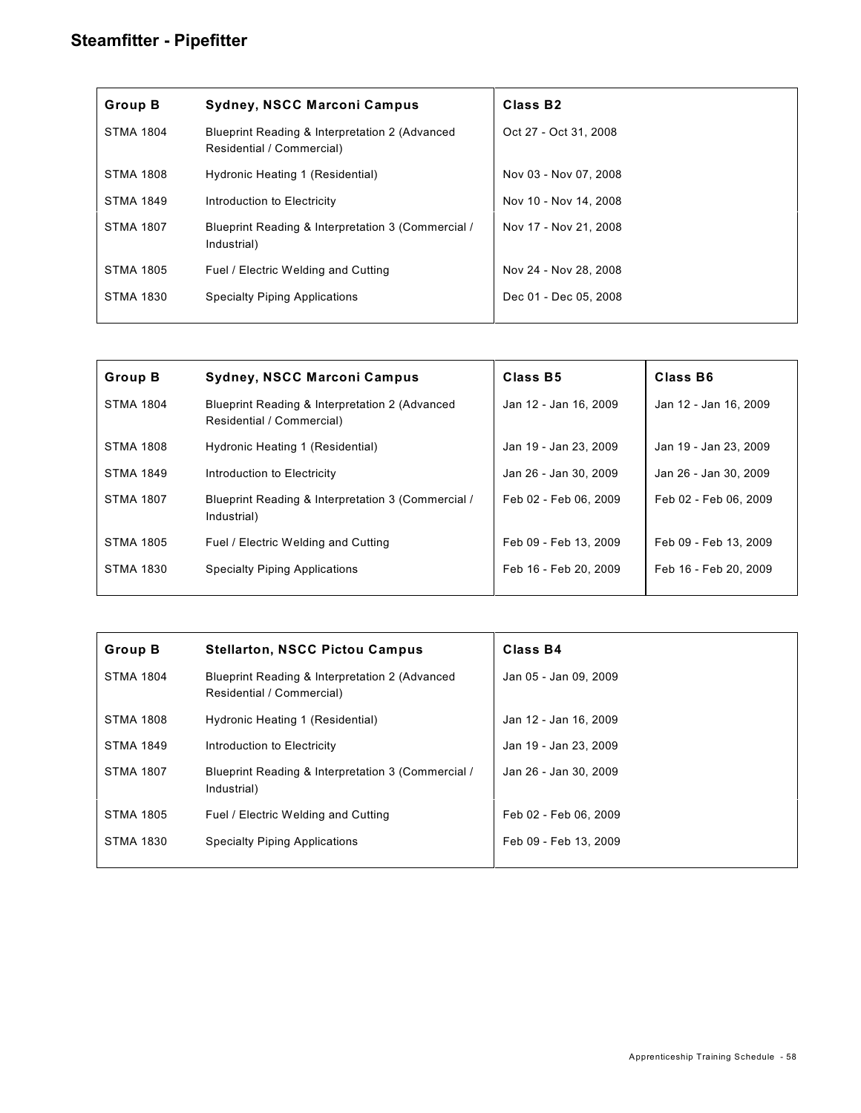| <b>Group B</b>   | <b>Sydney, NSCC Marconi Campus</b>                                          | Class B <sub>2</sub>  |
|------------------|-----------------------------------------------------------------------------|-----------------------|
| <b>STMA 1804</b> | Blueprint Reading & Interpretation 2 (Advanced<br>Residential / Commercial) | Oct 27 - Oct 31, 2008 |
| <b>STMA 1808</b> | Hydronic Heating 1 (Residential)                                            | Nov 03 - Nov 07, 2008 |
| <b>STMA 1849</b> | Introduction to Electricity                                                 | Nov 10 - Nov 14, 2008 |
| <b>STMA 1807</b> | Blueprint Reading & Interpretation 3 (Commercial /<br>Industrial)           | Nov 17 - Nov 21, 2008 |
| <b>STMA 1805</b> | Fuel / Electric Welding and Cutting                                         | Nov 24 - Nov 28, 2008 |
| <b>STMA 1830</b> | <b>Specialty Piping Applications</b>                                        | Dec 01 - Dec 05, 2008 |
|                  |                                                                             |                       |

| <b>Group B</b>   | Sydney, NSCC Marconi Campus                                                 | Class B5              | Class B6              |
|------------------|-----------------------------------------------------------------------------|-----------------------|-----------------------|
| <b>STMA 1804</b> | Blueprint Reading & Interpretation 2 (Advanced<br>Residential / Commercial) | Jan 12 - Jan 16, 2009 | Jan 12 - Jan 16, 2009 |
| <b>STMA 1808</b> | Hydronic Heating 1 (Residential)                                            | Jan 19 - Jan 23, 2009 | Jan 19 - Jan 23, 2009 |
| <b>STMA 1849</b> | Introduction to Electricity                                                 | Jan 26 - Jan 30, 2009 | Jan 26 - Jan 30, 2009 |
| <b>STMA 1807</b> | Blueprint Reading & Interpretation 3 (Commercial /<br>Industrial)           | Feb 02 - Feb 06, 2009 | Feb 02 - Feb 06, 2009 |
| <b>STMA 1805</b> | Fuel / Electric Welding and Cutting                                         | Feb 09 - Feb 13, 2009 | Feb 09 - Feb 13, 2009 |
| <b>STMA 1830</b> | <b>Specialty Piping Applications</b>                                        | Feb 16 - Feb 20, 2009 | Feb 16 - Feb 20, 2009 |
|                  |                                                                             |                       |                       |

| <b>Group B</b>   | <b>Stellarton, NSCC Pictou Campus</b>                                       | Class B4              |
|------------------|-----------------------------------------------------------------------------|-----------------------|
| <b>STMA 1804</b> | Blueprint Reading & Interpretation 2 (Advanced<br>Residential / Commercial) | Jan 05 - Jan 09, 2009 |
| <b>STMA 1808</b> | Hydronic Heating 1 (Residential)                                            | Jan 12 - Jan 16, 2009 |
| <b>STMA 1849</b> | Introduction to Electricity                                                 | Jan 19 - Jan 23, 2009 |
| <b>STMA 1807</b> | Blueprint Reading & Interpretation 3 (Commercial /<br>Industrial)           | Jan 26 - Jan 30, 2009 |
| <b>STMA 1805</b> | Fuel / Electric Welding and Cutting                                         | Feb 02 - Feb 06, 2009 |
| <b>STMA 1830</b> | <b>Specialty Piping Applications</b>                                        | Feb 09 - Feb 13, 2009 |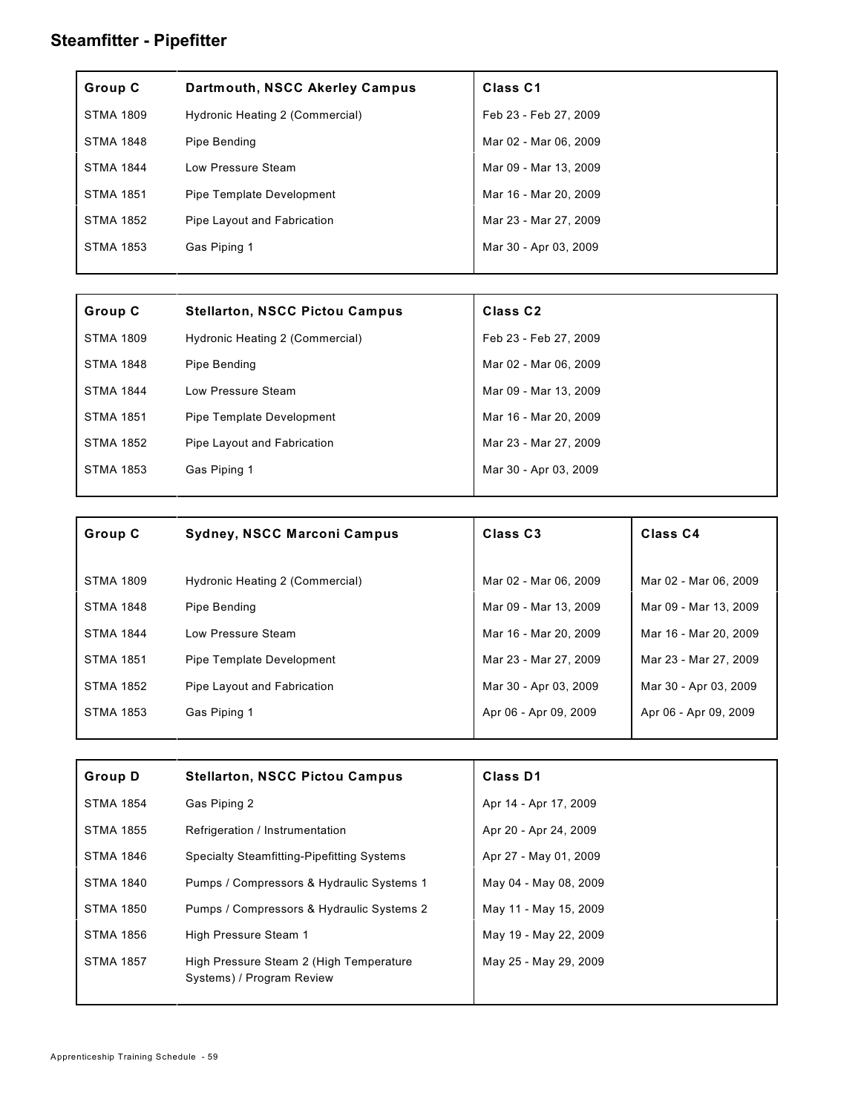| Group C          | Dartmouth, NSCC Akerley Campus  | Class <sub>C1</sub>   |
|------------------|---------------------------------|-----------------------|
| <b>STMA 1809</b> | Hydronic Heating 2 (Commercial) | Feb 23 - Feb 27, 2009 |
| <b>STMA 1848</b> | Pipe Bending                    | Mar 02 - Mar 06, 2009 |
| STMA 1844        | Low Pressure Steam              | Mar 09 - Mar 13, 2009 |
| <b>STMA 1851</b> | Pipe Template Development       | Mar 16 - Mar 20, 2009 |
| STMA 1852        | Pipe Layout and Fabrication     | Mar 23 - Mar 27, 2009 |
| <b>STMA 1853</b> | Gas Piping 1                    | Mar 30 - Apr 03, 2009 |
|                  |                                 |                       |

| Group C          | <b>Stellarton, NSCC Pictou Campus</b> | Class <sub>C2</sub>   |
|------------------|---------------------------------------|-----------------------|
| <b>STMA 1809</b> | Hydronic Heating 2 (Commercial)       | Feb 23 - Feb 27, 2009 |
| <b>STMA 1848</b> | Pipe Bending                          | Mar 02 - Mar 06, 2009 |
| <b>STMA 1844</b> | Low Pressure Steam                    | Mar 09 - Mar 13, 2009 |
| <b>STMA 1851</b> | Pipe Template Development             | Mar 16 - Mar 20, 2009 |
| <b>STMA 1852</b> | Pipe Layout and Fabrication           | Mar 23 - Mar 27, 2009 |
| STMA 1853        | Gas Piping 1                          | Mar 30 - Apr 03, 2009 |
|                  |                                       |                       |

| Group C          | <b>Sydney, NSCC Marconi Campus</b> | Class C <sub>3</sub>  | Class <sub>C4</sub>   |
|------------------|------------------------------------|-----------------------|-----------------------|
|                  |                                    |                       |                       |
| <b>STMA 1809</b> | Hydronic Heating 2 (Commercial)    | Mar 02 - Mar 06, 2009 | Mar 02 - Mar 06, 2009 |
| <b>STMA 1848</b> | Pipe Bending                       | Mar 09 - Mar 13, 2009 | Mar 09 - Mar 13, 2009 |
| <b>STMA 1844</b> | Low Pressure Steam                 | Mar 16 - Mar 20, 2009 | Mar 16 - Mar 20, 2009 |
| <b>STMA 1851</b> | Pipe Template Development          | Mar 23 - Mar 27, 2009 | Mar 23 - Mar 27, 2009 |
| <b>STMA 1852</b> | Pipe Layout and Fabrication        | Mar 30 - Apr 03, 2009 | Mar 30 - Apr 03, 2009 |
| STMA 1853        | Gas Piping 1                       | Apr 06 - Apr 09, 2009 | Apr 06 - Apr 09, 2009 |

| <b>Group D</b>   | <b>Stellarton, NSCC Pictou Campus</b>                                | <b>Class D1</b>       |
|------------------|----------------------------------------------------------------------|-----------------------|
| <b>STMA 1854</b> | Gas Piping 2                                                         | Apr 14 - Apr 17, 2009 |
| <b>STMA 1855</b> | Refrigeration / Instrumentation                                      | Apr 20 - Apr 24, 2009 |
| <b>STMA 1846</b> | <b>Specialty Steamfitting-Pipefitting Systems</b>                    | Apr 27 - May 01, 2009 |
| <b>STMA 1840</b> | Pumps / Compressors & Hydraulic Systems 1                            | May 04 - May 08, 2009 |
| <b>STMA 1850</b> | Pumps / Compressors & Hydraulic Systems 2                            | May 11 - May 15, 2009 |
| <b>STMA 1856</b> | High Pressure Steam 1                                                | May 19 - May 22, 2009 |
| <b>STMA 1857</b> | High Pressure Steam 2 (High Temperature<br>Systems) / Program Review | May 25 - May 29, 2009 |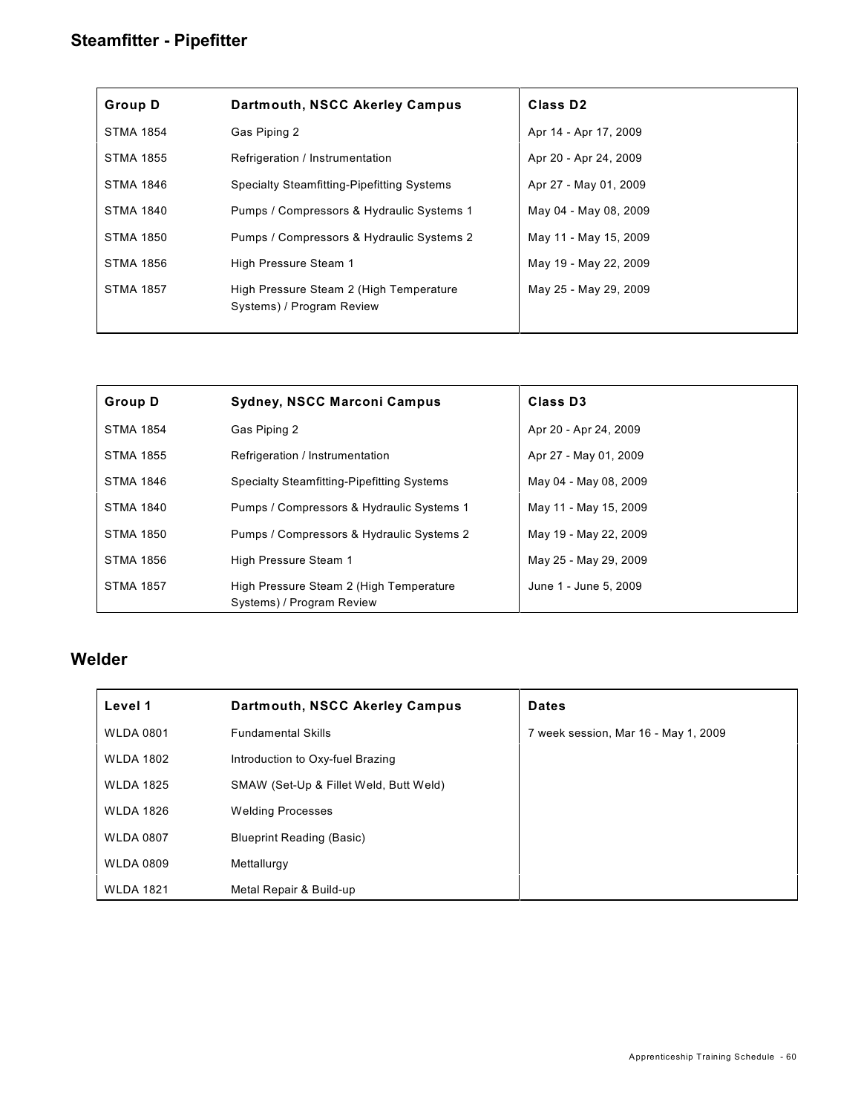| <b>Group D</b>   | Dartmouth, NSCC Akerley Campus                                       | Class D <sub>2</sub>  |  |
|------------------|----------------------------------------------------------------------|-----------------------|--|
| <b>STMA 1854</b> | Gas Piping 2                                                         | Apr 14 - Apr 17, 2009 |  |
| <b>STMA 1855</b> | Refrigeration / Instrumentation                                      | Apr 20 - Apr 24, 2009 |  |
| <b>STMA 1846</b> | <b>Specialty Steamfitting-Pipefitting Systems</b>                    | Apr 27 - May 01, 2009 |  |
| <b>STMA 1840</b> | Pumps / Compressors & Hydraulic Systems 1                            | May 04 - May 08, 2009 |  |
| <b>STMA 1850</b> | Pumps / Compressors & Hydraulic Systems 2                            | May 11 - May 15, 2009 |  |
| <b>STMA 1856</b> | High Pressure Steam 1                                                | May 19 - May 22, 2009 |  |
| <b>STMA 1857</b> | High Pressure Steam 2 (High Temperature<br>Systems) / Program Review | May 25 - May 29, 2009 |  |

| <b>Group D</b>   | <b>Sydney, NSCC Marconi Campus</b>                                   | Class D <sub>3</sub>  |  |
|------------------|----------------------------------------------------------------------|-----------------------|--|
| <b>STMA 1854</b> | Gas Piping 2                                                         | Apr 20 - Apr 24, 2009 |  |
| <b>STMA 1855</b> | Refrigeration / Instrumentation                                      | Apr 27 - May 01, 2009 |  |
| <b>STMA 1846</b> | Specialty Steamfitting-Pipefitting Systems                           | May 04 - May 08, 2009 |  |
| <b>STMA 1840</b> | Pumps / Compressors & Hydraulic Systems 1                            | May 11 - May 15, 2009 |  |
| STMA 1850        | Pumps / Compressors & Hydraulic Systems 2                            | May 19 - May 22, 2009 |  |
| <b>STMA 1856</b> | High Pressure Steam 1                                                | May 25 - May 29, 2009 |  |
| <b>STMA 1857</b> | High Pressure Steam 2 (High Temperature<br>Systems) / Program Review | June 1 - June 5, 2009 |  |

#### **Welder**

| Level 1          | Dartmouth, NSCC Akerley Campus         | <b>Dates</b>                         |
|------------------|----------------------------------------|--------------------------------------|
| <b>WLDA 0801</b> | <b>Fundamental Skills</b>              | 7 week session, Mar 16 - May 1, 2009 |
| <b>WLDA 1802</b> | Introduction to Oxy-fuel Brazing       |                                      |
| <b>WLDA 1825</b> | SMAW (Set-Up & Fillet Weld, Butt Weld) |                                      |
| <b>WLDA 1826</b> | <b>Welding Processes</b>               |                                      |
| <b>WLDA 0807</b> | <b>Blueprint Reading (Basic)</b>       |                                      |
| <b>WLDA 0809</b> | Mettallurgy                            |                                      |
| <b>WLDA 1821</b> | Metal Repair & Build-up                |                                      |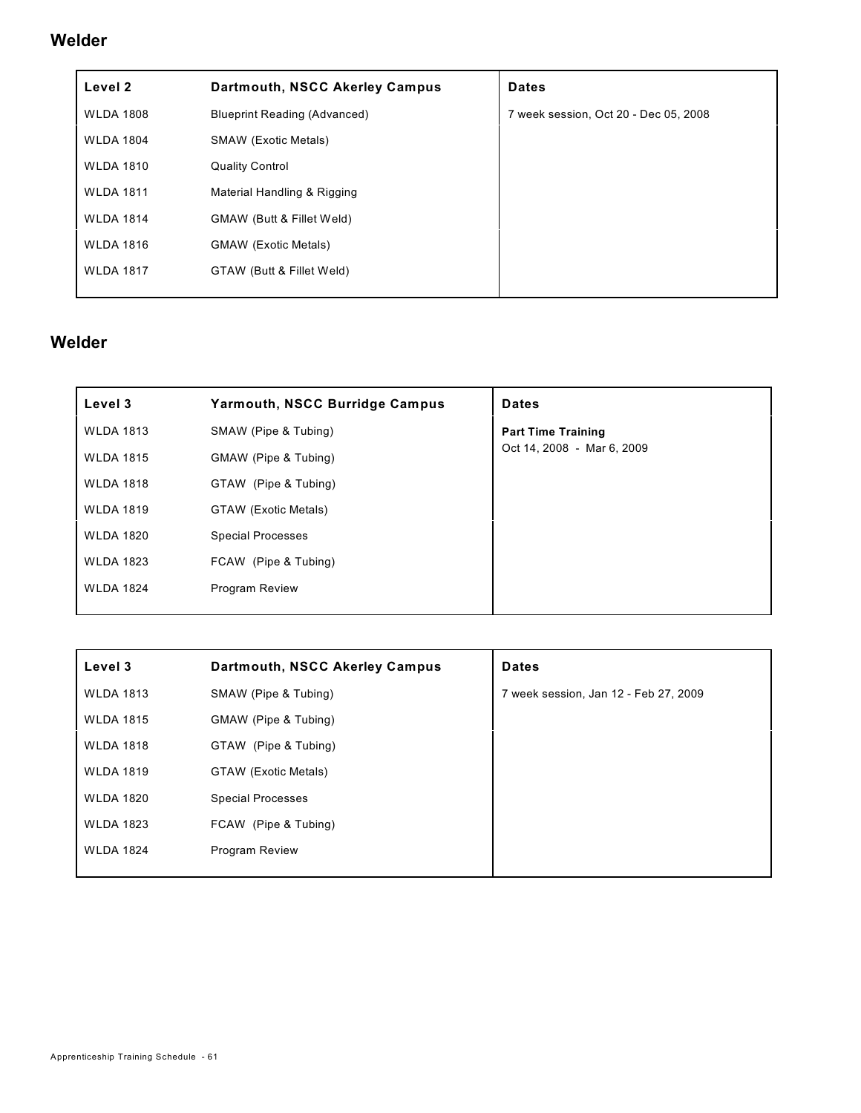#### **Welder**

| Level 2          | Dartmouth, NSCC Akerley Campus      | <b>Dates</b>                          |
|------------------|-------------------------------------|---------------------------------------|
| <b>WLDA 1808</b> | <b>Blueprint Reading (Advanced)</b> | 7 week session, Oct 20 - Dec 05, 2008 |
| <b>WLDA 1804</b> | <b>SMAW (Exotic Metals)</b>         |                                       |
| <b>WLDA 1810</b> | <b>Quality Control</b>              |                                       |
| <b>WLDA 1811</b> | Material Handling & Rigging         |                                       |
| <b>WLDA 1814</b> | GMAW (Butt & Fillet Weld)           |                                       |
| <b>WLDA 1816</b> | <b>GMAW</b> (Exotic Metals)         |                                       |
| <b>WLDA 1817</b> | GTAW (Butt & Fillet Weld)           |                                       |
|                  |                                     |                                       |

### **Welder**

| Level 3          | <b>Yarmouth, NSCC Burridge Campus</b> | <b>Dates</b>               |
|------------------|---------------------------------------|----------------------------|
| <b>WLDA 1813</b> | SMAW (Pipe & Tubing)                  | <b>Part Time Training</b>  |
| <b>WLDA 1815</b> | GMAW (Pipe & Tubing)                  | Oct 14, 2008 - Mar 6, 2009 |
| <b>WLDA 1818</b> | GTAW (Pipe & Tubing)                  |                            |
| <b>WLDA 1819</b> | GTAW (Exotic Metals)                  |                            |
| <b>WLDA 1820</b> | <b>Special Processes</b>              |                            |
| <b>WLDA 1823</b> | FCAW (Pipe & Tubing)                  |                            |
| <b>WLDA 1824</b> | <b>Program Review</b>                 |                            |
|                  |                                       |                            |

| Level 3          | Dartmouth, NSCC Akerley Campus | <b>Dates</b>                          |
|------------------|--------------------------------|---------------------------------------|
| <b>WLDA 1813</b> | SMAW (Pipe & Tubing)           | 7 week session, Jan 12 - Feb 27, 2009 |
| <b>WLDA 1815</b> | GMAW (Pipe & Tubing)           |                                       |
| <b>WLDA 1818</b> | GTAW (Pipe & Tubing)           |                                       |
| <b>WLDA 1819</b> | GTAW (Exotic Metals)           |                                       |
| <b>WLDA 1820</b> | <b>Special Processes</b>       |                                       |
| <b>WLDA 1823</b> | FCAW (Pipe & Tubing)           |                                       |
| <b>WLDA 1824</b> | <b>Program Review</b>          |                                       |
|                  |                                |                                       |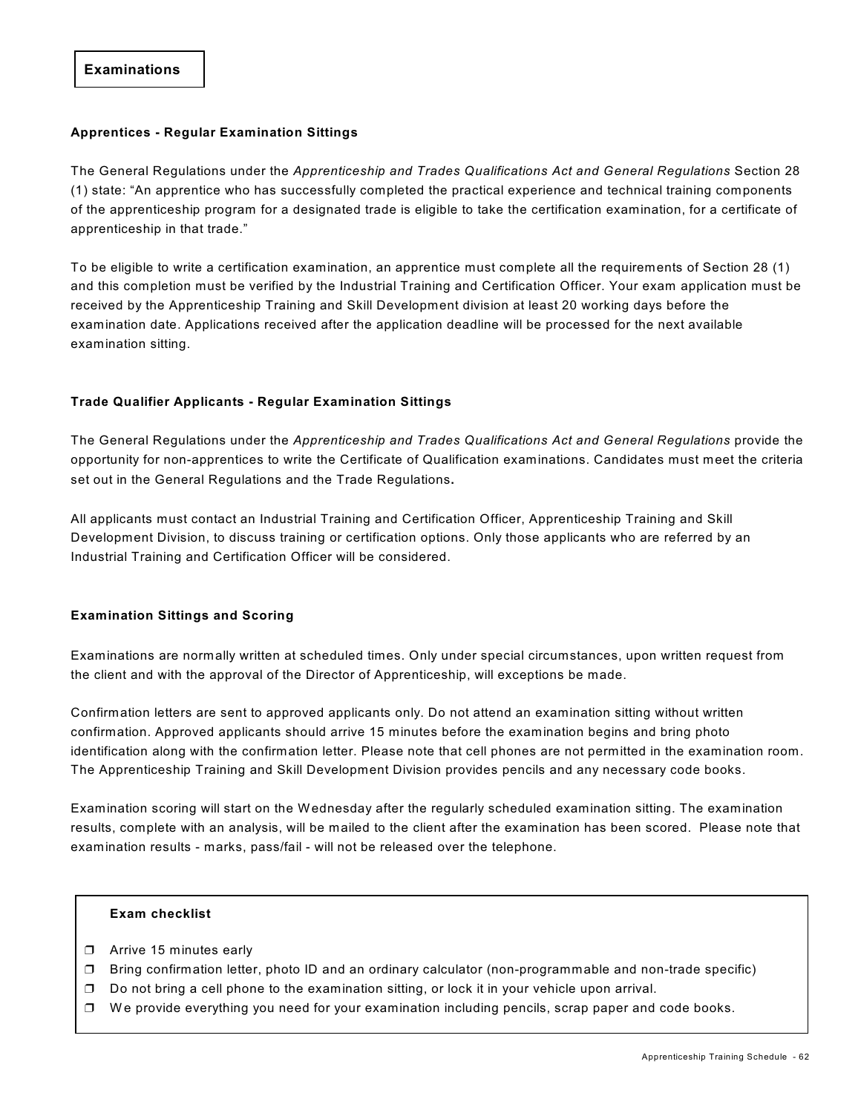#### **Apprentices - Regular Examination Sittings**

The General Regulations under the *Apprenticeship and Trades Qualifications Act and General Regulations* Section 28 (1) state: "An apprentice who has successfully completed the practical experience and technical training components of the apprenticeship program for a designated trade is eligible to take the certification examination, for a certificate of apprenticeship in that trade."

To be eligible to write a certification examination, an apprentice must complete all the requirements of Section 28 (1) and this completion must be verified by the Industrial Training and Certification Officer. Your exam application must be received by the Apprenticeship Training and Skill Development division at least 20 working days before the examination date. Applications received after the application deadline will be processed for the next available examination sitting.

#### **Trade Qualifier Applicants - Regular Examination Sittings**

The General Regulations under the *Apprenticeship and Trades Qualifications Act and General Regulations* provide the opportunity for non-apprentices to write the Certificate of Qualification examinations. Candidates must meet the criteria set out in the General Regulations and the Trade Regulations**.** 

All applicants must contact an Industrial Training and Certification Officer, Apprenticeship Training and Skill Development Division, to discuss training or certification options. Only those applicants who are referred by an Industrial Training and Certification Officer will be considered.

#### **Examination Sittings and Scoring**

Examinations are normally written at scheduled times. Only under special circumstances, upon written request from the client and with the approval of the Director of Apprenticeship, will exceptions be made.

Confirmation letters are sent to approved applicants only. Do not attend an examination sitting without written confirmation. Approved applicants should arrive 15 minutes before the examination begins and bring photo identification along with the confirmation letter. Please note that cell phones are not permitted in the examination room. The Apprenticeship Training and Skill Development Division provides pencils and any necessary code books.

Examination scoring will start on the Wednesday after the regularly scheduled examination sitting. The examination results, complete with an analysis, will be mailed to the client after the examination has been scored. Please note that examination results - marks, pass/fail - will not be released over the telephone.

#### **Exam checklist**

- **D** Arrive 15 minutes early
- Bring confirmation letter, photo ID and an ordinary calculator (non-programmable and non-trade specific)
- $\Box$  Do not bring a cell phone to the examination sitting, or lock it in your vehicle upon arrival.
- $\Box$  We provide everything you need for your examination including pencils, scrap paper and code books.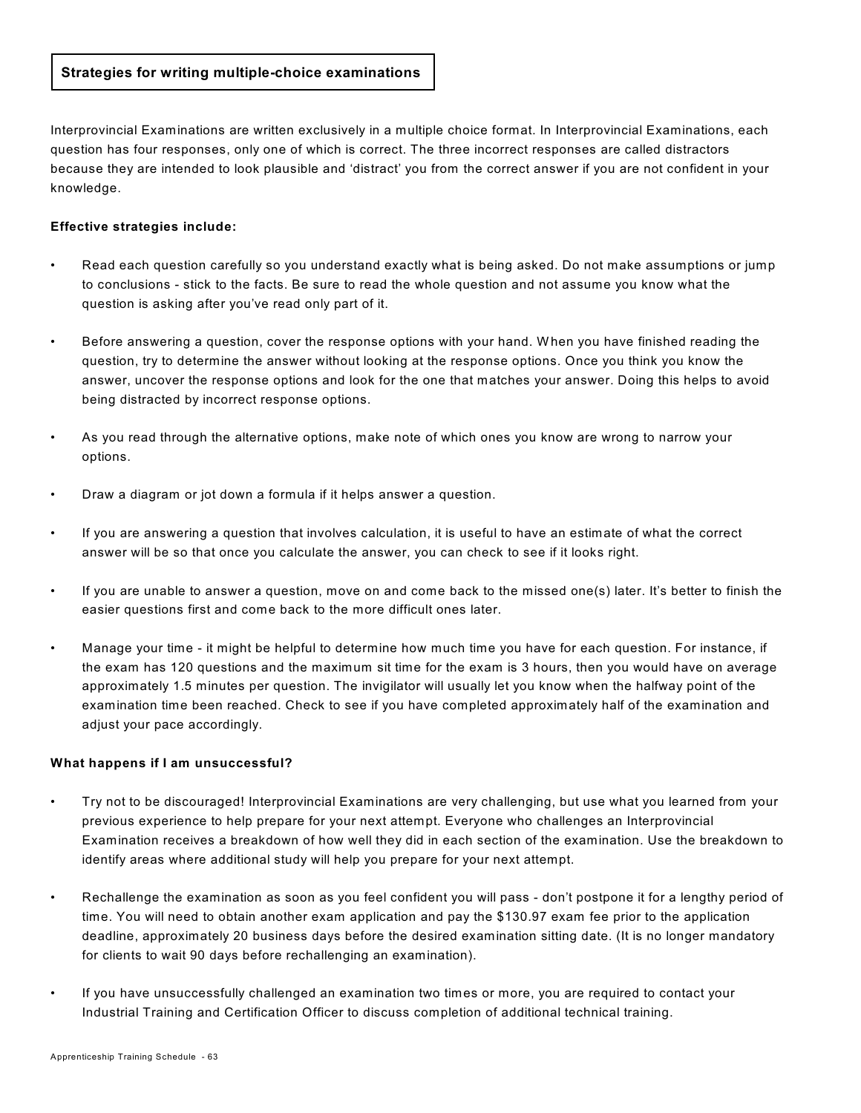#### **Strategies for writing multiple-choice examinations**

Interprovincial Examinations are written exclusively in a multiple choice format. In Interprovincial Examinations, each question has four responses, only one of which is correct. The three incorrect responses are called distractors because they are intended to look plausible and 'distract' you from the correct answer if you are not confident in your knowledge.

#### **Effective strategies include:**

- Read each question carefully so you understand exactly what is being asked. Do not make assumptions or jump to conclusions - stick to the facts. Be sure to read the whole question and not assume you know what the question is asking after you've read only part of it.
- Before answering a question, cover the response options with your hand. W hen you have finished reading the question, try to determine the answer without looking at the response options. Once you think you know the answer, uncover the response options and look for the one that matches your answer. Doing this helps to avoid being distracted by incorrect response options.
- As you read through the alternative options, make note of which ones you know are wrong to narrow your options.
- Draw a diagram or jot down a formula if it helps answer a question.
- If you are answering a question that involves calculation, it is useful to have an estimate of what the correct answer will be so that once you calculate the answer, you can check to see if it looks right.
- If you are unable to answer a question, move on and come back to the missed one(s) later. It's better to finish the easier questions first and come back to the more difficult ones later.
- Manage your time it might be helpful to determine how much time you have for each question. For instance, if the exam has 120 questions and the maximum sit time for the exam is 3 hours, then you would have on average approximately 1.5 minutes per question. The invigilator will usually let you know when the halfway point of the examination time been reached. Check to see if you have completed approximately half of the examination and adjust your pace accordingly.

#### **What happens if I am unsuccessful?**

- Try not to be discouraged! Interprovincial Examinations are very challenging, but use what you learned from your previous experience to help prepare for your next attempt. Everyone who challenges an Interprovincial Examination receives a breakdown of how well they did in each section of the examination. Use the breakdown to identify areas where additional study will help you prepare for your next attempt.
- Rechallenge the examination as soon as you feel confident you will pass don't postpone it for a lengthy period of time. You will need to obtain another exam application and pay the \$130.97 exam fee prior to the application deadline, approximately 20 business days before the desired examination sitting date. (It is no longer mandatory for clients to wait 90 days before rechallenging an examination).
- If you have unsuccessfully challenged an examination two times or more, you are required to contact your Industrial Training and Certification Officer to discuss completion of additional technical training.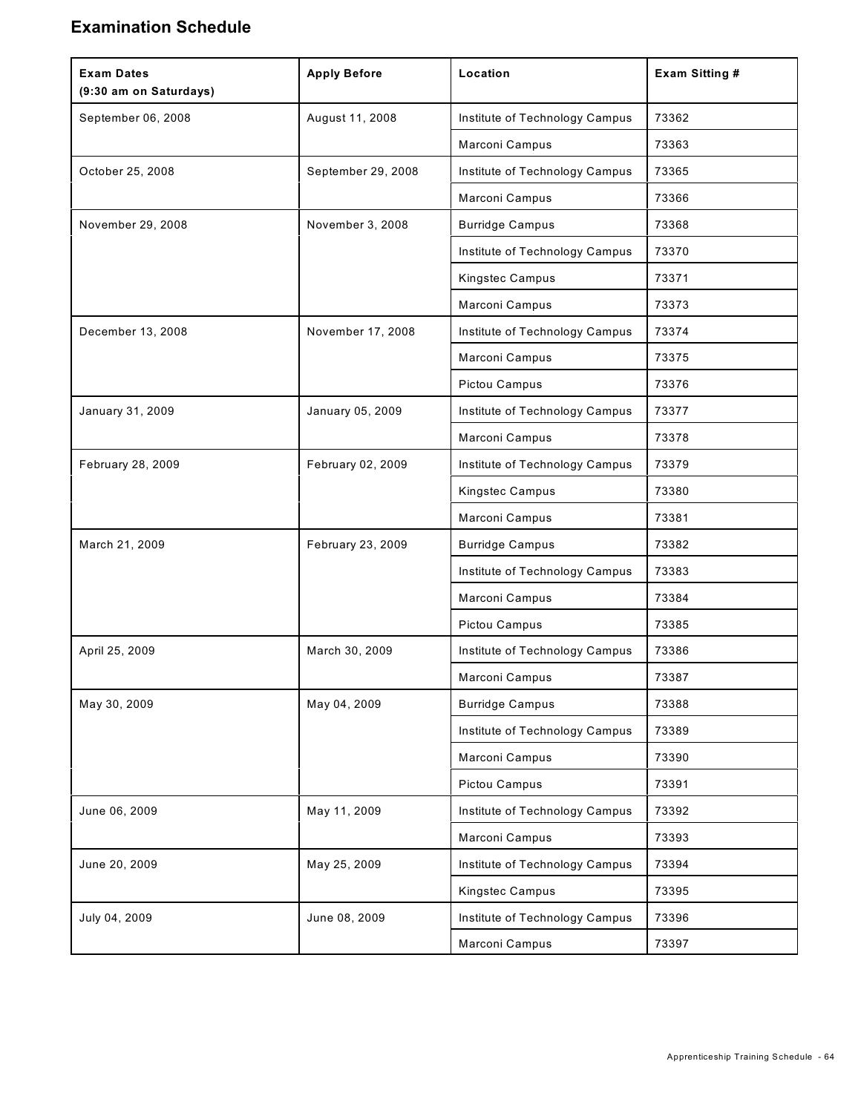### **Examination Schedule**

| <b>Exam Dates</b><br>(9:30 am on Saturdays) | <b>Apply Before</b> | Location                       | <b>Exam Sitting #</b> |
|---------------------------------------------|---------------------|--------------------------------|-----------------------|
| September 06, 2008                          | August 11, 2008     | Institute of Technology Campus | 73362                 |
|                                             |                     | Marconi Campus                 | 73363                 |
| October 25, 2008                            | September 29, 2008  | Institute of Technology Campus | 73365                 |
|                                             |                     | Marconi Campus                 | 73366                 |
| November 29, 2008                           | November 3, 2008    | <b>Burridge Campus</b>         | 73368                 |
|                                             |                     | Institute of Technology Campus | 73370                 |
|                                             |                     | Kingstec Campus                | 73371                 |
|                                             |                     | Marconi Campus                 | 73373                 |
| December 13, 2008                           | November 17, 2008   | Institute of Technology Campus | 73374                 |
|                                             |                     | Marconi Campus                 | 73375                 |
|                                             |                     | Pictou Campus                  | 73376                 |
| January 31, 2009                            | January 05, 2009    | Institute of Technology Campus | 73377                 |
|                                             |                     | Marconi Campus                 | 73378                 |
| February 28, 2009                           | February 02, 2009   | Institute of Technology Campus | 73379                 |
|                                             |                     | Kingstec Campus                | 73380                 |
|                                             |                     | Marconi Campus                 | 73381                 |
| March 21, 2009                              | February 23, 2009   | <b>Burridge Campus</b>         | 73382                 |
|                                             |                     | Institute of Technology Campus | 73383                 |
|                                             |                     | Marconi Campus                 | 73384                 |
|                                             |                     | Pictou Campus                  | 73385                 |
| April 25, 2009                              | March 30, 2009      | Institute of Technology Campus | 73386                 |
|                                             |                     | Marconi Campus                 | 73387                 |
| May 30, 2009                                | May 04, 2009        | <b>Burridge Campus</b>         | 73388                 |
|                                             |                     | Institute of Technology Campus | 73389                 |
|                                             |                     | Marconi Campus                 | 73390                 |
|                                             |                     | Pictou Campus                  | 73391                 |
| June 06, 2009                               | May 11, 2009        | Institute of Technology Campus | 73392                 |
|                                             |                     | Marconi Campus                 | 73393                 |
| June 20, 2009                               | May 25, 2009        | Institute of Technology Campus | 73394                 |
|                                             |                     | Kingstec Campus                | 73395                 |
| July 04, 2009                               | June 08, 2009       | Institute of Technology Campus | 73396                 |
|                                             |                     | Marconi Campus                 | 73397                 |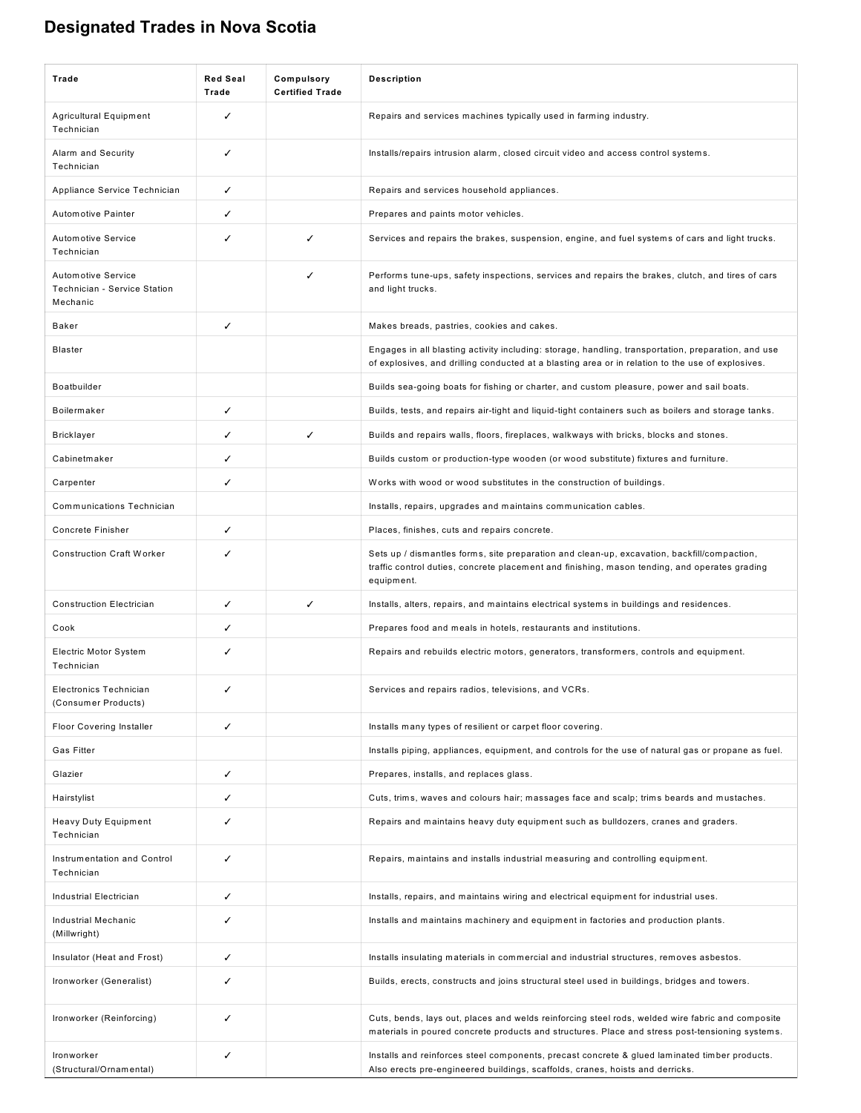# **Designated Trades in Nova Scotia**

| Trade                                                                 | <b>Red Seal</b><br>Trade | Compulsory<br><b>Certified Trade</b> | <b>Description</b>                                                                                                                                                                                         |
|-----------------------------------------------------------------------|--------------------------|--------------------------------------|------------------------------------------------------------------------------------------------------------------------------------------------------------------------------------------------------------|
| Agricultural Equipment<br>Technician                                  | ✓                        |                                      | Repairs and services machines typically used in farming industry.                                                                                                                                          |
| Alarm and Security<br>Technician                                      | ✓                        |                                      | Installs/repairs intrusion alarm, closed circuit video and access control systems.                                                                                                                         |
| Appliance Service Technician                                          | ✓                        |                                      | Repairs and services household appliances.                                                                                                                                                                 |
| Automotive Painter                                                    |                          |                                      | Prepares and paints motor vehicles.                                                                                                                                                                        |
| <b>Automotive Service</b><br>Technician                               | ✓                        | ✓                                    | Services and repairs the brakes, suspension, engine, and fuel systems of cars and light trucks.                                                                                                            |
| <b>Automotive Service</b><br>Technician - Service Station<br>Mechanic |                          | ✓                                    | Performs tune-ups, safety inspections, services and repairs the brakes, clutch, and tires of cars<br>and light trucks.                                                                                     |
| Baker                                                                 | ✓                        |                                      | Makes breads, pastries, cookies and cakes.                                                                                                                                                                 |
| <b>Blaster</b>                                                        |                          |                                      | Engages in all blasting activity including: storage, handling, transportation, preparation, and use<br>of explosives, and drilling conducted at a blasting area or in relation to the use of explosives.   |
| Boatbuilder                                                           |                          |                                      | Builds sea-going boats for fishing or charter, and custom pleasure, power and sail boats.                                                                                                                  |
| Boilermaker                                                           | ✓                        |                                      | Builds, tests, and repairs air-tight and liquid-tight containers such as boilers and storage tanks.                                                                                                        |
| <b>Bricklayer</b>                                                     | ℐ                        | ✓                                    | Builds and repairs walls, floors, fireplaces, walkways with bricks, blocks and stones.                                                                                                                     |
| Cabinetmaker                                                          |                          |                                      | Builds custom or production-type wooden (or wood substitute) fixtures and furniture.                                                                                                                       |
| Carpenter                                                             |                          |                                      | Works with wood or wood substitutes in the construction of buildings.                                                                                                                                      |
| Communications Technician                                             |                          |                                      | Installs, repairs, upgrades and maintains communication cables.                                                                                                                                            |
| <b>Concrete Finisher</b>                                              | ✓                        |                                      | Places, finishes, cuts and repairs concrete.                                                                                                                                                               |
| <b>Construction Craft Worker</b>                                      | ✓                        |                                      | Sets up / dismantles forms, site preparation and clean-up, excavation, backfill/compaction,<br>traffic control duties, concrete placement and finishing, mason tending, and operates grading<br>equipment. |
| <b>Construction Electrician</b>                                       | ✓                        | ✓                                    | Installs, alters, repairs, and maintains electrical systems in buildings and residences.                                                                                                                   |
| Cook                                                                  | ✓                        |                                      | Prepares food and meals in hotels, restaurants and institutions.                                                                                                                                           |
| Electric Motor System<br>Technician                                   | ✓                        |                                      | Repairs and rebuilds electric motors, generators, transformers, controls and equipment.                                                                                                                    |
| <b>Electronics Technician</b><br>(Consumer Products)                  | ✓                        |                                      | Services and repairs radios, televisions, and VCRs.                                                                                                                                                        |
| <b>Floor Covering Installer</b>                                       | ✓                        |                                      | Installs many types of resilient or carpet floor covering.                                                                                                                                                 |
| Gas Fitter                                                            |                          |                                      | Installs piping, appliances, equipment, and controls for the use of natural gas or propane as fuel.                                                                                                        |
| Glazier                                                               | ✓                        |                                      | Prepares, installs, and replaces glass.                                                                                                                                                                    |
| Hairstylist                                                           |                          |                                      | Cuts, trims, waves and colours hair; massages face and scalp; trims beards and mustaches.                                                                                                                  |
| Heavy Duty Equipment<br>Technician                                    |                          |                                      | Repairs and maintains heavy duty equipment such as bulldozers, cranes and graders.                                                                                                                         |
| Instrumentation and Control<br>Technician                             |                          |                                      | Repairs, maintains and installs industrial measuring and controlling equipment.                                                                                                                            |
| Industrial Electrician                                                | ✓                        |                                      | Installs, repairs, and maintains wiring and electrical equipment for industrial uses.                                                                                                                      |
| Industrial Mechanic<br>(Millwright)                                   |                          |                                      | Installs and maintains machinery and equipment in factories and production plants.                                                                                                                         |
| Insulator (Heat and Frost)                                            | ✓                        |                                      | Installs insulating materials in commercial and industrial structures, removes asbestos.                                                                                                                   |
| Ironworker (Generalist)                                               |                          |                                      | Builds, erects, constructs and joins structural steel used in buildings, bridges and towers.                                                                                                               |
| Ironworker (Reinforcing)                                              | ✓                        |                                      | Cuts, bends, lays out, places and welds reinforcing steel rods, welded wire fabric and composite<br>materials in poured concrete products and structures. Place and stress post-tensioning systems.        |
| Ironworker<br>(Structural/Ornamental)                                 | ✓                        |                                      | Installs and reinforces steel components, precast concrete & glued laminated timber products.<br>Also erects pre-engineered buildings, scaffolds, cranes, hoists and derricks.                             |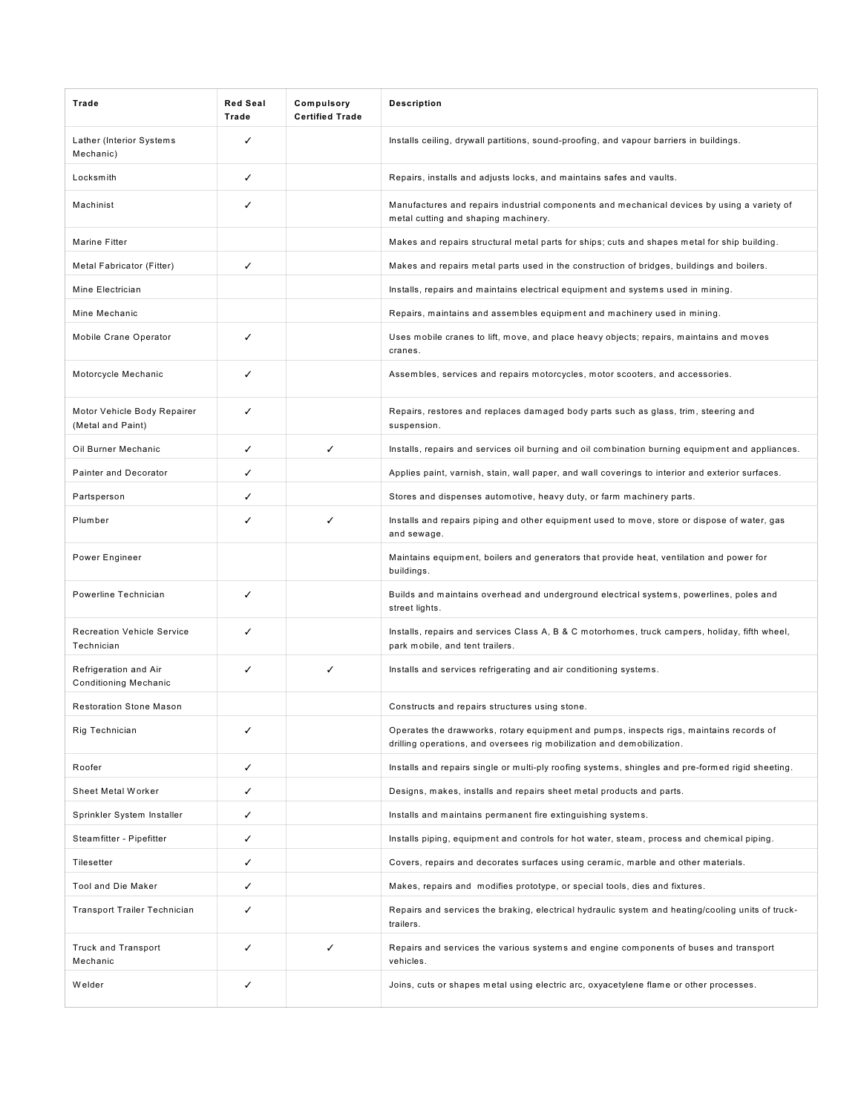| Trade                                            | <b>Red Seal</b><br>Trade | Compulsory<br><b>Certified Trade</b> | <b>Description</b>                                                                                                                                                |
|--------------------------------------------------|--------------------------|--------------------------------------|-------------------------------------------------------------------------------------------------------------------------------------------------------------------|
| Lather (Interior Systems<br>Mechanic)            | ✓                        |                                      | Installs ceiling, drywall partitions, sound-proofing, and vapour barriers in buildings.                                                                           |
| Locksmith                                        | ✓                        |                                      | Repairs, installs and adjusts locks, and maintains safes and vaults.                                                                                              |
| Machinist                                        | ✓                        |                                      | Manufactures and repairs industrial components and mechanical devices by using a variety of<br>metal cutting and shaping machinery.                               |
| Marine Fitter                                    |                          |                                      | Makes and repairs structural metal parts for ships; cuts and shapes metal for ship building.                                                                      |
| Metal Fabricator (Fitter)                        | ✓                        |                                      | Makes and repairs metal parts used in the construction of bridges, buildings and boilers.                                                                         |
| Mine Electrician                                 |                          |                                      | Installs, repairs and maintains electrical equipment and systems used in mining.                                                                                  |
| Mine Mechanic                                    |                          |                                      | Repairs, maintains and assembles equipment and machinery used in mining.                                                                                          |
| Mobile Crane Operator                            | ✓                        |                                      | Uses mobile cranes to lift, move, and place heavy objects; repairs, maintains and moves<br>cranes.                                                                |
| Motorcycle Mechanic                              | ✓                        |                                      | Assembles, services and repairs motorcycles, motor scooters, and accessories.                                                                                     |
| Motor Vehicle Body Repairer<br>(Metal and Paint) | ✓                        |                                      | Repairs, restores and replaces damaged body parts such as glass, trim, steering and<br>suspension.                                                                |
| Oil Burner Mechanic                              | ✓                        | ✓                                    | Installs, repairs and services oil burning and oil combination burning equipment and appliances.                                                                  |
| Painter and Decorator                            | ✓                        |                                      | Applies paint, varnish, stain, wall paper, and wall coverings to interior and exterior surfaces.                                                                  |
| Partsperson                                      |                          |                                      | Stores and dispenses automotive, heavy duty, or farm machinery parts.                                                                                             |
| Plumber                                          | ✓                        | ✓                                    | Installs and repairs piping and other equipment used to move, store or dispose of water, gas<br>and sewage.                                                       |
| Power Engineer                                   |                          |                                      | Maintains equipment, boilers and generators that provide heat, ventilation and power for<br>buildings.                                                            |
| Powerline Technician                             | ✓                        |                                      | Builds and maintains overhead and underground electrical systems, powerlines, poles and<br>street lights.                                                         |
| <b>Recreation Vehicle Service</b><br>Technician  | ✓                        |                                      | Installs, repairs and services Class A, B & C motorhomes, truck campers, holiday, fifth wheel,<br>park mobile, and tent trailers.                                 |
| Refrigeration and Air<br>Conditioning Mechanic   | ✓                        | ✓                                    | Installs and services refrigerating and air conditioning systems.                                                                                                 |
| <b>Restoration Stone Mason</b>                   |                          |                                      | Constructs and repairs structures using stone.                                                                                                                    |
| Rig Technician                                   | ✓                        |                                      | Operates the drawworks, rotary equipment and pumps, inspects rigs, maintains records of<br>drilling operations, and oversees rig mobilization and demobilization. |
| Roofer                                           | ✓                        |                                      | Installs and repairs single or multi-ply roofing systems, shingles and pre-formed rigid sheeting.                                                                 |
| Sheet Metal Worker                               |                          |                                      | Designs, makes, installs and repairs sheet metal products and parts.                                                                                              |
| Sprinkler System Installer                       | ✓                        |                                      | Installs and maintains permanent fire extinguishing systems.                                                                                                      |
| Steamfitter - Pipefitter                         | ✓                        |                                      | Installs piping, equipment and controls for hot water, steam, process and chemical piping.                                                                        |
| Tilesetter                                       |                          |                                      | Covers, repairs and decorates surfaces using ceramic, marble and other materials.                                                                                 |
| Tool and Die Maker                               | ✓                        |                                      | Makes, repairs and modifies prototype, or special tools, dies and fixtures.                                                                                       |
| Transport Trailer Technician                     | ℐ                        |                                      | Repairs and services the braking, electrical hydraulic system and heating/cooling units of truck-<br>trailers.                                                    |
| <b>Truck and Transport</b><br>Mechanic           | ✓                        | ✓                                    | Repairs and services the various systems and engine components of buses and transport<br>vehicles.                                                                |
| Welder                                           |                          |                                      | Joins, cuts or shapes metal using electric arc, oxyacetylene flame or other processes.                                                                            |
|                                                  |                          |                                      |                                                                                                                                                                   |